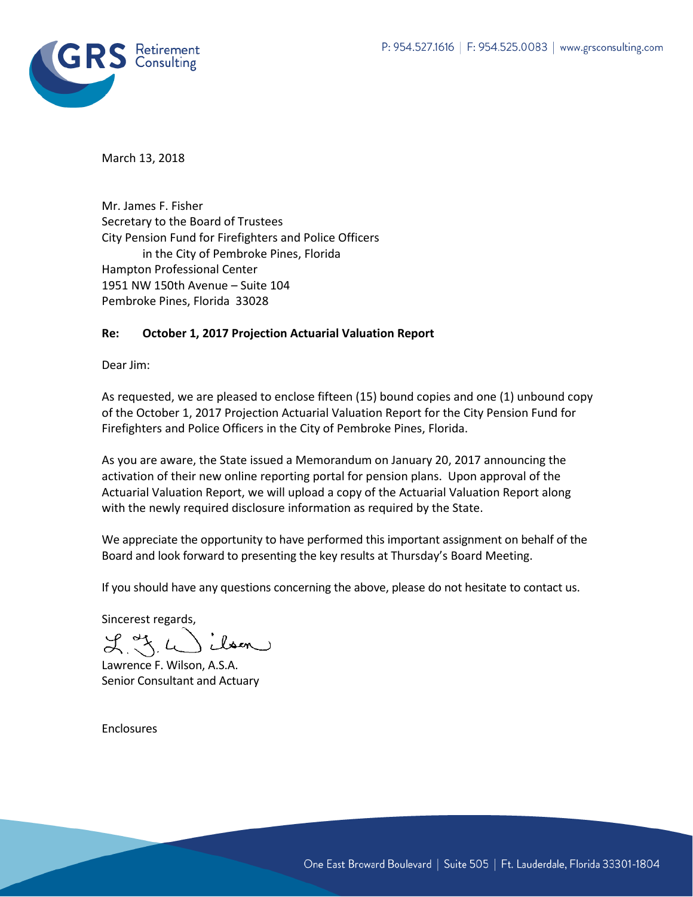

March 13, 2018

Mr. James F. Fisher Secretary to the Board of Trustees City Pension Fund for Firefighters and Police Officers in the City of Pembroke Pines, Florida Hampton Professional Center 1951 NW 150th Avenue – Suite 104 Pembroke Pines, Florida 33028

#### **Re: October 1, 2017 Projection Actuarial Valuation Report**

Dear Jim:

As requested, we are pleased to enclose fifteen (15) bound copies and one (1) unbound copy of the October 1, 2017 Projection Actuarial Valuation Report for the City Pension Fund for Firefighters and Police Officers in the City of Pembroke Pines, Florida.

As you are aware, the State issued a Memorandum on January 20, 2017 announcing the activation of their new online reporting portal for pension plans. Upon approval of the Actuarial Valuation Report, we will upload a copy of the Actuarial Valuation Report along with the newly required disclosure information as required by the State.

We appreciate the opportunity to have performed this important assignment on behalf of the Board and look forward to presenting the key results at Thursday's Board Meeting.

If you should have any questions concerning the above, please do not hesitate to contact us.

Sincerest regards,

L J. Wilson

Lawrence F. Wilson, A.S.A. Senior Consultant and Actuary

**Enclosures**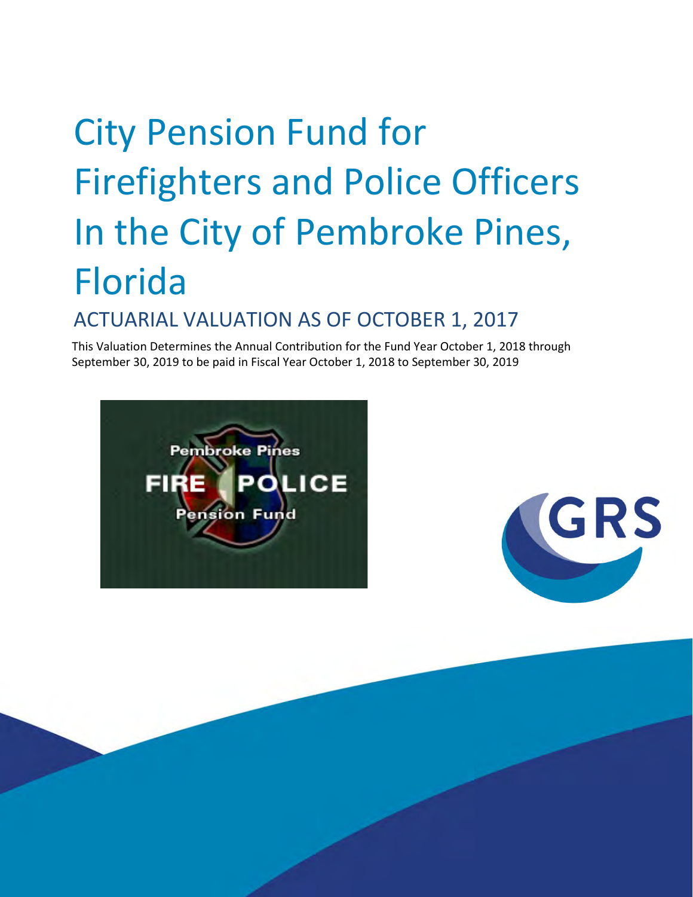# City Pension Fund for Firefighters and Police Officers In the City of Pembroke Pines, Florida

## ACTUARIAL VALUATION AS OF OCTOBER 1, 2017

This Valuation Determines the Annual Contribution for the Fund Year October 1, 2018 through September 30, 2019 to be paid in Fiscal Year October 1, 2018 to September 30, 2019



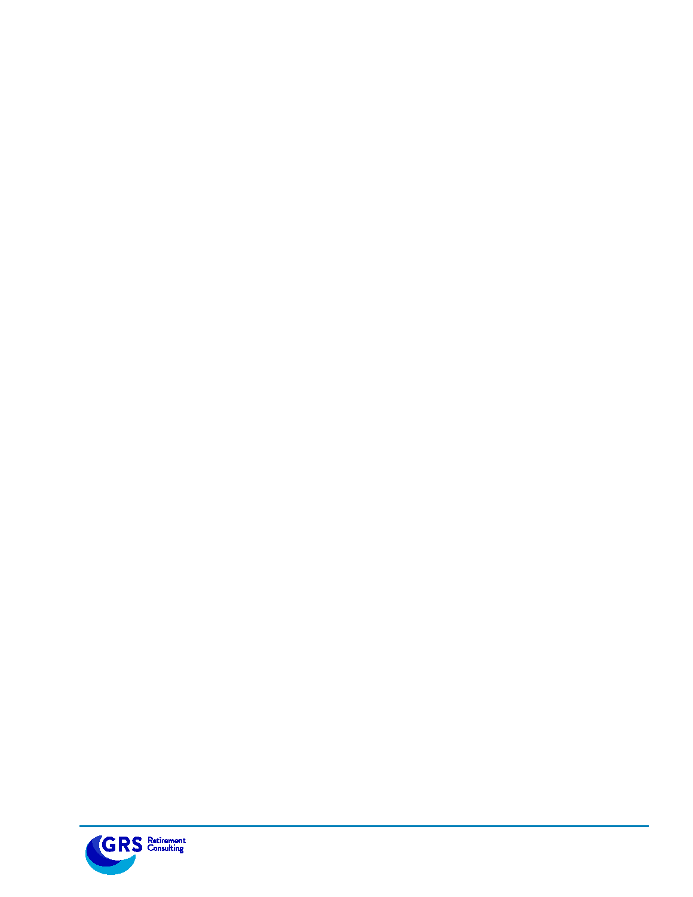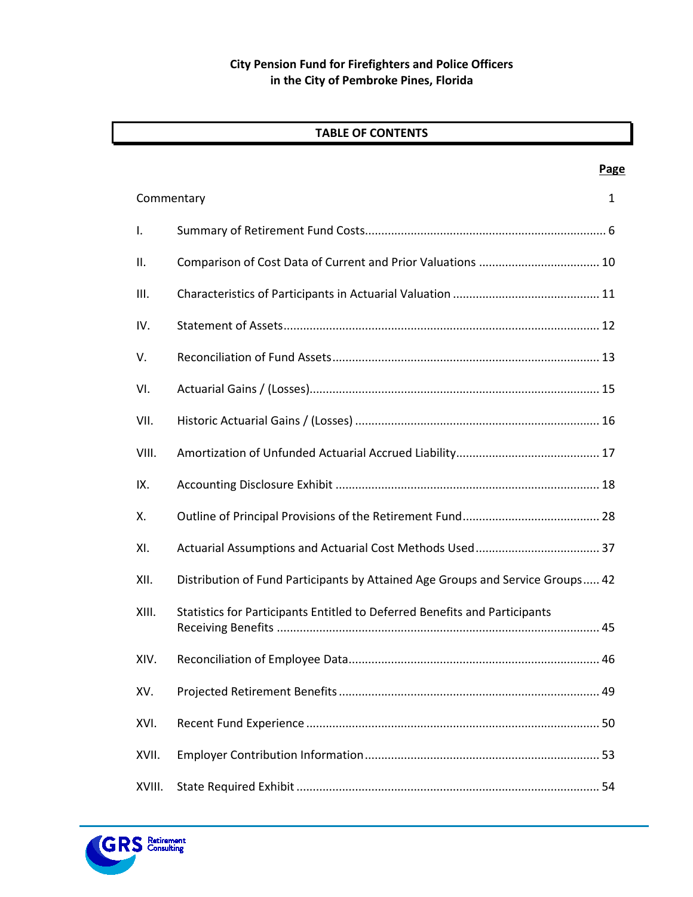## **City Pension Fund for Firefighters and Police Officers in the City of Pembroke Pines, Florida**

#### **TABLE OF CONTENTS**

|            | Page         |
|------------|--------------|
| Commentary | $\mathbf{1}$ |
| I.         |              |
| Ш.         |              |
| III.       |              |
| IV.        |              |
| V.         |              |
| VI.        |              |
| VII.       |              |
| VIII.      |              |
| IX.        | 18           |

| X.    |                                                                                |  |
|-------|--------------------------------------------------------------------------------|--|
| XI.   |                                                                                |  |
| XII.  | Distribution of Fund Participants by Attained Age Groups and Service Groups 42 |  |
| XIII. | Statistics for Participants Entitled to Deferred Benefits and Participants     |  |
| XIV.  |                                                                                |  |
| XV.   |                                                                                |  |
| XVI.  |                                                                                |  |
| XVII. |                                                                                |  |

XVIII. State Required Exhibit............................................................................................. 54

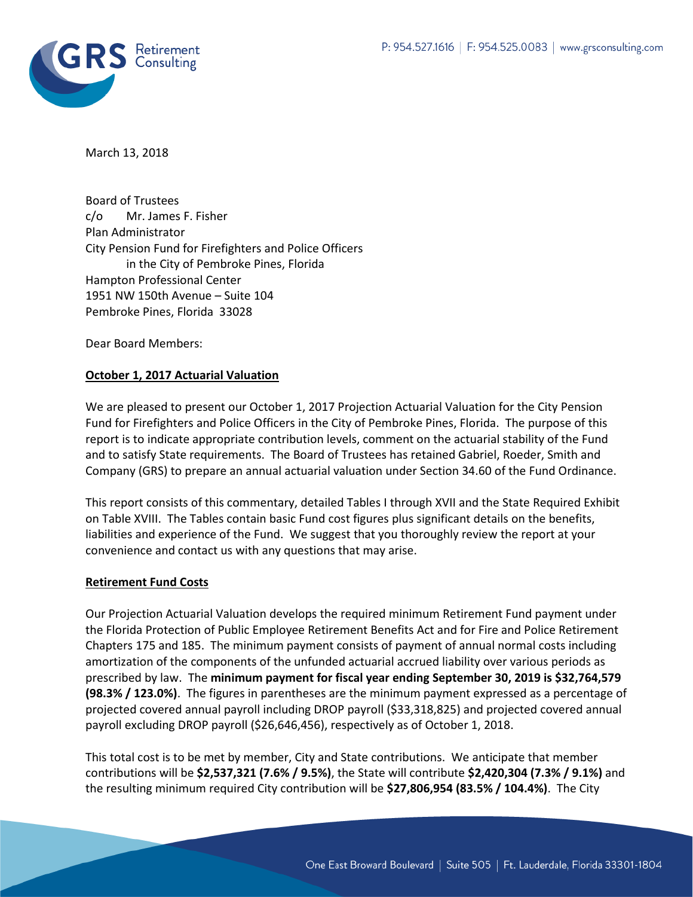

March 13, 2018

Board of Trustees c/o Mr. James F. Fisher Plan Administrator City Pension Fund for Firefighters and Police Officers in the City of Pembroke Pines, Florida Hampton Professional Center 1951 NW 150th Avenue – Suite 104 Pembroke Pines, Florida 33028

Dear Board Members:

#### **October 1, 2017 Actuarial Valuation**

We are pleased to present our October 1, 2017 Projection Actuarial Valuation for the City Pension Fund for Firefighters and Police Officers in the City of Pembroke Pines, Florida. The purpose of this report is to indicate appropriate contribution levels, comment on the actuarial stability of the Fund and to satisfy State requirements. The Board of Trustees has retained Gabriel, Roeder, Smith and Company (GRS) to prepare an annual actuarial valuation under Section 34.60 of the Fund Ordinance.

This report consists of this commentary, detailed Tables I through XVII and the State Required Exhibit on Table XVIII. The Tables contain basic Fund cost figures plus significant details on the benefits, liabilities and experience of the Fund. We suggest that you thoroughly review the report at your convenience and contact us with any questions that may arise.

#### **Retirement Fund Costs**

Our Projection Actuarial Valuation develops the required minimum Retirement Fund payment under the Florida Protection of Public Employee Retirement Benefits Act and for Fire and Police Retirement Chapters 175 and 185. The minimum payment consists of payment of annual normal costs including amortization of the components of the unfunded actuarial accrued liability over various periods as prescribed by law. The **minimum payment for fiscal year ending September 30, 2019 is \$32,764,579 (98.3% / 123.0%)**. The figures in parentheses are the minimum payment expressed as a percentage of projected covered annual payroll including DROP payroll (\$33,318,825) and projected covered annual payroll excluding DROP payroll (\$26,646,456), respectively as of October 1, 2018.

This total cost is to be met by member, City and State contributions. We anticipate that member contributions will be **\$2,537,321 (7.6% / 9.5%)**, the State will contribute **\$2,420,304 (7.3% / 9.1%)** and the resulting minimum required City contribution will be **\$27,806,954 (83.5% / 104.4%)**. The City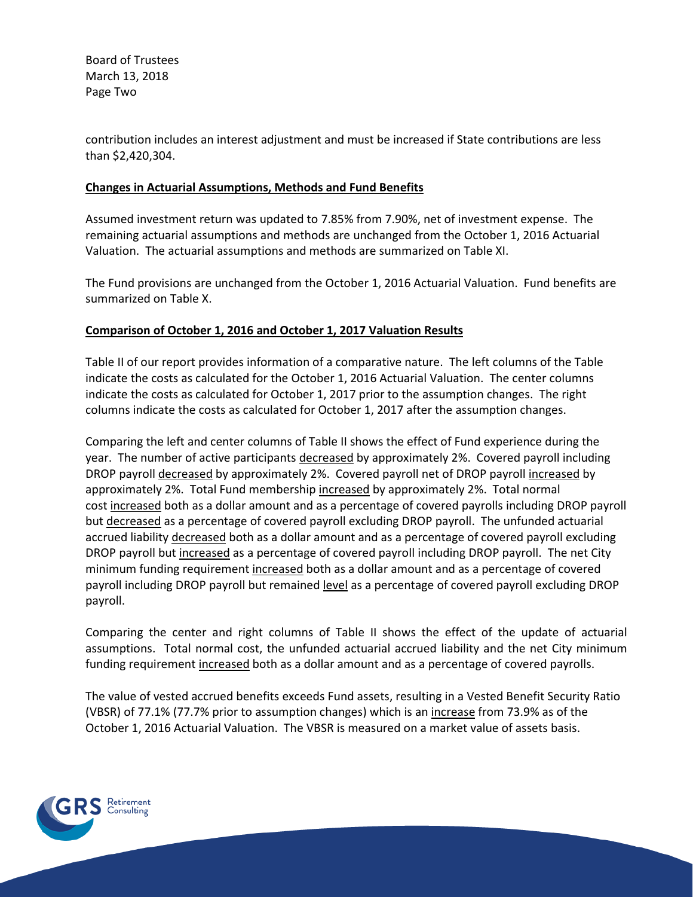Board of Trustees March 13, 2018 Page Two

contribution includes an interest adjustment and must be increased if State contributions are less than \$2,420,304.

#### **Changes in Actuarial Assumptions, Methods and Fund Benefits**

Assumed investment return was updated to 7.85% from 7.90%, net of investment expense. The remaining actuarial assumptions and methods are unchanged from the October 1, 2016 Actuarial Valuation. The actuarial assumptions and methods are summarized on Table XI.

The Fund provisions are unchanged from the October 1, 2016 Actuarial Valuation. Fund benefits are summarized on Table X.

## **Comparison of October 1, 2016 and October 1, 2017 Valuation Results**

Table II of our report provides information of a comparative nature. The left columns of the Table indicate the costs as calculated for the October 1, 2016 Actuarial Valuation. The center columns indicate the costs as calculated for October 1, 2017 prior to the assumption changes. The right columns indicate the costs as calculated for October 1, 2017 after the assumption changes.

Comparing the left and center columns of Table II shows the effect of Fund experience during the year. The number of active participants decreased by approximately 2%. Covered payroll including DROP payroll decreased by approximately 2%. Covered payroll net of DROP payroll increased by approximately 2%. Total Fund membership increased by approximately 2%. Total normal cost increased both as a dollar amount and as a percentage of covered payrolls including DROP payroll but decreased as a percentage of covered payroll excluding DROP payroll. The unfunded actuarial accrued liability decreased both as a dollar amount and as a percentage of covered payroll excluding DROP payroll but increased as a percentage of covered payroll including DROP payroll. The net City minimum funding requirement increased both as a dollar amount and as a percentage of covered payroll including DROP payroll but remained level as a percentage of covered payroll excluding DROP payroll.

Comparing the center and right columns of Table II shows the effect of the update of actuarial assumptions. Total normal cost, the unfunded actuarial accrued liability and the net City minimum funding requirement increased both as a dollar amount and as a percentage of covered payrolls.

The value of vested accrued benefits exceeds Fund assets, resulting in a Vested Benefit Security Ratio (VBSR) of 77.1% (77.7% prior to assumption changes) which is an increase from 73.9% as of the October 1, 2016 Actuarial Valuation. The VBSR is measured on a market value of assets basis.

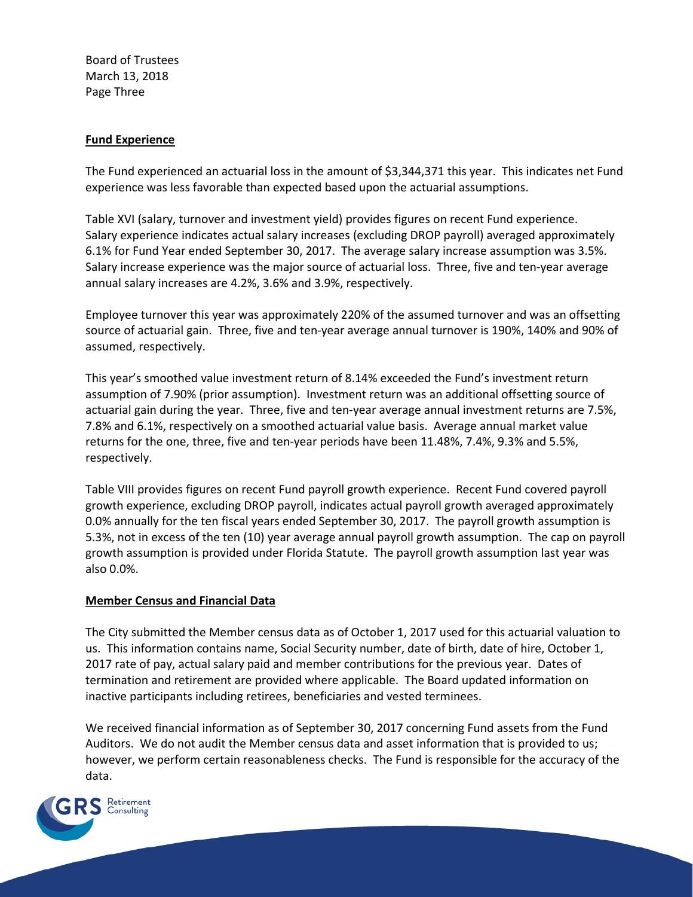Board of Trustees March 13, 2018 Page Three

## **Fund Experience**

The Fund experienced an actuarial loss in the amount of \$3,344,371 this year. This indicates net Fund experience was less favorable than expected based upon the actuarial assumptions.

Table XVI (salary, turnover and investment yield) provides figures on recent Fund experience. Salary experience indicates actual salary increases (excluding DROP payroll) averaged approximately 6.1% for Fund Year ended September 30, 2017. The average salary increase assumption was 3.5%. Salary increase experience was the major source of actuarial loss. Three, five and ten-year average annual salary increases are 4.2%, 3.6% and 3.9%, respectively.

Employee turnover this year was approximately 220% of the assumed turnover and was an offsetting source of actuarial gain. Three, five and ten-year average annual turnover is 190%, 140% and 90% of assumed, respectively.

This year's smoothed value investment return of 8.14% exceeded the Fund's investment return assumption of 7.90% (prior assumption). Investment return was an additional offsetting source of actuarial gain during the year. Three, five and ten-year average annual investment returns are 7.5%, 7.8% and 6.1%, respectively on a smoothed actuarial value basis. Average annual market value returns for the one, three, five and ten-year periods have been 11.48%, 7.4%, 9.3% and 5.5%, respectively.

Table VIII provides figures on recent Fund payroll growth experience. Recent Fund covered payroll growth experience, excluding DROP payroll, indicates actual payroll growth averaged approximately 0.0% annually for the ten fiscal years ended September 30, 2017. The payroll growth assumption is 5.3%, not in excess of the ten (10) year average annual payroll growth assumption. The cap on payroll growth assumption is provided under Florida Statute. The payroll growth assumption last year was also 0.0%.

## **Member Census and Financial Data**

The City submitted the Member census data as of October 1, 2017 used for this actuarial valuation to us. This information contains name, Social Security number, date of birth, date of hire, October 1, 2017 rate of pay, actual salary paid and member contributions for the previous year. Dates of termination and retirement are provided where applicable. The Board updated information on inactive participants including retirees, beneficiaries and vested terminees.

We received financial information as of September 30, 2017 concerning Fund assets from the Fund Auditors. We do not audit the Member census data and asset information that is provided to us; however, we perform certain reasonableness checks. The Fund is responsible for the accuracy of the data.

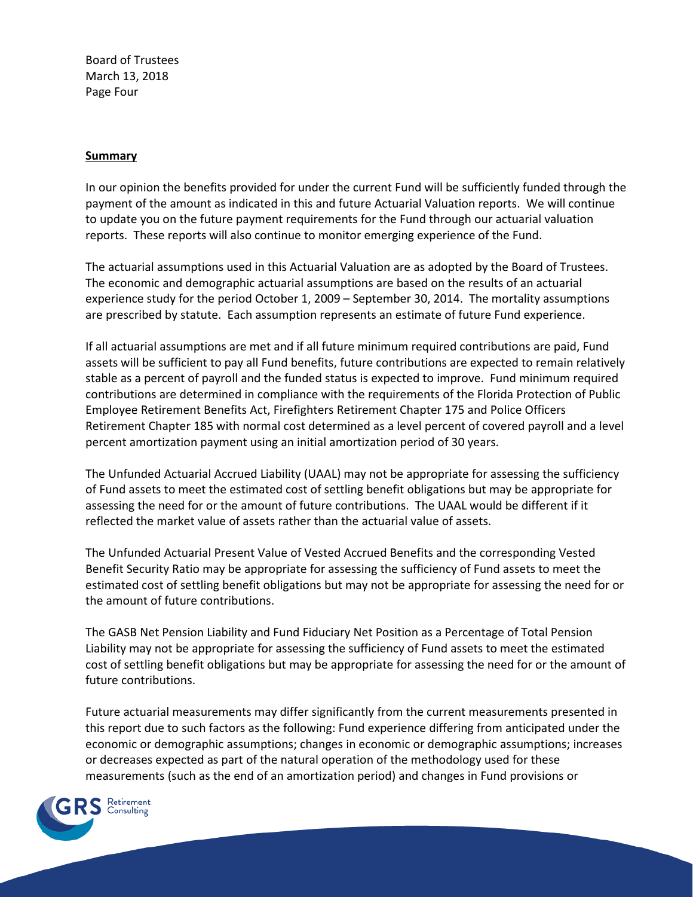Board of Trustees March 13, 2018 Page Four

#### **Summary**

In our opinion the benefits provided for under the current Fund will be sufficiently funded through the payment of the amount as indicated in this and future Actuarial Valuation reports. We will continue to update you on the future payment requirements for the Fund through our actuarial valuation reports. These reports will also continue to monitor emerging experience of the Fund.

The actuarial assumptions used in this Actuarial Valuation are as adopted by the Board of Trustees. The economic and demographic actuarial assumptions are based on the results of an actuarial experience study for the period October 1, 2009 – September 30, 2014. The mortality assumptions are prescribed by statute. Each assumption represents an estimate of future Fund experience.

If all actuarial assumptions are met and if all future minimum required contributions are paid, Fund assets will be sufficient to pay all Fund benefits, future contributions are expected to remain relatively stable as a percent of payroll and the funded status is expected to improve. Fund minimum required contributions are determined in compliance with the requirements of the Florida Protection of Public Employee Retirement Benefits Act, Firefighters Retirement Chapter 175 and Police Officers Retirement Chapter 185 with normal cost determined as a level percent of covered payroll and a level percent amortization payment using an initial amortization period of 30 years.

The Unfunded Actuarial Accrued Liability (UAAL) may not be appropriate for assessing the sufficiency of Fund assets to meet the estimated cost of settling benefit obligations but may be appropriate for assessing the need for or the amount of future contributions. The UAAL would be different if it reflected the market value of assets rather than the actuarial value of assets.

The Unfunded Actuarial Present Value of Vested Accrued Benefits and the corresponding Vested Benefit Security Ratio may be appropriate for assessing the sufficiency of Fund assets to meet the estimated cost of settling benefit obligations but may not be appropriate for assessing the need for or the amount of future contributions.

The GASB Net Pension Liability and Fund Fiduciary Net Position as a Percentage of Total Pension Liability may not be appropriate for assessing the sufficiency of Fund assets to meet the estimated cost of settling benefit obligations but may be appropriate for assessing the need for or the amount of future contributions.

Future actuarial measurements may differ significantly from the current measurements presented in this report due to such factors as the following: Fund experience differing from anticipated under the economic or demographic assumptions; changes in economic or demographic assumptions; increases or decreases expected as part of the natural operation of the methodology used for these measurements (such as the end of an amortization period) and changes in Fund provisions or

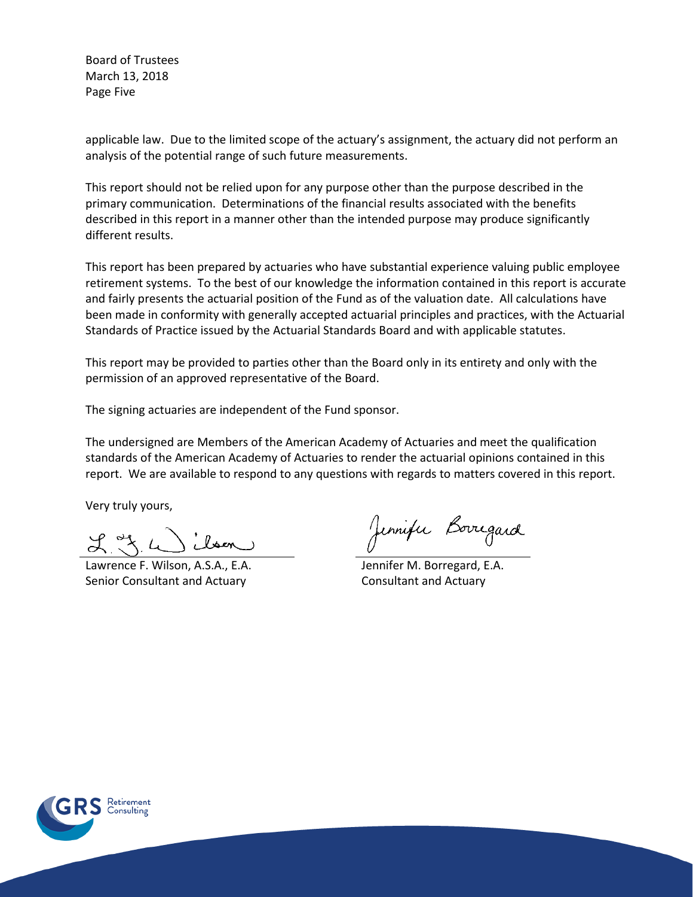Board of Trustees March 13, 2018 Page Five

applicable law. Due to the limited scope of the actuary's assignment, the actuary did not perform an analysis of the potential range of such future measurements.

This report should not be relied upon for any purpose other than the purpose described in the primary communication. Determinations of the financial results associated with the benefits described in this report in a manner other than the intended purpose may produce significantly different results.

This report has been prepared by actuaries who have substantial experience valuing public employee retirement systems. To the best of our knowledge the information contained in this report is accurate and fairly presents the actuarial position of the Fund as of the valuation date. All calculations have been made in conformity with generally accepted actuarial principles and practices, with the Actuarial Standards of Practice issued by the Actuarial Standards Board and with applicable statutes.

This report may be provided to parties other than the Board only in its entirety and only with the permission of an approved representative of the Board.

The signing actuaries are independent of the Fund sponsor.

The undersigned are Members of the American Academy of Actuaries and meet the qualification standards of the American Academy of Actuaries to render the actuarial opinions contained in this report. We are available to respond to any questions with regards to matters covered in this report.

Very truly yours,

Lawrence F. Wilson, A.S.A., E.A.

Senior Consultant and Actuary

Jennifer Bourgard

Consultant and Actuary

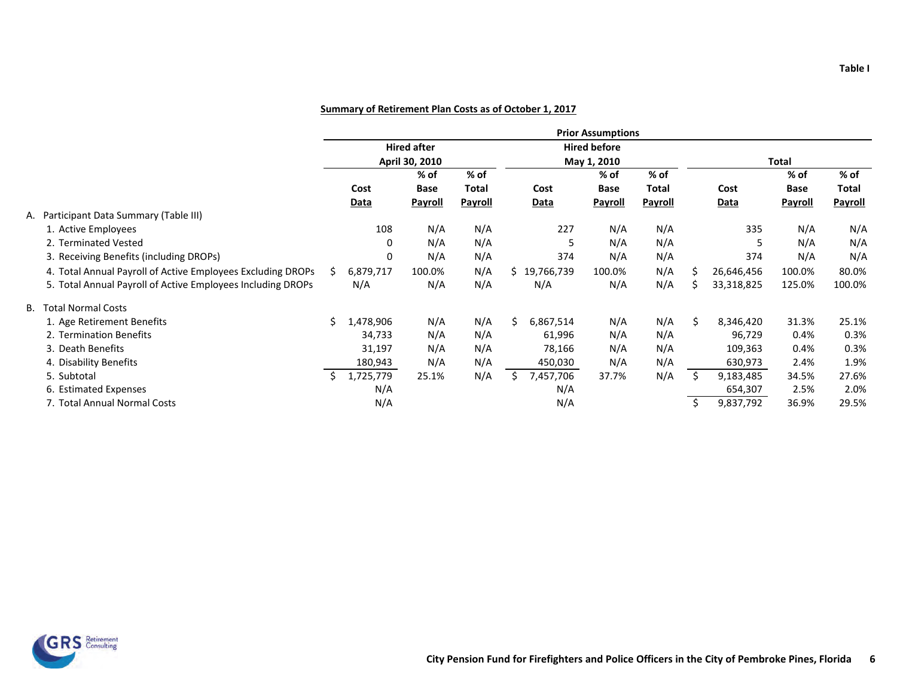|                                                             |    |           |                    |                |             |            | <b>Prior Assumptions</b> |                |    |            |                |         |
|-------------------------------------------------------------|----|-----------|--------------------|----------------|-------------|------------|--------------------------|----------------|----|------------|----------------|---------|
|                                                             |    |           | <b>Hired after</b> |                |             |            | <b>Hired before</b>      |                |    |            |                |         |
|                                                             |    |           | April 30, 2010     |                | May 1, 2010 |            |                          | Total          |    |            |                |         |
|                                                             |    |           | % of               | % of           |             |            | % of                     | % of           |    |            | % of           | % of    |
|                                                             |    | Cost      | Base               | <b>Total</b>   |             | Cost       | Base                     | <b>Total</b>   |    | Cost       | <b>Base</b>    | Total   |
|                                                             |    | Data      | <b>Payroll</b>     | <b>Payroll</b> |             | Data       | <b>Payroll</b>           | <b>Payroll</b> |    | Data       | <b>Payroll</b> | Payroll |
| A. Participant Data Summary (Table III)                     |    |           |                    |                |             |            |                          |                |    |            |                |         |
| 1. Active Employees                                         |    | 108       | N/A                | N/A            |             | 227        | N/A                      | N/A            |    | 335        | N/A            | N/A     |
| 2. Terminated Vested                                        |    | 0         | N/A                | N/A            |             | 5          | N/A                      | N/A            |    | 5          | N/A            | N/A     |
| 3. Receiving Benefits (including DROPs)                     |    | 0         | N/A                | N/A            |             | 374        | N/A                      | N/A            |    | 374        | N/A            | N/A     |
| 4. Total Annual Payroll of Active Employees Excluding DROPs | S. | 6,879,717 | 100.0%             | N/A            | Ś.          | 19,766,739 | 100.0%                   | N/A            |    | 26,646,456 | 100.0%         | 80.0%   |
| 5. Total Annual Payroll of Active Employees Including DROPs |    | N/A       | N/A                | N/A            |             | N/A        | N/A                      | N/A            |    | 33,318,825 | 125.0%         | 100.0%  |
| <b>B.</b> Total Normal Costs                                |    |           |                    |                |             |            |                          |                |    |            |                |         |
| 1. Age Retirement Benefits                                  | Ś. | 1,478,906 | N/A                | N/A            | Ś.          | 6,867,514  | N/A                      | N/A            | \$ | 8,346,420  | 31.3%          | 25.1%   |
| 2. Termination Benefits                                     |    | 34,733    | N/A                | N/A            |             | 61,996     | N/A                      | N/A            |    | 96,729     | 0.4%           | 0.3%    |
| 3. Death Benefits                                           |    | 31,197    | N/A                | N/A            |             | 78,166     | N/A                      | N/A            |    | 109,363    | 0.4%           | 0.3%    |
| 4. Disability Benefits                                      |    | 180,943   | N/A                | N/A            |             | 450,030    | N/A                      | N/A            |    | 630,973    | 2.4%           | 1.9%    |
| 5. Subtotal                                                 |    | 1,725,779 | 25.1%              | N/A            |             | 7,457,706  | 37.7%                    | N/A            |    | 9,183,485  | 34.5%          | 27.6%   |
| 6. Estimated Expenses                                       |    | N/A       |                    |                |             | N/A        |                          |                |    | 654,307    | 2.5%           | 2.0%    |
| 7. Total Annual Normal Costs                                |    | N/A       |                    |                |             | N/A        |                          |                |    | 9,837,792  | 36.9%          | 29.5%   |





**City Pension Fund for Firefighters and Police Officers in the City of Pembroke Pines, Florida 6**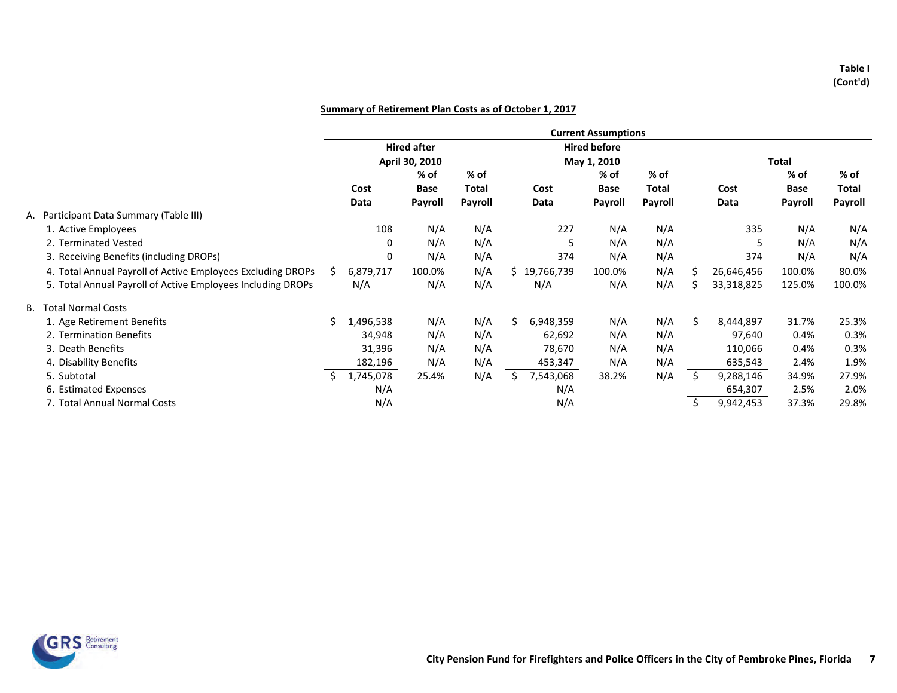**Summary of Retirement Plan Costs as of October 1, 2017**

|                                                             |    |           |                    |              |             |                     | <b>Current Assumptions</b> |              |    |            |                |                |
|-------------------------------------------------------------|----|-----------|--------------------|--------------|-------------|---------------------|----------------------------|--------------|----|------------|----------------|----------------|
|                                                             |    |           | <b>Hired after</b> |              |             | <b>Hired before</b> |                            |              |    |            |                |                |
|                                                             |    |           | April 30, 2010     |              | May 1, 2010 |                     |                            |              |    |            |                |                |
|                                                             |    |           | $%$ of             | $%$ of       |             |                     | % of                       | $%$ of       |    |            | $%$ of         | % of           |
|                                                             |    | Cost      | <b>Base</b>        | <b>Total</b> |             | Cost                | Base                       | <b>Total</b> |    | Cost       | Base           | Total          |
|                                                             |    | Data      | <b>Payroll</b>     | Payroll      |             | Data                | <b>Payroll</b>             | Payroll      |    | Data       | <b>Payroll</b> | <b>Payroll</b> |
| A. Participant Data Summary (Table III)                     |    |           |                    |              |             |                     |                            |              |    |            |                |                |
| 1. Active Employees                                         |    | 108       | N/A                | N/A          |             | 227                 | N/A                        | N/A          |    | 335        | N/A            | N/A            |
| 2. Terminated Vested                                        |    | 0         | N/A                | N/A          |             | 5                   | N/A                        | N/A          |    | 5          | N/A            | N/A            |
| 3. Receiving Benefits (including DROPs)                     |    | 0         | N/A                | N/A          |             | 374                 | N/A                        | N/A          |    | 374        | N/A            | N/A            |
| 4. Total Annual Payroll of Active Employees Excluding DROPs | S. | 6,879,717 | 100.0%             | N/A          |             | \$19,766,739        | 100.0%                     | N/A          | S  | 26,646,456 | 100.0%         | 80.0%          |
| 5. Total Annual Payroll of Active Employees Including DROPs |    | N/A       | N/A                | N/A          |             | N/A                 | N/A                        | N/A          |    | 33,318,825 | 125.0%         | 100.0%         |
| <b>B.</b> Total Normal Costs                                |    |           |                    |              |             |                     |                            |              |    |            |                |                |
| 1. Age Retirement Benefits                                  | Ś. | 1,496,538 | N/A                | N/A          | Ś.          | 6,948,359           | N/A                        | N/A          | Ŝ. | 8,444,897  | 31.7%          | 25.3%          |
| 2. Termination Benefits                                     |    | 34,948    | N/A                | N/A          |             | 62,692              | N/A                        | N/A          |    | 97,640     | 0.4%           | 0.3%           |
| 3. Death Benefits                                           |    | 31,396    | N/A                | N/A          |             | 78,670              | N/A                        | N/A          |    | 110,066    | 0.4%           | 0.3%           |
| 4. Disability Benefits                                      |    | 182,196   | N/A                | N/A          |             | 453,347             | N/A                        | N/A          |    | 635,543    | 2.4%           | 1.9%           |
| 5. Subtotal                                                 |    | 1,745,078 | 25.4%              | N/A          |             | 7,543,068           | 38.2%                      | N/A          |    | 9,288,146  | 34.9%          | 27.9%          |
| 6. Estimated Expenses                                       |    | N/A       |                    |              |             | N/A                 |                            |              |    | 654,307    | 2.5%           | 2.0%           |
| 7. Total Annual Normal Costs                                |    | N/A       |                    |              |             | N/A                 |                            |              |    | 9,942,453  | 37.3%          | 29.8%          |

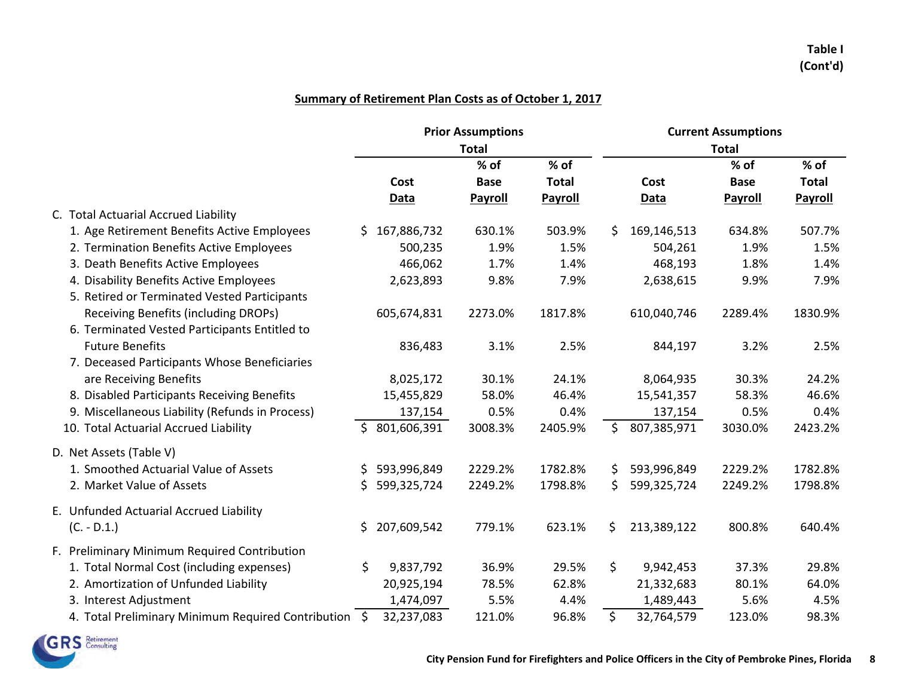#### **Summary of Retirement Plan Costs as of October 1, 2017**

|                                                       | <b>Prior Assumptions</b> |             |              | <b>Current Assumptions</b> |     |             |              |                |  |
|-------------------------------------------------------|--------------------------|-------------|--------------|----------------------------|-----|-------------|--------------|----------------|--|
|                                                       |                          |             | <b>Total</b> |                            |     |             | <b>Total</b> |                |  |
|                                                       |                          |             | % of         | % of                       |     |             | % of         | % of           |  |
|                                                       |                          | Cost        | <b>Base</b>  | <b>Total</b>               |     | Cost        | <b>Base</b>  | <b>Total</b>   |  |
|                                                       |                          | Data        | Payroll      | Payroll                    |     | <b>Data</b> | Payroll      | <b>Payroll</b> |  |
| C. Total Actuarial Accrued Liability                  |                          |             |              |                            |     |             |              |                |  |
| 1. Age Retirement Benefits Active Employees           | Ś.                       | 167,886,732 | 630.1%       | 503.9%                     | \$  | 169,146,513 | 634.8%       | 507.7%         |  |
| 2. Termination Benefits Active Employees              |                          | 500,235     | 1.9%         | 1.5%                       |     | 504,261     | 1.9%         | 1.5%           |  |
| 3. Death Benefits Active Employees                    |                          | 466,062     | 1.7%         | 1.4%                       |     | 468,193     | 1.8%         | 1.4%           |  |
| 4. Disability Benefits Active Employees               |                          | 2,623,893   | 9.8%         | 7.9%                       |     | 2,638,615   | 9.9%         | 7.9%           |  |
| 5. Retired or Terminated Vested Participants          |                          |             |              |                            |     |             |              |                |  |
| Receiving Benefits (including DROPs)                  |                          | 605,674,831 | 2273.0%      | 1817.8%                    |     | 610,040,746 | 2289.4%      | 1830.9%        |  |
| 6. Terminated Vested Participants Entitled to         |                          |             |              |                            |     |             |              |                |  |
| <b>Future Benefits</b>                                |                          | 836,483     | 3.1%         | 2.5%                       |     | 844,197     | 3.2%         | 2.5%           |  |
| 7. Deceased Participants Whose Beneficiaries          |                          |             |              |                            |     |             |              |                |  |
| are Receiving Benefits                                |                          | 8,025,172   | 30.1%        | 24.1%                      |     | 8,064,935   | 30.3%        | 24.2%          |  |
| 8. Disabled Participants Receiving Benefits           |                          | 15,455,829  | 58.0%        | 46.4%                      |     | 15,541,357  | 58.3%        | 46.6%          |  |
| 9. Miscellaneous Liability (Refunds in Process)       |                          | 137,154     | 0.5%         | 0.4%                       |     | 137,154     | 0.5%         | 0.4%           |  |
| 10. Total Actuarial Accrued Liability                 | S.                       | 801,606,391 | 3008.3%      | 2405.9%                    | \$. | 807,385,971 | 3030.0%      | 2423.2%        |  |
| D. Net Assets (Table V)                               |                          |             |              |                            |     |             |              |                |  |
| 1. Smoothed Actuarial Value of Assets                 | Ś.                       | 593,996,849 | 2229.2%      | 1782.8%                    | \$. | 593,996,849 | 2229.2%      | 1782.8%        |  |
| 2. Market Value of Assets                             | \$                       | 599,325,724 | 2249.2%      | 1798.8%                    | \$. | 599,325,724 | 2249.2%      | 1798.8%        |  |
| E. Unfunded Actuarial Accrued Liability               |                          |             |              |                            |     |             |              |                |  |
| $(C. - D.1.)$                                         | \$                       | 207,609,542 | 779.1%       | 623.1%                     | \$  | 213,389,122 | 800.8%       | 640.4%         |  |
| F. Preliminary Minimum Required Contribution          |                          |             |              |                            |     |             |              |                |  |
| 1. Total Normal Cost (including expenses)             | \$.                      | 9,837,792   | 36.9%        | 29.5%                      | \$  | 9,942,453   | 37.3%        | 29.8%          |  |
| 2. Amortization of Unfunded Liability                 |                          | 20,925,194  | 78.5%        | 62.8%                      |     | 21,332,683  | 80.1%        | 64.0%          |  |
| 3. Interest Adjustment                                |                          | 1,474,097   | 5.5%         | 4.4%                       |     | 1,489,443   | 5.6%         | 4.5%           |  |
| 4. Total Preliminary Minimum Required Contribution \$ |                          | 32,237,083  | 121.0%       | 96.8%                      | \$  | 32,764,579  | 123.0%       | 98.3%          |  |

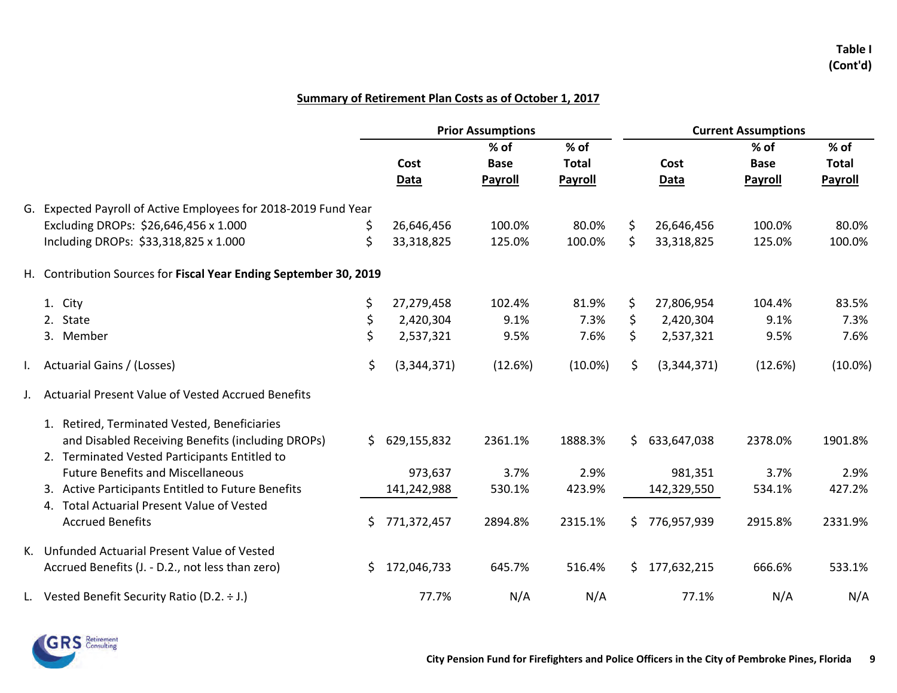#### **Summary of Retirement Plan Costs as of October 1, 2017**

|    |                                                                                                    |    | <b>Prior Assumptions</b> |                |              | <b>Current Assumptions</b> |             |                |                |  |
|----|----------------------------------------------------------------------------------------------------|----|--------------------------|----------------|--------------|----------------------------|-------------|----------------|----------------|--|
|    |                                                                                                    |    |                          | $%$ of         | % of         |                            |             | $%$ of         | $%$ of         |  |
|    |                                                                                                    |    | Cost                     | <b>Base</b>    | <b>Total</b> |                            | Cost        | <b>Base</b>    | <b>Total</b>   |  |
|    |                                                                                                    |    | Data                     | <b>Payroll</b> | Payroll      |                            | Data        | <b>Payroll</b> | <b>Payroll</b> |  |
|    | G. Expected Payroll of Active Employees for 2018-2019 Fund Year                                    |    |                          |                |              |                            |             |                |                |  |
|    | Excluding DROPs: \$26,646,456 x 1.000                                                              | \$ | 26,646,456               | 100.0%         | 80.0%        | \$                         | 26,646,456  | 100.0%         | 80.0%          |  |
|    | Including DROPs: \$33,318,825 x 1.000                                                              | \$ | 33,318,825               | 125.0%         | 100.0%       | \$                         | 33,318,825  | 125.0%         | 100.0%         |  |
|    | H. Contribution Sources for Fiscal Year Ending September 30, 2019                                  |    |                          |                |              |                            |             |                |                |  |
|    | 1. City                                                                                            | \$ | 27,279,458               | 102.4%         | 81.9%        | \$                         | 27,806,954  | 104.4%         | 83.5%          |  |
|    | 2. State                                                                                           | \$ | 2,420,304                | 9.1%           | 7.3%         | \$                         | 2,420,304   | 9.1%           | 7.3%           |  |
|    | 3. Member                                                                                          | \$ | 2,537,321                | 9.5%           | 7.6%         | \$                         | 2,537,321   | 9.5%           | 7.6%           |  |
| I. | Actuarial Gains / (Losses)                                                                         | \$ | (3,344,371)              | (12.6%)        | $(10.0\%)$   | \$.                        | (3,344,371) | (12.6%)        | $(10.0\%)$     |  |
|    | <b>Actuarial Present Value of Vested Accrued Benefits</b>                                          |    |                          |                |              |                            |             |                |                |  |
|    | 1. Retired, Terminated Vested, Beneficiaries                                                       |    |                          |                |              |                            |             |                |                |  |
|    | and Disabled Receiving Benefits (including DROPs)<br>2. Terminated Vested Participants Entitled to | Ś. | 629,155,832              | 2361.1%        | 1888.3%      | \$.                        | 633,647,038 | 2378.0%        | 1901.8%        |  |
|    | <b>Future Benefits and Miscellaneous</b>                                                           |    | 973,637                  | 3.7%           | 2.9%         |                            | 981,351     | 3.7%           | 2.9%           |  |
|    | 3. Active Participants Entitled to Future Benefits                                                 |    | 141,242,988              | 530.1%         | 423.9%       |                            | 142,329,550 | 534.1%         | 427.2%         |  |
|    | <b>Total Actuarial Present Value of Vested</b><br>4.                                               |    |                          |                |              |                            |             |                |                |  |
|    | <b>Accrued Benefits</b>                                                                            | Ś. | 771,372,457              | 2894.8%        | 2315.1%      | Ś.                         | 776,957,939 | 2915.8%        | 2331.9%        |  |
|    | K. Unfunded Actuarial Present Value of Vested                                                      |    |                          |                |              |                            |             |                |                |  |
|    | Accrued Benefits (J. - D.2., not less than zero)                                                   | S. | 172,046,733              | 645.7%         | 516.4%       | Ś.                         | 177,632,215 | 666.6%         | 533.1%         |  |
|    | L. Vested Benefit Security Ratio (D.2. $\div$ J.)                                                  |    | 77.7%                    | N/A            | N/A          |                            | 77.1%       | N/A            | N/A            |  |

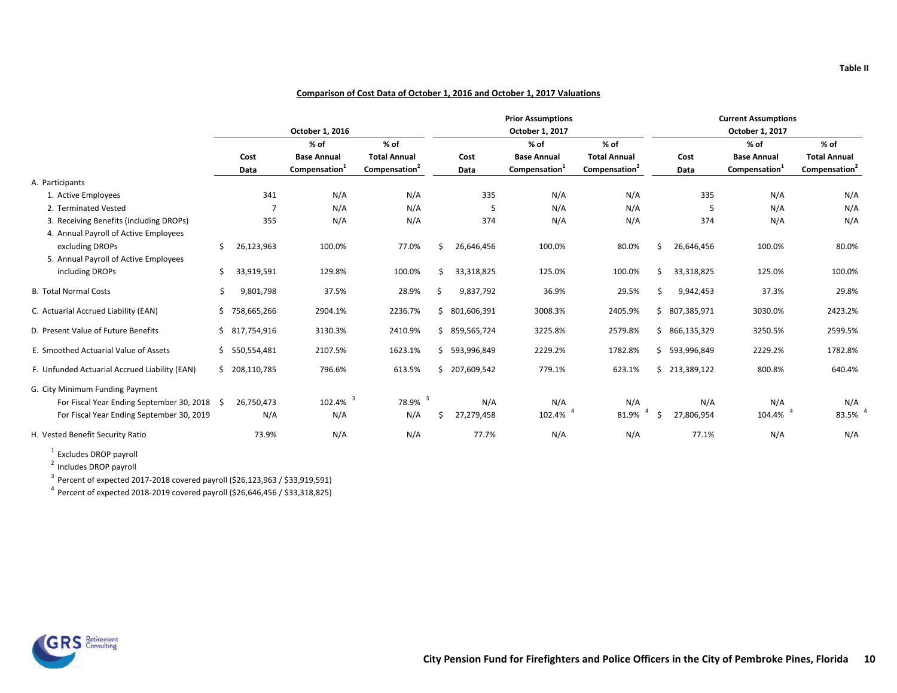|                                               |    |               |                           |                           |    |               | <b>Prior Assumptions</b>  |                           |                 |               | <b>Current Assumptions</b> |                           |
|-----------------------------------------------|----|---------------|---------------------------|---------------------------|----|---------------|---------------------------|---------------------------|-----------------|---------------|----------------------------|---------------------------|
|                                               |    |               | October 1, 2016           |                           |    |               | October 1, 2017           |                           | October 1, 2017 |               |                            |                           |
|                                               |    |               | % of                      | % of                      |    |               | % of                      | $%$ of                    |                 |               | % of                       | % of                      |
|                                               |    | Cost          | <b>Base Annual</b>        | <b>Total Annual</b>       |    | Cost          | <b>Base Annual</b>        | <b>Total Annual</b>       |                 | Cost          | <b>Base Annual</b>         | <b>Total Annual</b>       |
|                                               |    | Data          | Compensation <sup>1</sup> | Compensation <sup>2</sup> |    | Data          | Compensation <sup>1</sup> | Compensation <sup>2</sup> |                 | Data          | Compensation <sup>1</sup>  | Compensation <sup>2</sup> |
| A. Participants                               |    |               |                           |                           |    |               |                           |                           |                 |               |                            |                           |
| 1. Active Employees                           |    | 341           | N/A                       | N/A                       |    | 335           | N/A                       | N/A                       |                 | 335           | N/A                        | N/A                       |
| 2. Terminated Vested                          |    |               | N/A                       | N/A                       |    | 5             | N/A                       | N/A                       |                 | 5             | N/A                        | N/A                       |
| 3. Receiving Benefits (including DROPs)       |    | 355           | N/A                       | N/A                       |    | 374           | N/A                       | N/A                       |                 | 374           | N/A                        | N/A                       |
| 4. Annual Payroll of Active Employees         |    |               |                           |                           |    |               |                           |                           |                 |               |                            |                           |
| excluding DROPs                               | \$ | 26,123,963    | 100.0%                    | 77.0%                     |    | 26,646,456    | 100.0%                    | 80.0%                     |                 | 26,646,456    | 100.0%                     | 80.0%                     |
| 5. Annual Payroll of Active Employees         |    |               |                           |                           |    |               |                           |                           |                 |               |                            |                           |
| including DROPs                               | \$ | 33,919,591    | 129.8%                    | 100.0%                    |    | 33,318,825    | 125.0%                    | 100.0%                    |                 | 33,318,825    | 125.0%                     | 100.0%                    |
| <b>B. Total Normal Costs</b>                  | Ś. | 9,801,798     | 37.5%                     | 28.9%                     | Š. | 9,837,792     | 36.9%                     | 29.5%                     |                 | 9,942,453     | 37.3%                      | 29.8%                     |
| C. Actuarial Accrued Liability (EAN)          |    | \$758,665,266 | 2904.1%                   | 2236.7%                   |    | \$801,606,391 | 3008.3%                   | 2405.9%                   |                 | \$807,385,971 | 3030.0%                    | 2423.2%                   |
| D. Present Value of Future Benefits           |    | \$817,754,916 | 3130.3%                   | 2410.9%                   |    | \$859,565,724 | 3225.8%                   | 2579.8%                   |                 | \$866,135,329 | 3250.5%                    | 2599.5%                   |
| E. Smoothed Actuarial Value of Assets         |    | \$550,554,481 | 2107.5%                   | 1623.1%                   |    | \$593,996,849 | 2229.2%                   | 1782.8%                   |                 | \$593,996,849 | 2229.2%                    | 1782.8%                   |
| F. Unfunded Actuarial Accrued Liability (EAN) |    | \$208,110,785 | 796.6%                    | 613.5%                    |    | \$207,609,542 | 779.1%                    | 623.1%                    |                 | \$213,389,122 | 800.8%                     | 640.4%                    |
| G. City Minimum Funding Payment               |    |               |                           |                           |    |               |                           |                           |                 |               |                            |                           |
| For Fiscal Year Ending September 30, 2018     |    | 26,750,473    | 102.4% 3                  | 78.9% <sup>3</sup>        |    | N/A           | N/A                       | N/A                       |                 | N/A           | N/A                        | N/A                       |
| For Fiscal Year Ending September 30, 2019     |    | N/A           | N/A                       | N/A                       |    | 27,279,458    | 102.4%                    | 4<br>81.9%                | S               | 27,806,954    | 104.4%                     | 83.5%                     |
| H. Vested Benefit Security Ratio              |    | 73.9%         | N/A                       | N/A                       |    | 77.7%         | N/A                       | N/A                       |                 | 77.1%         | N/A                        | N/A                       |

#### **Comparison of Cost Data of October 1, 2016 and October 1, 2017 Valuations**

 $1$  Excludes DROP payroll

<sup>2</sup> Includes DROP payroll

<sup>3</sup> Percent of expected 2017-2018 covered payroll (\$26,123,963 / \$33,919,591)

<sup>4</sup> Percent of expected 2018-2019 covered payroll (\$26,646,456 / \$33,318,825)

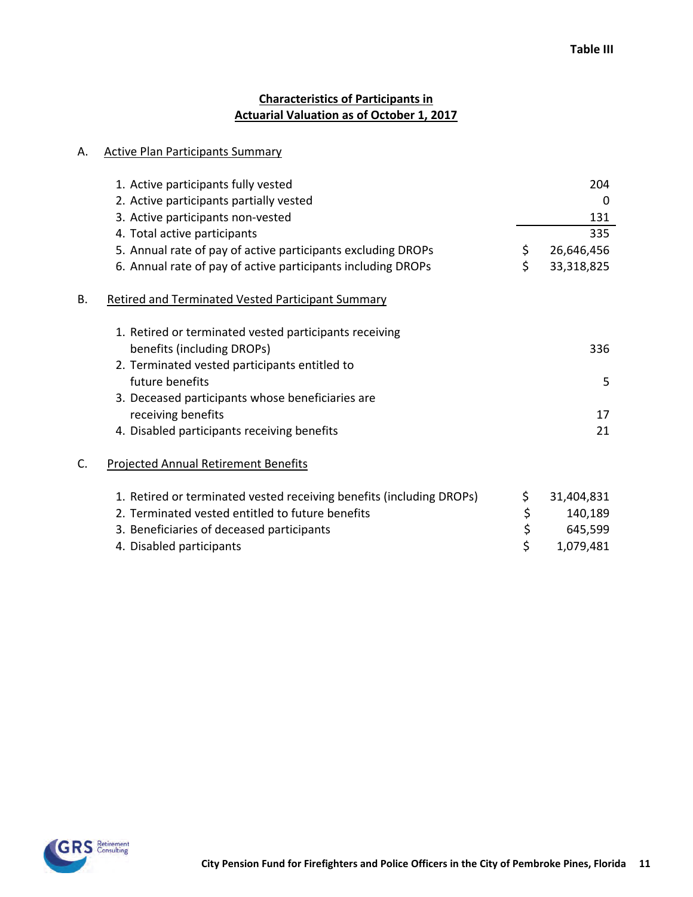## **Actuarial Valuation as of October 1, 2017 Characteristics of Participants in**

#### A. Active Plan Participants Summary

|    | 1. Active participants fully vested                                  | 204              |
|----|----------------------------------------------------------------------|------------------|
|    | 2. Active participants partially vested                              | 0                |
|    | 3. Active participants non-vested                                    | 131              |
|    | 4. Total active participants                                         | 335              |
|    | 5. Annual rate of pay of active participants excluding DROPs         | \$<br>26,646,456 |
|    | 6. Annual rate of pay of active participants including DROPs         | \$<br>33,318,825 |
| В. | Retired and Terminated Vested Participant Summary                    |                  |
|    | 1. Retired or terminated vested participants receiving               |                  |
|    | benefits (including DROPs)                                           | 336              |
|    | 2. Terminated vested participants entitled to                        |                  |
|    | future benefits                                                      | 5                |
|    | 3. Deceased participants whose beneficiaries are                     |                  |
|    | receiving benefits                                                   | 17               |
|    | 4. Disabled participants receiving benefits                          | 21               |
| C. | <b>Projected Annual Retirement Benefits</b>                          |                  |
|    | 1. Retired or terminated vested receiving benefits (including DROPs) | \$<br>31,404,831 |
|    | 2. Terminated vested entitled to future benefits                     | \$<br>140,189    |
|    | 3. Beneficiaries of deceased participants                            | \$<br>645,599    |
|    | 4. Disabled participants                                             | \$<br>1,079,481  |

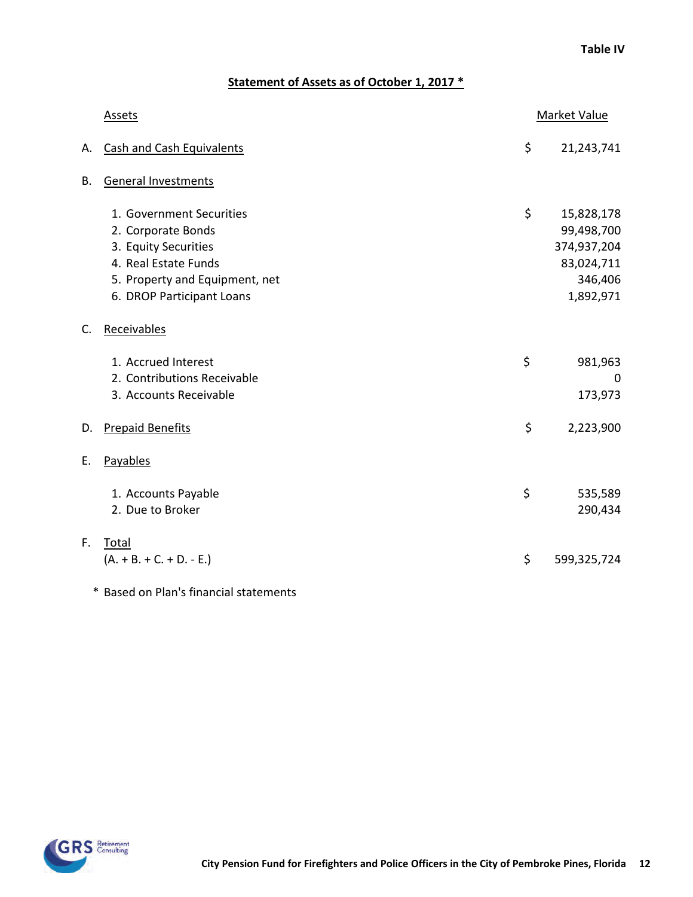## **Statement of Assets as of October 1, 2017 \***

|           | Assets                                                                                                                                                        | Market Value                                                                        |
|-----------|---------------------------------------------------------------------------------------------------------------------------------------------------------------|-------------------------------------------------------------------------------------|
| А.        | <b>Cash and Cash Equivalents</b>                                                                                                                              | \$<br>21,243,741                                                                    |
| <b>B.</b> | <b>General Investments</b>                                                                                                                                    |                                                                                     |
|           | 1. Government Securities<br>2. Corporate Bonds<br>3. Equity Securities<br>4. Real Estate Funds<br>5. Property and Equipment, net<br>6. DROP Participant Loans | \$<br>15,828,178<br>99,498,700<br>374,937,204<br>83,024,711<br>346,406<br>1,892,971 |
| C.        | Receivables                                                                                                                                                   |                                                                                     |
|           | 1. Accrued Interest<br>2. Contributions Receivable<br>3. Accounts Receivable                                                                                  | \$<br>981,963<br>0<br>173,973                                                       |
| D.        | <b>Prepaid Benefits</b>                                                                                                                                       | \$<br>2,223,900                                                                     |
| E.        | Payables                                                                                                                                                      |                                                                                     |
|           | 1. Accounts Payable<br>2. Due to Broker                                                                                                                       | \$<br>535,589<br>290,434                                                            |
| F.        | Total<br>$(A. + B. + C. + D. - E.)$                                                                                                                           | \$<br>599,325,724                                                                   |
|           | * Based on Plan's financial statements                                                                                                                        |                                                                                     |

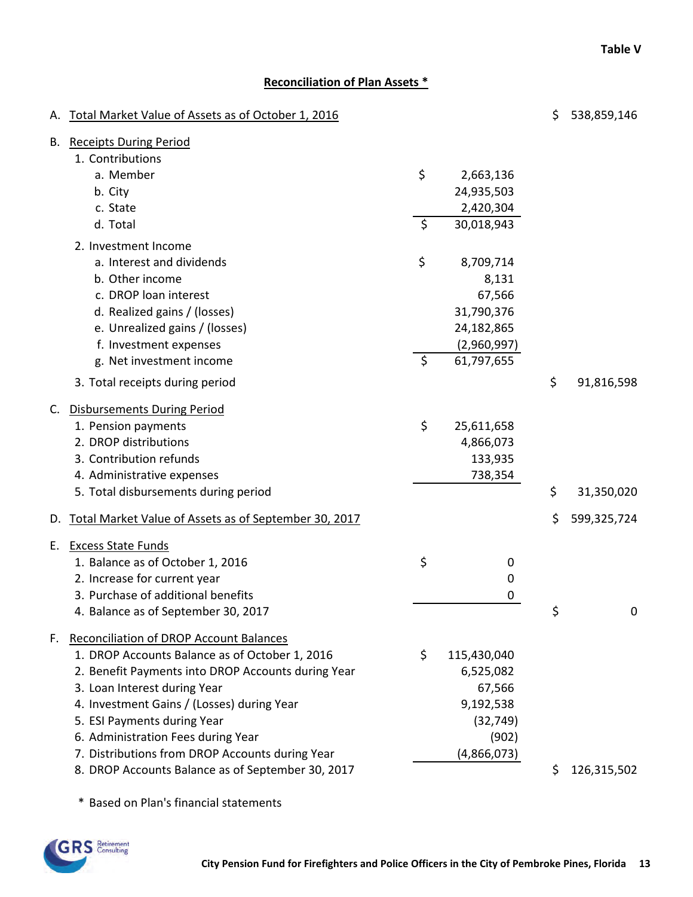## **Reconciliation of Plan Assets \***

| А. | Total Market Value of Assets as of October 1, 2016    |         |                  | \$<br>538,859,146 |
|----|-------------------------------------------------------|---------|------------------|-------------------|
| В. | <b>Receipts During Period</b><br>1. Contributions     |         |                  |                   |
|    | a. Member                                             | \$      | 2,663,136        |                   |
|    | b. City                                               |         | 24,935,503       |                   |
|    | c. State                                              |         | 2,420,304        |                   |
|    | d. Total                                              | $\zeta$ | 30,018,943       |                   |
|    | 2. Investment Income                                  |         |                  |                   |
|    | a. Interest and dividends                             | \$      | 8,709,714        |                   |
|    | b. Other income                                       |         | 8,131            |                   |
|    | c. DROP loan interest                                 |         | 67,566           |                   |
|    | d. Realized gains / (losses)                          |         | 31,790,376       |                   |
|    | e. Unrealized gains / (losses)                        |         | 24,182,865       |                   |
|    | f. Investment expenses                                |         | (2,960,997)      |                   |
|    | g. Net investment income                              | \$      | 61,797,655       |                   |
|    | 3. Total receipts during period                       |         |                  | \$<br>91,816,598  |
| C. | <b>Disbursements During Period</b>                    |         |                  |                   |
|    | 1. Pension payments                                   | \$      | 25,611,658       |                   |
|    | 2. DROP distributions                                 |         | 4,866,073        |                   |
|    | 3. Contribution refunds                               |         | 133,935          |                   |
|    | 4. Administrative expenses                            |         | 738,354          |                   |
|    | 5. Total disbursements during period                  |         |                  | \$<br>31,350,020  |
| D. | Total Market Value of Assets as of September 30, 2017 |         |                  | \$<br>599,325,724 |
| Е. | <b>Excess State Funds</b>                             |         |                  |                   |
|    | 1. Balance as of October 1, 2016                      | \$      | $\mathbf 0$      |                   |
|    | 2. Increase for current year                          |         | $\boldsymbol{0}$ |                   |
|    | 3. Purchase of additional benefits                    |         | $\mathbf 0$      |                   |
|    | 4. Balance as of September 30, 2017                   |         |                  | \$<br>0           |
| F. | <b>Reconciliation of DROP Account Balances</b>        |         |                  |                   |
|    | 1. DROP Accounts Balance as of October 1, 2016        | \$      | 115,430,040      |                   |
|    | 2. Benefit Payments into DROP Accounts during Year    |         | 6,525,082        |                   |
|    | 3. Loan Interest during Year                          |         | 67,566           |                   |
|    | 4. Investment Gains / (Losses) during Year            |         | 9,192,538        |                   |
|    | 5. ESI Payments during Year                           |         | (32, 749)        |                   |
|    | 6. Administration Fees during Year                    |         | (902)            |                   |
|    | 7. Distributions from DROP Accounts during Year       |         | (4,866,073)      |                   |
|    | 8. DROP Accounts Balance as of September 30, 2017     |         |                  | \$<br>126,315,502 |

\* Based on Plan's financial statements

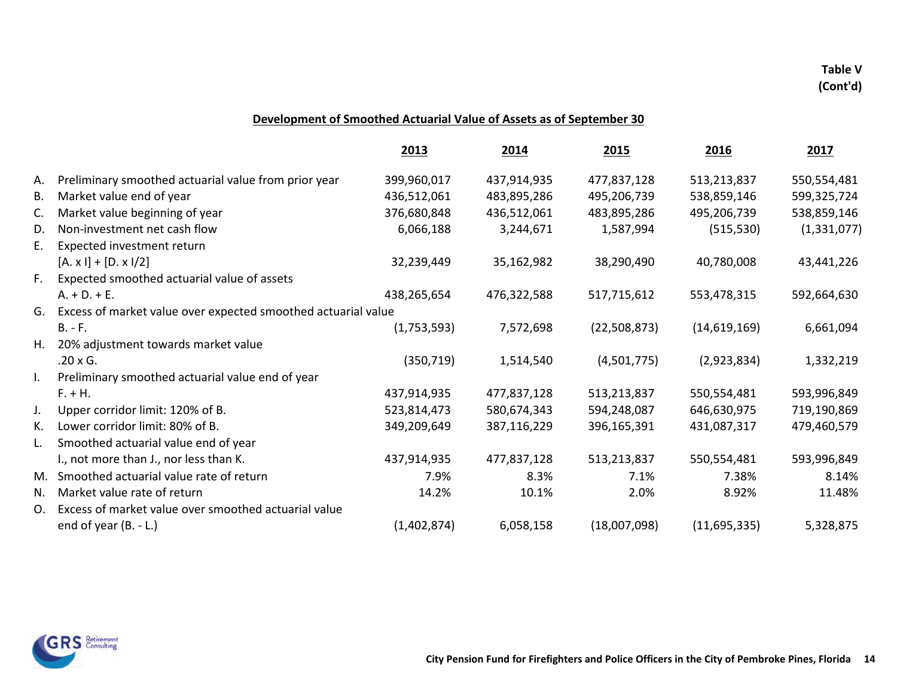## **Development of Smoothed Actuarial Value of Assets as of September 30**

|    |                                                               | 2013        | 2014        | 2015         | 2016         | 2017        |
|----|---------------------------------------------------------------|-------------|-------------|--------------|--------------|-------------|
| А. | Preliminary smoothed actuarial value from prior year          | 399,960,017 | 437,914,935 | 477,837,128  | 513,213,837  | 550,554,481 |
| В. | Market value end of year                                      | 436,512,061 | 483,895,286 | 495,206,739  | 538,859,146  | 599,325,724 |
| C. | Market value beginning of year                                | 376,680,848 | 436,512,061 | 483,895,286  | 495,206,739  | 538,859,146 |
| D. | Non-investment net cash flow                                  | 6,066,188   | 3,244,671   | 1,587,994    | (515, 530)   | (1,331,077) |
| E. | Expected investment return                                    |             |             |              |              |             |
|    | $[A x I] + [D x I/2]$                                         | 32,239,449  | 35,162,982  | 38,290,490   | 40,780,008   | 43,441,226  |
| F. | Expected smoothed actuarial value of assets                   |             |             |              |              |             |
|    | $A. + D. + E.$                                                | 438,265,654 | 476,322,588 | 517,715,612  | 553,478,315  | 592,664,630 |
| G. | Excess of market value over expected smoothed actuarial value |             |             |              |              |             |
|    | $B. - F.$                                                     | (1,753,593) | 7,572,698   | (22,508,873) | (14,619,169) | 6,661,094   |
|    | H. 20% adjustment towards market value                        |             |             |              |              |             |
|    | .20 x G.                                                      | (350, 719)  | 1,514,540   | (4,501,775)  | (2,923,834)  | 1,332,219   |
| Ι. | Preliminary smoothed actuarial value end of year              |             |             |              |              |             |
|    | $F. + H.$                                                     | 437,914,935 | 477,837,128 | 513,213,837  | 550,554,481  | 593,996,849 |
| J. | Upper corridor limit: 120% of B.                              | 523,814,473 | 580,674,343 | 594,248,087  | 646,630,975  | 719,190,869 |
| К. | Lower corridor limit: 80% of B.                               | 349,209,649 | 387,116,229 | 396,165,391  | 431,087,317  | 479,460,579 |
| L. | Smoothed actuarial value end of year                          |             |             |              |              |             |
|    | I., not more than J., nor less than K.                        | 437,914,935 | 477,837,128 | 513,213,837  | 550,554,481  | 593,996,849 |
| M. | Smoothed actuarial value rate of return                       | 7.9%        | 8.3%        | 7.1%         | 7.38%        | 8.14%       |
| N. | Market value rate of return                                   | 14.2%       | 10.1%       | 2.0%         | 8.92%        | 11.48%      |
|    | O. Excess of market value over smoothed actuarial value       |             |             |              |              |             |
|    | end of year $(B. - L.)$                                       | (1,402,874) | 6,058,158   | (18,007,098) | (11,695,335) | 5,328,875   |
|    |                                                               |             |             |              |              |             |

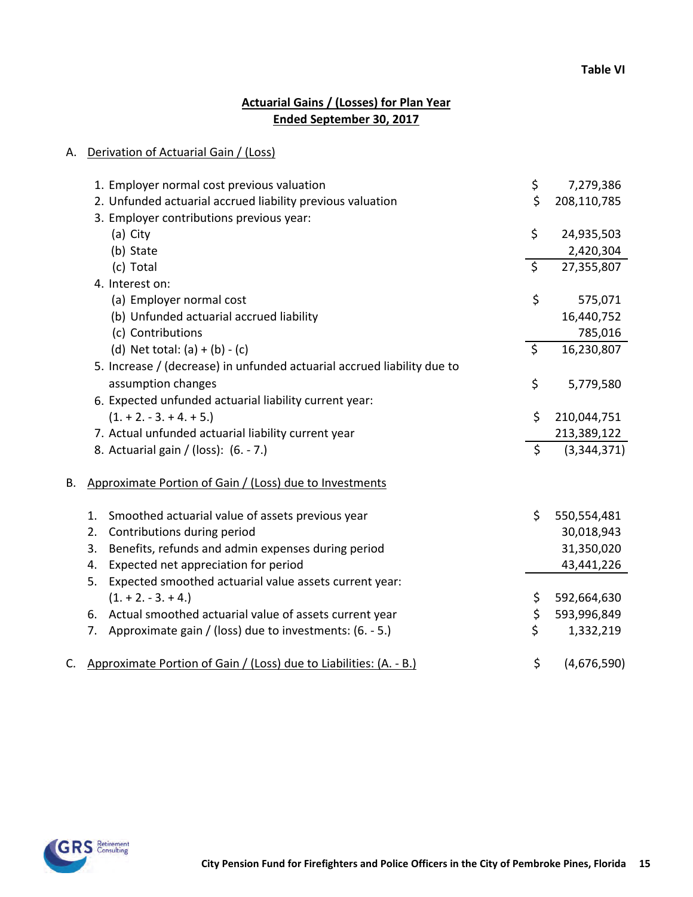## **Ended September 30, 2017 Actuarial Gains / (Losses) for Plan Year**

## A. Derivation of Actuarial Gain / (Loss)

|    | 1. Employer normal cost previous valuation                              | \$                     | 7,279,386   |
|----|-------------------------------------------------------------------------|------------------------|-------------|
|    | 2. Unfunded actuarial accrued liability previous valuation              | \$                     | 208,110,785 |
|    | 3. Employer contributions previous year:                                |                        |             |
|    | (a) City                                                                | \$                     | 24,935,503  |
|    | (b) State                                                               |                        | 2,420,304   |
|    | (c) Total                                                               | $\overline{\xi}$       | 27,355,807  |
|    | 4. Interest on:                                                         |                        |             |
|    | (a) Employer normal cost                                                | \$                     | 575,071     |
|    | (b) Unfunded actuarial accrued liability                                |                        | 16,440,752  |
|    | (c) Contributions                                                       |                        | 785,016     |
|    | (d) Net total: $(a) + (b) - (c)$                                        | $\overline{\varsigma}$ | 16,230,807  |
|    | 5. Increase / (decrease) in unfunded actuarial accrued liability due to |                        |             |
|    | assumption changes                                                      | \$                     | 5,779,580   |
|    | 6. Expected unfunded actuarial liability current year:                  |                        |             |
|    | $(1. + 2. - 3. + 4. + 5.)$                                              | \$                     | 210,044,751 |
|    | 7. Actual unfunded actuarial liability current year                     |                        | 213,389,122 |
|    | 8. Actuarial gain / (loss): (6. - 7.)                                   | \$                     | (3,344,371) |
| В. | Approximate Portion of Gain / (Loss) due to Investments                 |                        |             |
|    | Smoothed actuarial value of assets previous year<br>1.                  | \$                     | 550,554,481 |
|    | Contributions during period<br>2.                                       |                        | 30,018,943  |
|    | Benefits, refunds and admin expenses during period<br>3.                |                        | 31,350,020  |
|    | Expected net appreciation for period<br>4.                              |                        | 43,441,226  |
|    | Expected smoothed actuarial value assets current year:<br>5.            |                        |             |
|    | $(1. + 2. - 3. + 4.)$                                                   | \$                     | 592,664,630 |
|    | 6. Actual smoothed actuarial value of assets current year               | \$                     | 593,996,849 |
|    | Approximate gain / (loss) due to investments: (6. - 5.)<br>7.           | \$                     | 1,332,219   |
| C. | Approximate Portion of Gain / (Loss) due to Liabilities: (A. - B.)      | \$                     | (4,676,590) |

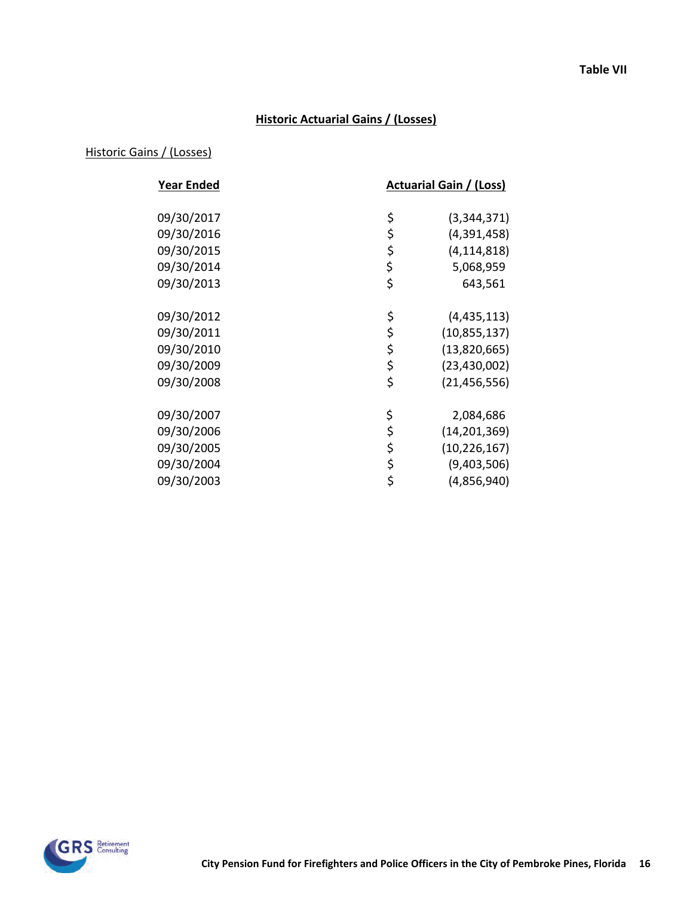## **Historic Actuarial Gains / (Losses)**

## Historic Gains / (Losses)

| <b>Year Ended</b> | <b>Actuarial Gain / (Loss)</b> |
|-------------------|--------------------------------|
| 09/30/2017        | \$<br>(3,344,371)              |
| 09/30/2016        | \$<br>(4,391,458)              |
| 09/30/2015        | \$<br>(4, 114, 818)            |
| 09/30/2014        | \$<br>5,068,959                |
| 09/30/2013        | \$<br>643,561                  |
| 09/30/2012        | \$<br>(4,435,113)              |
| 09/30/2011        | \$<br>(10, 855, 137)           |
| 09/30/2010        | \$<br>(13,820,665)             |
| 09/30/2009        | \$<br>(23, 430, 002)           |
| 09/30/2008        | \$<br>(21, 456, 556)           |
| 09/30/2007        | \$<br>2,084,686                |
| 09/30/2006        | \$<br>(14, 201, 369)           |
| 09/30/2005        | \$<br>(10, 226, 167)           |
| 09/30/2004        | \$<br>(9,403,506)              |
| 09/30/2003        | \$<br>(4,856,940)              |

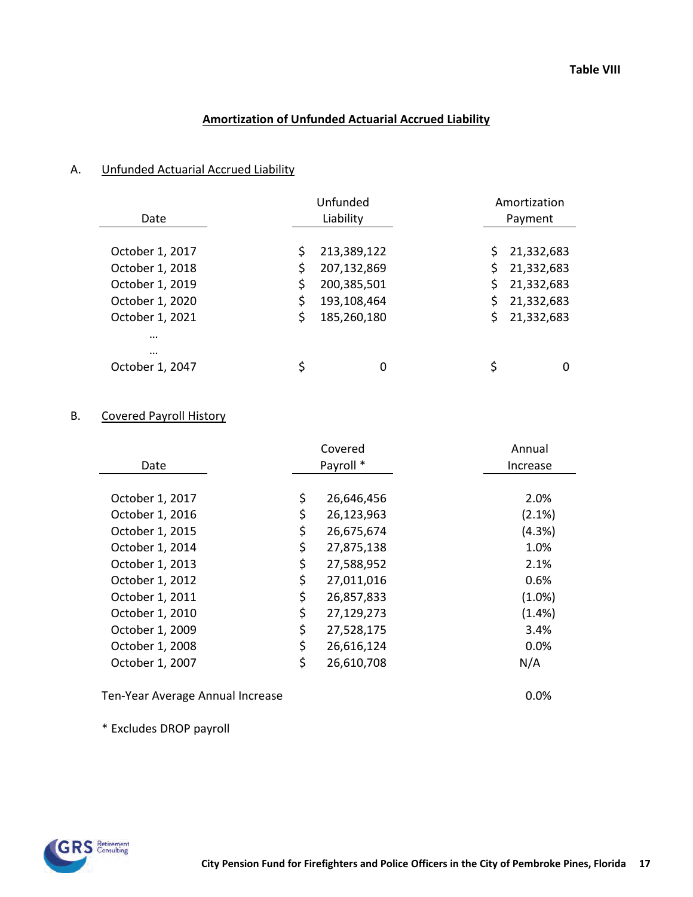## **Amortization of Unfunded Actuarial Accrued Liability**

## A. Unfunded Actuarial Accrued Liability

|                 | Unfunded          |    | Amortization |
|-----------------|-------------------|----|--------------|
| Date            | Liability         |    | Payment      |
|                 |                   |    |              |
| October 1, 2017 | \$<br>213,389,122 | S. | 21,332,683   |
| October 1, 2018 | \$<br>207,132,869 | \$ | 21,332,683   |
| October 1, 2019 | \$<br>200,385,501 |    | 21,332,683   |
| October 1, 2020 | \$<br>193,108,464 | S. | 21,332,683   |
| October 1, 2021 | \$<br>185,260,180 | \$ | 21,332,683   |
| $\cdots$        |                   |    |              |
| $\cdots$        |                   |    |              |
| October 1, 2047 | 0                 | \$ | 0            |

## B. Covered Payroll History

|                 | Covered          | Annual    |
|-----------------|------------------|-----------|
| Date            | Payroll *        | Increase  |
|                 |                  |           |
| October 1, 2017 | \$<br>26,646,456 | 2.0%      |
| October 1, 2016 | \$<br>26,123,963 | (2.1%)    |
| October 1, 2015 | \$<br>26,675,674 | (4.3%)    |
| October 1, 2014 | \$<br>27,875,138 | 1.0%      |
| October 1, 2013 | \$<br>27,588,952 | 2.1%      |
| October 1, 2012 | \$<br>27,011,016 | 0.6%      |
| October 1, 2011 | \$<br>26,857,833 | (1.0%)    |
| October 1, 2010 | \$<br>27,129,273 | $(1.4\%)$ |
| October 1, 2009 | \$<br>27,528,175 | 3.4%      |
| October 1, 2008 | \$<br>26,616,124 | 0.0%      |
| October 1, 2007 | \$<br>26,610,708 | N/A       |
|                 |                  |           |

Ten-Year Average Annual Increase 0.0%

\* Excludes DROP payroll

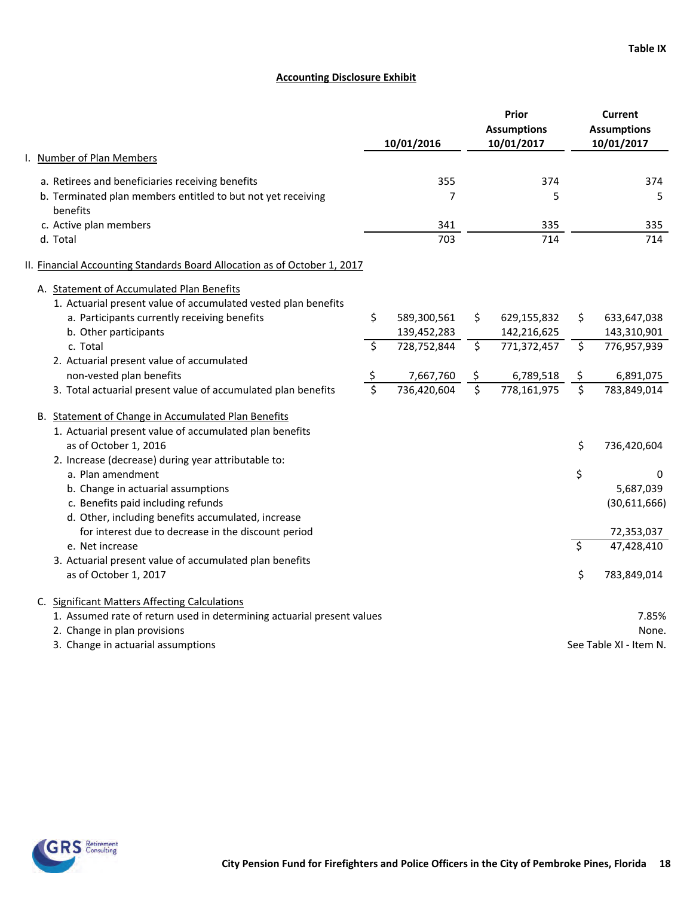|                                                                           |                   |                         | Prior<br><b>Assumptions</b> |                  | Current<br><b>Assumptions</b> |
|---------------------------------------------------------------------------|-------------------|-------------------------|-----------------------------|------------------|-------------------------------|
|                                                                           | 10/01/2016        |                         | 10/01/2017                  |                  | 10/01/2017                    |
| I. Number of Plan Members                                                 |                   |                         |                             |                  |                               |
| a. Retirees and beneficiaries receiving benefits                          | 355               |                         | 374                         |                  | 374                           |
| b. Terminated plan members entitled to but not yet receiving<br>benefits  | 7                 |                         | 5                           |                  | 5                             |
| c. Active plan members                                                    | 341               |                         | 335                         |                  | 335                           |
| d. Total                                                                  | 703               |                         | 714                         |                  | 714                           |
| II. Financial Accounting Standards Board Allocation as of October 1, 2017 |                   |                         |                             |                  |                               |
| A. Statement of Accumulated Plan Benefits                                 |                   |                         |                             |                  |                               |
| 1. Actuarial present value of accumulated vested plan benefits            |                   |                         |                             |                  |                               |
| a. Participants currently receiving benefits                              | \$<br>589,300,561 | \$                      | 629,155,832                 | \$.              | 633,647,038                   |
| b. Other participants                                                     | 139,452,283       |                         | 142,216,625                 |                  | 143,310,901                   |
| c. Total                                                                  | \$<br>728,752,844 | \$                      | 771,372,457                 | \$               | 776,957,939                   |
| 2. Actuarial present value of accumulated                                 |                   |                         |                             |                  |                               |
| non-vested plan benefits                                                  | \$<br>7,667,760   | \$                      | 6,789,518                   | \$               | 6,891,075                     |
| 3. Total actuarial present value of accumulated plan benefits             | \$<br>736,420,604 | $\overline{\mathsf{S}}$ | 778,161,975                 | \$               | 783,849,014                   |
| B. Statement of Change in Accumulated Plan Benefits                       |                   |                         |                             |                  |                               |
| 1. Actuarial present value of accumulated plan benefits                   |                   |                         |                             |                  |                               |
| as of October 1, 2016                                                     |                   |                         |                             | \$               | 736,420,604                   |
| 2. Increase (decrease) during year attributable to:                       |                   |                         |                             |                  |                               |
| a. Plan amendment                                                         |                   |                         |                             | \$               | 0                             |
| b. Change in actuarial assumptions                                        |                   |                         |                             |                  | 5,687,039                     |
| c. Benefits paid including refunds                                        |                   |                         |                             |                  | (30,611,666)                  |
| d. Other, including benefits accumulated, increase                        |                   |                         |                             |                  |                               |
| for interest due to decrease in the discount period                       |                   |                         |                             |                  | 72,353,037                    |
| e. Net increase                                                           |                   |                         |                             | $\overline{\xi}$ | 47,428,410                    |
| 3. Actuarial present value of accumulated plan benefits                   |                   |                         |                             |                  |                               |
| as of October 1, 2017                                                     |                   |                         |                             | \$               | 783,849,014                   |
| C. Significant Matters Affecting Calculations                             |                   |                         |                             |                  |                               |
| 1. Assumed rate of return used in determining actuarial present values    |                   |                         |                             |                  | 7.85%                         |
| 2. Change in plan provisions                                              |                   |                         |                             |                  | None.                         |
| 3. Change in actuarial assumptions                                        |                   |                         |                             |                  | See Table XI - Item N.        |

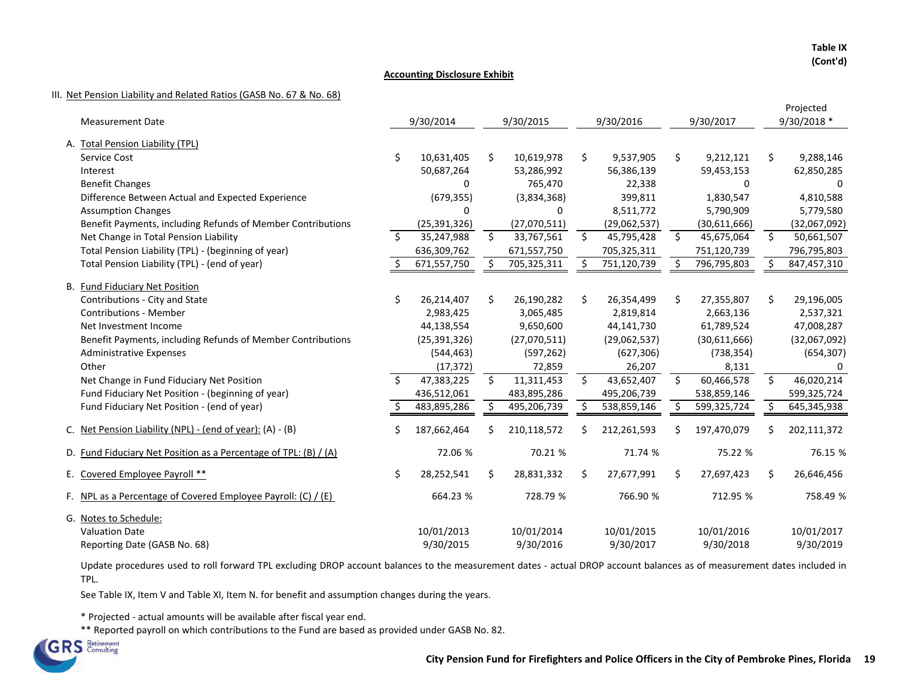#### III. Net Pension Liability and Related Ratios (GASB No. 67 & No. 68)

|                                                                  |    |                |    |              |    |              |    |              |    | Projected    |
|------------------------------------------------------------------|----|----------------|----|--------------|----|--------------|----|--------------|----|--------------|
| <b>Measurement Date</b>                                          |    | 9/30/2014      |    | 9/30/2015    |    | 9/30/2016    |    | 9/30/2017    |    | 9/30/2018 *  |
| A. Total Pension Liability (TPL)                                 |    |                |    |              |    |              |    |              |    |              |
| Service Cost                                                     | \$ | 10,631,405     | Ś. | 10,619,978   | \$ | 9,537,905    | \$ | 9,212,121    | \$ | 9,288,146    |
| Interest                                                         |    | 50,687,264     |    | 53,286,992   |    | 56,386,139   |    | 59,453,153   |    | 62,850,285   |
| <b>Benefit Changes</b>                                           |    | 0              |    | 765,470      |    | 22,338       |    | 0            |    |              |
| Difference Between Actual and Expected Experience                |    | (679, 355)     |    | (3,834,368)  |    | 399,811      |    | 1,830,547    |    | 4,810,588    |
| <b>Assumption Changes</b>                                        |    | 0              |    | 0            |    | 8,511,772    |    | 5,790,909    |    | 5,779,580    |
| Benefit Payments, including Refunds of Member Contributions      |    | (25, 391, 326) |    | (27,070,511) |    | (29,062,537) |    | (30,611,666) |    | (32,067,092) |
| Net Change in Total Pension Liability                            | Ŝ. | 35,247,988     | \$ | 33,767,561   | \$ | 45,795,428   | Ŝ. | 45,675,064   | \$ | 50,661,507   |
| Total Pension Liability (TPL) - (beginning of year)              |    | 636,309,762    |    | 671,557,750  |    | 705,325,311  |    | 751,120,739  |    | 796,795,803  |
| Total Pension Liability (TPL) - (end of year)                    |    | 671,557,750    |    | 705,325,311  |    | 751,120,739  | Ś  | 796,795,803  |    | 847,457,310  |
|                                                                  |    |                |    |              |    |              |    |              |    |              |
| B. Fund Fiduciary Net Position                                   |    |                |    |              |    |              |    |              |    |              |
| Contributions - City and State                                   | Ś. | 26,214,407     | Ś. | 26,190,282   | Ŝ. | 26,354,499   | Ś. | 27,355,807   | \$ | 29,196,005   |
| <b>Contributions - Member</b>                                    |    | 2,983,425      |    | 3,065,485    |    | 2,819,814    |    | 2,663,136    |    | 2,537,321    |
| Net Investment Income                                            |    | 44,138,554     |    | 9,650,600    |    | 44,141,730   |    | 61,789,524   |    | 47,008,287   |
| Benefit Payments, including Refunds of Member Contributions      |    | (25, 391, 326) |    | (27,070,511) |    | (29,062,537) |    | (30,611,666) |    | (32,067,092) |
| Administrative Expenses                                          |    | (544, 463)     |    | (597, 262)   |    | (627, 306)   |    | (738, 354)   |    | (654, 307)   |
| Other                                                            |    | (17, 372)      |    | 72,859       |    | 26,207       |    | 8,131        |    | 0            |
| Net Change in Fund Fiduciary Net Position                        |    | 47,383,225     | Ś. | 11,311,453   | \$ | 43,652,407   | Ŝ. | 60,466,578   | Ś. | 46,020,214   |
| Fund Fiduciary Net Position - (beginning of year)                |    | 436,512,061    |    | 483,895,286  |    | 495,206,739  |    | 538,859,146  |    | 599,325,724  |
| Fund Fiduciary Net Position - (end of year)                      |    | 483,895,286    |    | 495,206,739  | Ś  | 538,859,146  | \$ | 599,325,724  | Ś. | 645,345,938  |
| C. Net Pension Liability (NPL) - (end of year): (A) - (B)        |    | 187,662,464    |    | 210,118,572  |    | 212,261,593  | Ś  | 197,470,079  |    | 202,111,372  |
| D. Fund Fiduciary Net Position as a Percentage of TPL: (B) / (A) |    | 72.06 %        |    | 70.21 %      |    | 71.74 %      |    | 75.22 %      |    | 76.15 %      |
| E. Covered Employee Payroll **                                   | \$ | 28,252,541     | Ś. | 28,831,332   | Ŝ. | 27,677,991   | Ś. | 27,697,423   | \$ | 26,646,456   |
| F. NPL as a Percentage of Covered Employee Payroll: (C) / (E)    |    | 664.23 %       |    | 728.79 %     |    | 766.90 %     |    | 712.95 %     |    | 758.49 %     |
| G. Notes to Schedule:                                            |    |                |    |              |    |              |    |              |    |              |
| <b>Valuation Date</b>                                            |    | 10/01/2013     |    | 10/01/2014   |    | 10/01/2015   |    | 10/01/2016   |    | 10/01/2017   |
| Reporting Date (GASB No. 68)                                     |    | 9/30/2015      |    | 9/30/2016    |    | 9/30/2017    |    | 9/30/2018    |    | 9/30/2019    |

Update procedures used to roll forward TPL excluding DROP account balances to the measurement dates - actual DROP account balances as of measurement dates included in TPL.

See Table IX, Item V and Table XI, Item N. for benefit and assumption changes during the years.

\* Projected - actual amounts will be available after fiscal year end.

\*\* Reported payroll on which contributions to the Fund are based as provided under GASB No. 82.

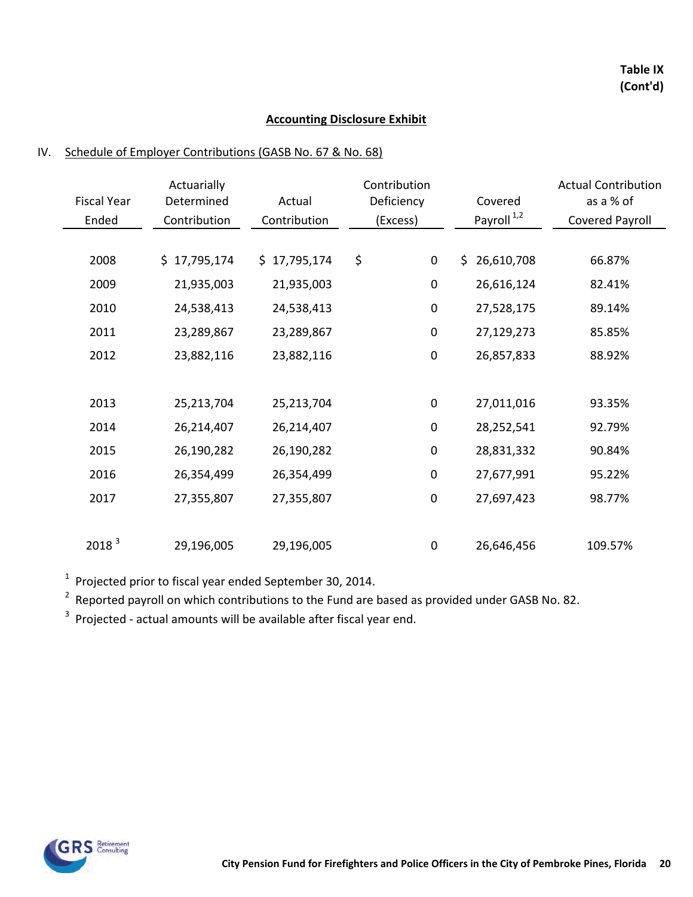## IV. Schedule of Employer Contributions (GASB No. 67 & No. 68)

| <b>Fiscal Year</b><br>Ended | Actuarially<br>Determined<br>Contribution | Actual<br>Contribution | Contribution<br>Deficiency<br>(Excess) | Covered<br>Payroll <sup>1,2</sup> | <b>Actual Contribution</b><br>as a % of<br><b>Covered Payroll</b> |
|-----------------------------|-------------------------------------------|------------------------|----------------------------------------|-----------------------------------|-------------------------------------------------------------------|
| 2008                        | 17,795,174<br>\$.                         | \$17,795,174           | \$<br>$\mathbf 0$                      | \$.<br>26,610,708                 | 66.87%                                                            |
| 2009                        | 21,935,003                                | 21,935,003             | $\pmb{0}$                              | 26,616,124                        | 82.41%                                                            |
| 2010                        | 24,538,413                                | 24,538,413             | $\pmb{0}$                              | 27,528,175                        | 89.14%                                                            |
| 2011                        | 23,289,867                                | 23,289,867             | $\pmb{0}$                              | 27,129,273                        | 85.85%                                                            |
| 2012                        | 23,882,116                                | 23,882,116             | $\mathbf 0$                            | 26,857,833                        | 88.92%                                                            |
|                             |                                           |                        |                                        |                                   |                                                                   |
| 2013                        | 25,213,704                                | 25,213,704             | $\mathbf 0$                            | 27,011,016                        | 93.35%                                                            |
| 2014                        | 26,214,407                                | 26,214,407             | $\mathbf 0$                            | 28,252,541                        | 92.79%                                                            |
| 2015                        | 26,190,282                                | 26,190,282             | 0                                      | 28,831,332                        | 90.84%                                                            |
| 2016                        | 26,354,499                                | 26,354,499             | $\mathbf 0$                            | 27,677,991                        | 95.22%                                                            |
| 2017                        | 27,355,807                                | 27,355,807             | $\pmb{0}$                              | 27,697,423                        | 98.77%                                                            |
|                             |                                           |                        |                                        |                                   |                                                                   |
| 2018 <sup>3</sup>           | 29,196,005                                | 29,196,005             | $\mathbf 0$                            | 26,646,456                        | 109.57%                                                           |

 $1$  Projected prior to fiscal year ended September 30, 2014.

 $2$  Reported payroll on which contributions to the Fund are based as provided under GASB No. 82.

 $3$  Projected - actual amounts will be available after fiscal year end.

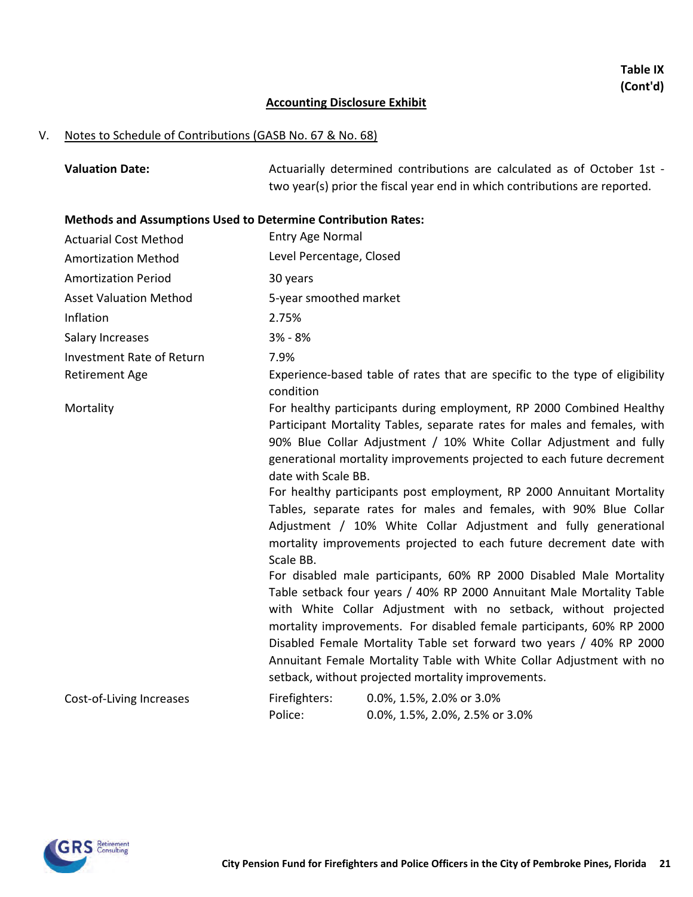#### **Accounting Disclosure Exhibit**

## V. Notes to Schedule of Contributions (GASB No. 67 & No. 68)

| <b>Valuation Date:</b> | Actuarially determined contributions are calculated as of October 1st -    |
|------------------------|----------------------------------------------------------------------------|
|                        | two year(s) prior the fiscal year end in which contributions are reported. |

#### **Methods and Assumptions Used to Determine Contribution Rates:**

| <b>Actuarial Cost Method</b>     | <b>Entry Age Normal</b>          |                                                                                                                                                                                                                                                                                                                                                                                                                                                                                                                                                                                                                                                                                                                                                                                                                                                                                                                                                                                                                                                                                             |
|----------------------------------|----------------------------------|---------------------------------------------------------------------------------------------------------------------------------------------------------------------------------------------------------------------------------------------------------------------------------------------------------------------------------------------------------------------------------------------------------------------------------------------------------------------------------------------------------------------------------------------------------------------------------------------------------------------------------------------------------------------------------------------------------------------------------------------------------------------------------------------------------------------------------------------------------------------------------------------------------------------------------------------------------------------------------------------------------------------------------------------------------------------------------------------|
| <b>Amortization Method</b>       | Level Percentage, Closed         |                                                                                                                                                                                                                                                                                                                                                                                                                                                                                                                                                                                                                                                                                                                                                                                                                                                                                                                                                                                                                                                                                             |
| <b>Amortization Period</b>       | 30 years                         |                                                                                                                                                                                                                                                                                                                                                                                                                                                                                                                                                                                                                                                                                                                                                                                                                                                                                                                                                                                                                                                                                             |
| <b>Asset Valuation Method</b>    | 5-year smoothed market           |                                                                                                                                                                                                                                                                                                                                                                                                                                                                                                                                                                                                                                                                                                                                                                                                                                                                                                                                                                                                                                                                                             |
| Inflation                        | 2.75%                            |                                                                                                                                                                                                                                                                                                                                                                                                                                                                                                                                                                                                                                                                                                                                                                                                                                                                                                                                                                                                                                                                                             |
| Salary Increases                 | $3% - 8%$                        |                                                                                                                                                                                                                                                                                                                                                                                                                                                                                                                                                                                                                                                                                                                                                                                                                                                                                                                                                                                                                                                                                             |
| <b>Investment Rate of Return</b> | 7.9%                             |                                                                                                                                                                                                                                                                                                                                                                                                                                                                                                                                                                                                                                                                                                                                                                                                                                                                                                                                                                                                                                                                                             |
| <b>Retirement Age</b>            | condition                        | Experience-based table of rates that are specific to the type of eligibility                                                                                                                                                                                                                                                                                                                                                                                                                                                                                                                                                                                                                                                                                                                                                                                                                                                                                                                                                                                                                |
| Mortality                        | date with Scale BB.<br>Scale BB. | For healthy participants during employment, RP 2000 Combined Healthy<br>Participant Mortality Tables, separate rates for males and females, with<br>90% Blue Collar Adjustment / 10% White Collar Adjustment and fully<br>generational mortality improvements projected to each future decrement<br>For healthy participants post employment, RP 2000 Annuitant Mortality<br>Tables, separate rates for males and females, with 90% Blue Collar<br>Adjustment / 10% White Collar Adjustment and fully generational<br>mortality improvements projected to each future decrement date with<br>For disabled male participants, 60% RP 2000 Disabled Male Mortality<br>Table setback four years / 40% RP 2000 Annuitant Male Mortality Table<br>with White Collar Adjustment with no setback, without projected<br>mortality improvements. For disabled female participants, 60% RP 2000<br>Disabled Female Mortality Table set forward two years / 40% RP 2000<br>Annuitant Female Mortality Table with White Collar Adjustment with no<br>setback, without projected mortality improvements. |
| Cost-of-Living Increases         | Firefighters:<br>Police:         | 0.0%, 1.5%, 2.0% or 3.0%<br>0.0%, 1.5%, 2.0%, 2.5% or 3.0%                                                                                                                                                                                                                                                                                                                                                                                                                                                                                                                                                                                                                                                                                                                                                                                                                                                                                                                                                                                                                                  |

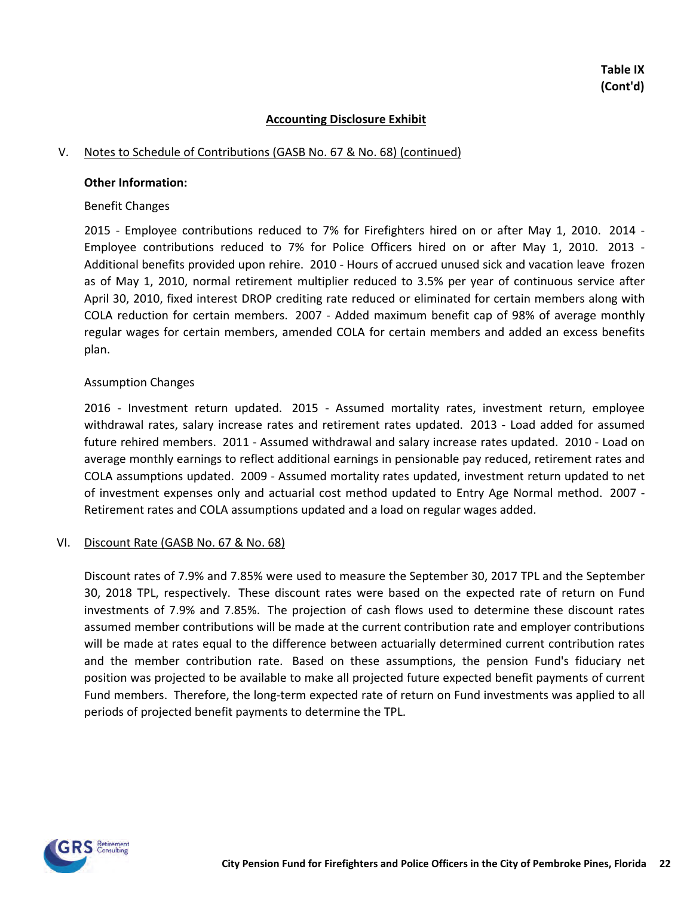#### V. Notes to Schedule of Contributions (GASB No. 67 & No. 68) (continued)

#### **Other Information:**

#### Benefit Changes

2015 - Employee contributions reduced to 7% for Firefighters hired on or after May 1, 2010. 2014 - Employee contributions reduced to 7% for Police Officers hired on or after May 1, 2010. 2013 - Additional benefits provided upon rehire. 2010 - Hours of accrued unused sick and vacation leave frozen as of May 1, 2010, normal retirement multiplier reduced to 3.5% per year of continuous service after April 30, 2010, fixed interest DROP crediting rate reduced or eliminated for certain members along with COLA reduction for certain members. 2007 - Added maximum benefit cap of 98% of average monthly regular wages for certain members, amended COLA for certain members and added an excess benefits plan.

#### Assumption Changes

2016 - Investment return updated. 2015 - Assumed mortality rates, investment return, employee withdrawal rates, salary increase rates and retirement rates updated. 2013 - Load added for assumed future rehired members. 2011 - Assumed withdrawal and salary increase rates updated. 2010 - Load on average monthly earnings to reflect additional earnings in pensionable pay reduced, retirement rates and COLA assumptions updated. 2009 - Assumed mortality rates updated, investment return updated to net of investment expenses only and actuarial cost method updated to Entry Age Normal method. 2007 - Retirement rates and COLA assumptions updated and a load on regular wages added.

#### VI. Discount Rate (GASB No. 67 & No. 68)

Discount rates of 7.9% and 7.85% were used to measure the September 30, 2017 TPL and the September 30, 2018 TPL, respectively. These discount rates were based on the expected rate of return on Fund investments of 7.9% and 7.85%. The projection of cash flows used to determine these discount rates assumed member contributions will be made at the current contribution rate and employer contributions will be made at rates equal to the difference between actuarially determined current contribution rates and the member contribution rate. Based on these assumptions, the pension Fund's fiduciary net position was projected to be available to make all projected future expected benefit payments of current Fund members. Therefore, the long-term expected rate of return on Fund investments was applied to all periods of projected benefit payments to determine the TPL.

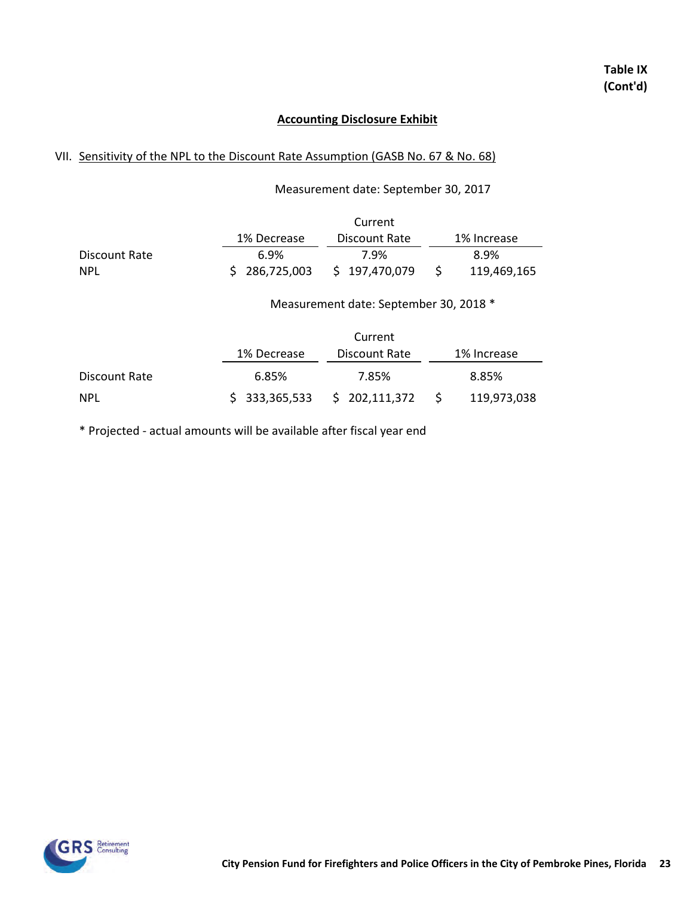## **Accounting Disclosure Exhibit**

#### VII. Sensitivity of the NPL to the Discount Rate Assumption (GASB No. 67 & No. 68)

## Measurement date: September 30, 2017

|               |               | Current       |             |
|---------------|---------------|---------------|-------------|
|               | 1% Decrease   | Discount Rate | 1% Increase |
| Discount Rate | 6.9%          | 7.9%          | 8.9%        |
| <b>NPL</b>    | \$286,725,003 | \$197,470,079 | 119,469,165 |

## Measurement date: September 30, 2018 \*

|               |               | Current       |             |
|---------------|---------------|---------------|-------------|
|               | 1% Decrease   | Discount Rate | 1% Increase |
| Discount Rate | 6.85%         | 7.85%         | 8.85%       |
| <b>NPL</b>    | \$333,365,533 | \$202,111,372 | 119,973,038 |

\* Projected - actual amounts will be available after fiscal year end

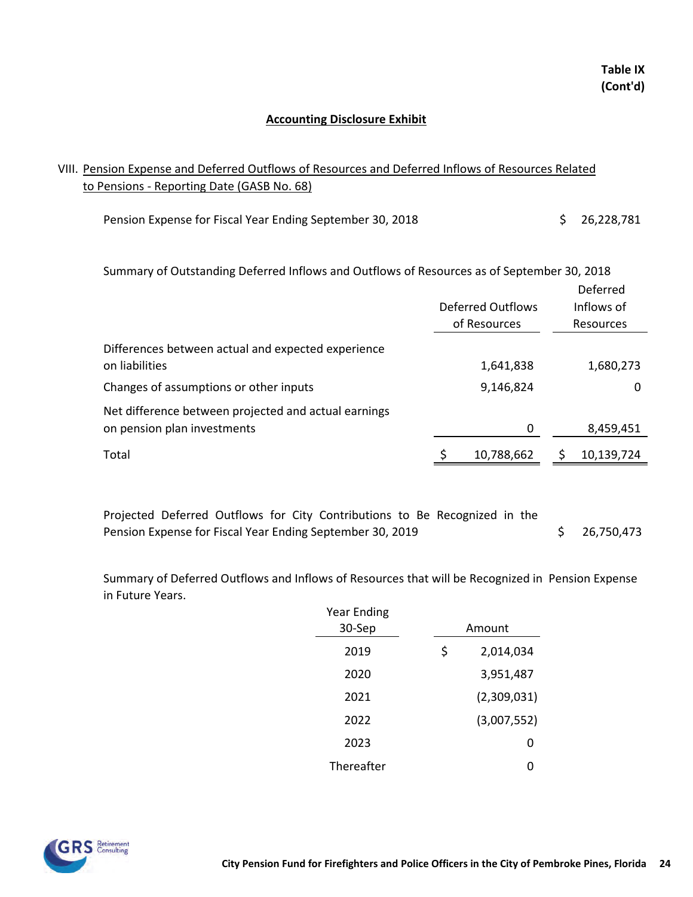## VIII. Pension Expense and Deferred Outflows of Resources and Deferred Inflows of Resources Related to Pensions - Reporting Date (GASB No. 68)

| Pension Expense for Fiscal Year Ending September 30, 2018 |  | \$26,228,781 |
|-----------------------------------------------------------|--|--------------|
|-----------------------------------------------------------|--|--------------|

Summary of Outstanding Deferred Inflows and Outflows of Resources as of September 30, 2018

|                                                                                     | <b>Deferred Outflows</b><br>of Resources | Deferred<br>Inflows of<br>Resources |
|-------------------------------------------------------------------------------------|------------------------------------------|-------------------------------------|
| Differences between actual and expected experience<br>on liabilities                | 1,641,838                                | 1,680,273                           |
| Changes of assumptions or other inputs                                              | 9,146,824                                | 0                                   |
| Net difference between projected and actual earnings<br>on pension plan investments | 0                                        | 8,459,451                           |
| Total                                                                               | 10,788,662                               | 10,139,724                          |
|                                                                                     |                                          |                                     |

|  |  | Projected Deferred Outflows for City Contributions to Be Recognized in the |  |  |              |
|--|--|----------------------------------------------------------------------------|--|--|--------------|
|  |  | Pension Expense for Fiscal Year Ending September 30, 2019                  |  |  | \$26,750,473 |

Summary of Deferred Outflows and Inflows of Resources that will be Recognized in Pension Expense in Future Years.

| <b>Year Ending</b> |                 |
|--------------------|-----------------|
| 30-Sep             | Amount          |
| 2019               | \$<br>2,014,034 |
| 2020               | 3,951,487       |
| 2021               | (2,309,031)     |
| 2022               | (3,007,552)     |
| 2023               | ი               |
| Thereafter         |                 |

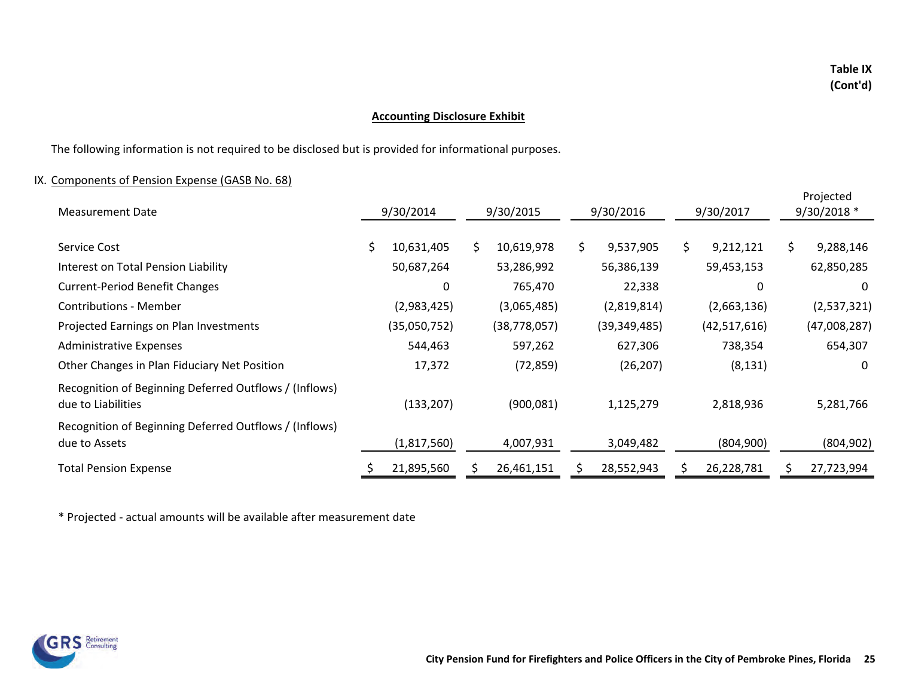The following information is not required to be disclosed but is provided for informational purposes.

#### IX. Components of Pension Expense (GASB No. 68)

| <b>Measurement Date</b>                                                      |    | 9/30/2014    |    | 9/30/2015      | 9/30/2016       |     | 9/30/2017      |    | Projected<br>9/30/2018 * |
|------------------------------------------------------------------------------|----|--------------|----|----------------|-----------------|-----|----------------|----|--------------------------|
| Service Cost                                                                 | Ś. | 10,631,405   | Ś. | 10,619,978     | \$<br>9,537,905 | \$. | 9,212,121      | S. | 9,288,146                |
| Interest on Total Pension Liability                                          |    | 50,687,264   |    | 53,286,992     | 56,386,139      |     | 59,453,153     |    | 62,850,285               |
| <b>Current-Period Benefit Changes</b>                                        |    | 0            |    | 765,470        | 22,338          |     | 0              |    | $\mathbf{0}$             |
| <b>Contributions - Member</b>                                                |    | (2,983,425)  |    | (3,065,485)    | (2,819,814)     |     | (2,663,136)    |    | (2,537,321)              |
| Projected Earnings on Plan Investments                                       |    | (35,050,752) |    | (38, 778, 057) | (39, 349, 485)  |     | (42, 517, 616) |    | (47,008,287)             |
| <b>Administrative Expenses</b>                                               |    | 544,463      |    | 597,262        | 627,306         |     | 738,354        |    | 654,307                  |
| Other Changes in Plan Fiduciary Net Position                                 |    | 17,372       |    | (72, 859)      | (26, 207)       |     | (8, 131)       |    | $\Omega$                 |
| Recognition of Beginning Deferred Outflows / (Inflows)<br>due to Liabilities |    | (133, 207)   |    | (900, 081)     | 1,125,279       |     | 2,818,936      |    | 5,281,766                |
| Recognition of Beginning Deferred Outflows / (Inflows)<br>due to Assets      |    | (1,817,560)  |    | 4,007,931      | 3,049,482       |     | (804,900)      |    | (804, 902)               |
| <b>Total Pension Expense</b>                                                 |    | 21,895,560   | S  | 26,461,151     | 28,552,943      | ς   | 26,228,781     |    | 27,723,994               |

\* Projected - actual amounts will be available after measurement date

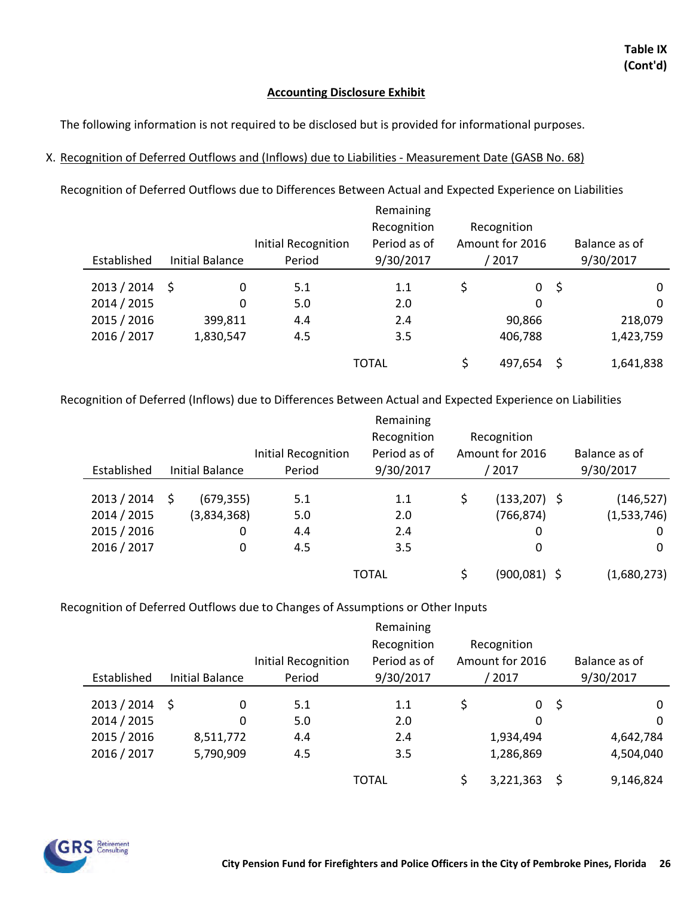The following information is not required to be disclosed but is provided for informational purposes.

#### X. Recognition of Deferred Outflows and (Inflows) due to Liabilities - Measurement Date (GASB No. 68)

Recognition of Deferred Outflows due to Differences Between Actual and Expected Experience on Liabilities

| Established                                    | <b>Initial Balance</b> | Initial Recognition<br>Period |              | Remaining<br>Recognition<br>Period as of<br>9/30/2017 | Recognition<br>Amount for 2016<br>2017 |     | Balance as of<br>9/30/2017 |
|------------------------------------------------|------------------------|-------------------------------|--------------|-------------------------------------------------------|----------------------------------------|-----|----------------------------|
| $2013 / 2014$ \$<br>2014 / 2015<br>2015 / 2016 | 0<br>0<br>399,811      | 5.1<br>5.0<br>4.4             |              | 1.1<br>2.0<br>2.4                                     | \$<br>0<br>0<br>90,866                 | \$. | 0<br>0<br>218,079          |
| 2016 / 2017                                    | 1,830,547              | 4.5                           |              | 3.5                                                   | 406,788                                |     | 1,423,759                  |
|                                                |                        |                               | <b>TOTAL</b> |                                                       | 497,654                                |     | 1,641,838                  |

Recognition of Deferred (Inflows) due to Differences Between Actual and Expected Experience on Liabilities

|             |                 |                            | Remaining    |                    |               |
|-------------|-----------------|----------------------------|--------------|--------------------|---------------|
|             |                 |                            | Recognition  | Recognition        |               |
|             |                 | <b>Initial Recognition</b> | Period as of | Amount for 2016    | Balance as of |
| Established | Initial Balance | Period                     | 9/30/2017    | 2017 /             | 9/30/2017     |
|             |                 |                            |              |                    |               |
| 2013 / 2014 | (679, 355)      | 5.1                        | 1.1          | \$<br>(133,207) \$ | (146, 527)    |
| 2014 / 2015 | (3,834,368)     | 5.0                        | 2.0          | (766, 874)         | (1,533,746)   |
| 2015 / 2016 | 0               | 4.4                        | 2.4          | 0                  | 0             |
| 2016 / 2017 | 0               | 4.5                        | 3.5          | 0                  | 0             |
|             |                 |                            | <b>TOTAL</b> | \$<br>(900,081) \$ | (1,680,273)   |

Recognition of Deferred Outflows due to Changes of Assumptions or Other Inputs

|             |                 |                     | Remaining    |                 |    |               |
|-------------|-----------------|---------------------|--------------|-----------------|----|---------------|
|             |                 |                     | Recognition  | Recognition     |    |               |
|             |                 | Initial Recognition | Period as of | Amount for 2016 |    | Balance as of |
| Established | Initial Balance | Period              | 9/30/2017    | 2017 '          |    | 9/30/2017     |
|             |                 |                     |              |                 |    |               |
| 2013 / 2014 | \$<br>0         | 5.1                 | 1.1          | \$<br>0         | Ŝ. | 0             |
| 2014 / 2015 | 0               | 5.0                 | 2.0          | 0               |    | $\Omega$      |
| 2015 / 2016 | 8,511,772       | 4.4                 | 2.4          | 1,934,494       |    | 4,642,784     |
| 2016 / 2017 | 5,790,909       | 4.5                 | 3.5          | 1,286,869       |    | 4,504,040     |
|             |                 |                     | <b>TOTAL</b> | 3,221,363       |    | 9,146,824     |

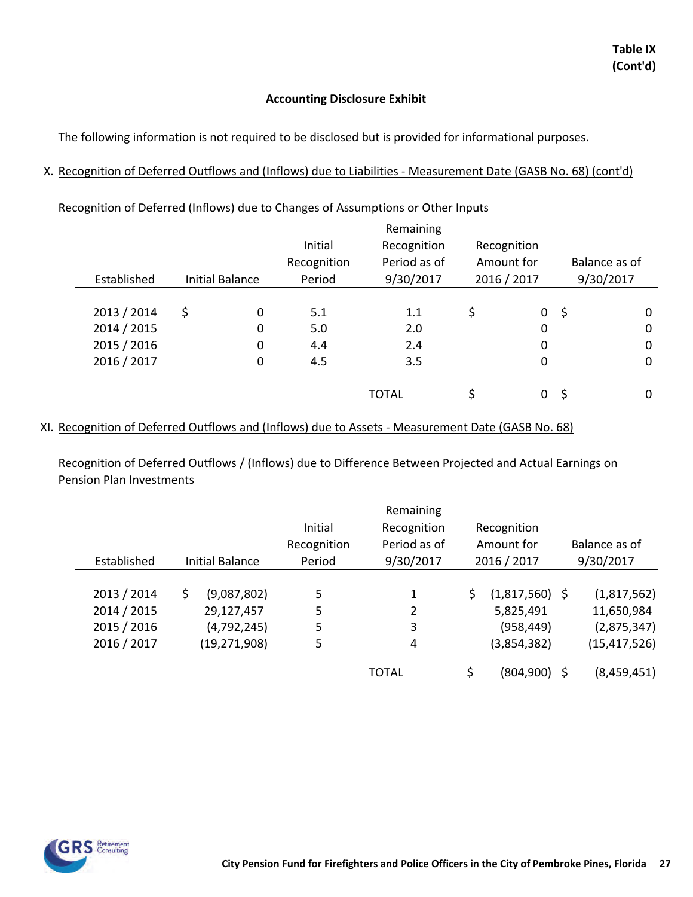The following information is not required to be disclosed but is provided for informational purposes.

#### X. Recognition of Deferred Outflows and (Inflows) due to Liabilities - Measurement Date (GASB No. 68) (cont'd)

|             |                        |             | Remaining    |                   |    |               |
|-------------|------------------------|-------------|--------------|-------------------|----|---------------|
|             |                        | Initial     | Recognition  | Recognition       |    |               |
|             |                        | Recognition | Period as of | Amount for        |    | Balance as of |
| Established | <b>Initial Balance</b> | Period      | 9/30/2017    | 2016 / 2017       |    | 9/30/2017     |
|             |                        |             |              |                   |    |               |
| 2013 / 2014 | \$<br>0                | 5.1         | 1.1          | \$<br>$\mathbf 0$ | \$ | 0             |
| 2014 / 2015 | 0                      | 5.0         | 2.0          | $\mathbf 0$       |    | 0             |
| 2015 / 2016 | 0                      | 4.4         | 2.4          | 0                 |    | 0             |
| 2016 / 2017 | 0                      | 4.5         | 3.5          | 0                 |    | $\mathbf{0}$  |
|             |                        |             |              |                   |    |               |
|             |                        |             | <b>TOTAL</b> | 0                 | S  | 0             |

Recognition of Deferred (Inflows) due to Changes of Assumptions or Other Inputs

## XI. Recognition of Deferred Outflows and (Inflows) due to Assets - Measurement Date (GASB No. 68)

Recognition of Deferred Outflows / (Inflows) due to Difference Between Projected and Actual Earnings on Pension Plan Investments

|             |                        |             | Remaining    |                  |                |
|-------------|------------------------|-------------|--------------|------------------|----------------|
|             |                        | Initial     | Recognition  | Recognition      |                |
|             |                        | Recognition | Period as of | Amount for       | Balance as of  |
| Established | <b>Initial Balance</b> | Period      | 9/30/2017    | 2016 / 2017      | 9/30/2017      |
|             |                        |             |              |                  |                |
| 2013 / 2014 | \$<br>(9,087,802)      | 5           | 1            | $(1,817,560)$ \$ | (1,817,562)    |
| 2014 / 2015 | 29,127,457             | 5           | 2            | 5,825,491        | 11,650,984     |
| 2015 / 2016 | (4, 792, 245)          | 5           | 3            | (958, 449)       | (2,875,347)    |
| 2016 / 2017 | (19, 271, 908)         | 5           | 4            | (3,854,382)      | (15, 417, 526) |
|             |                        |             | <b>TOTAL</b> | \$<br>(804, 900) | (8,459,451)    |

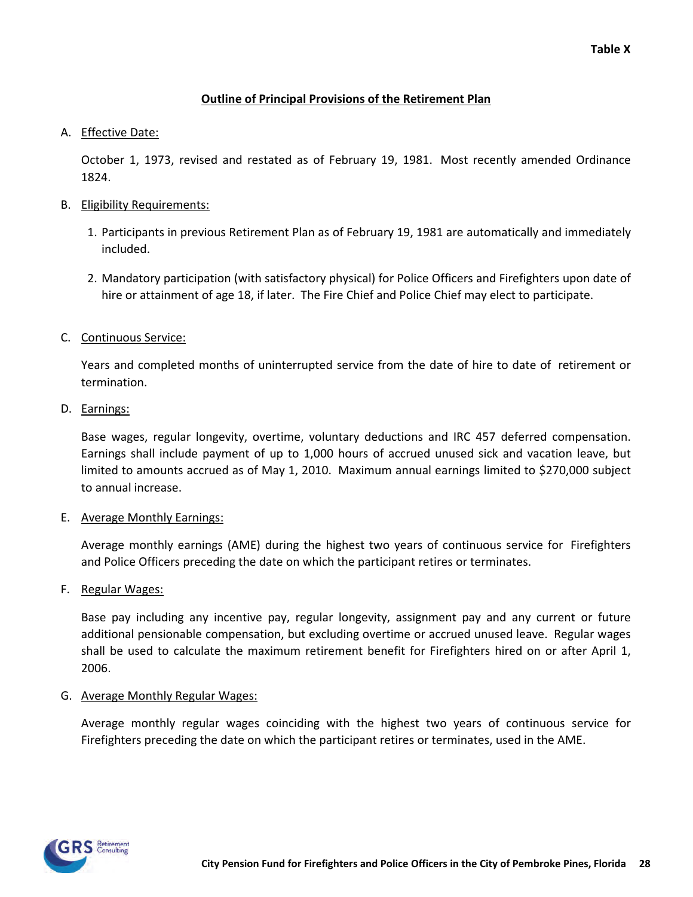## **Outline of Principal Provisions of the Retirement Plan**

#### A. Effective Date:

October 1, 1973, revised and restated as of February 19, 1981. Most recently amended Ordinance 1824.

- B. Eligibility Requirements:
	- 1. Participants in previous Retirement Plan as of February 19, 1981 are automatically and immediately included.
	- 2. Mandatory participation (with satisfactory physical) for Police Officers and Firefighters upon date of hire or attainment of age 18, if later. The Fire Chief and Police Chief may elect to participate.
- C. Continuous Service:

Years and completed months of uninterrupted service from the date of hire to date of retirement or termination.

D. Earnings:

Base wages, regular longevity, overtime, voluntary deductions and IRC 457 deferred compensation. Earnings shall include payment of up to 1,000 hours of accrued unused sick and vacation leave, but limited to amounts accrued as of May 1, 2010. Maximum annual earnings limited to \$270,000 subject to annual increase.

E. Average Monthly Earnings:

Average monthly earnings (AME) during the highest two years of continuous service for Firefighters and Police Officers preceding the date on which the participant retires or terminates.

F. Regular Wages:

Base pay including any incentive pay, regular longevity, assignment pay and any current or future additional pensionable compensation, but excluding overtime or accrued unused leave. Regular wages shall be used to calculate the maximum retirement benefit for Firefighters hired on or after April 1, 2006.

G. Average Monthly Regular Wages:

Average monthly regular wages coinciding with the highest two years of continuous service for Firefighters preceding the date on which the participant retires or terminates, used in the AME.

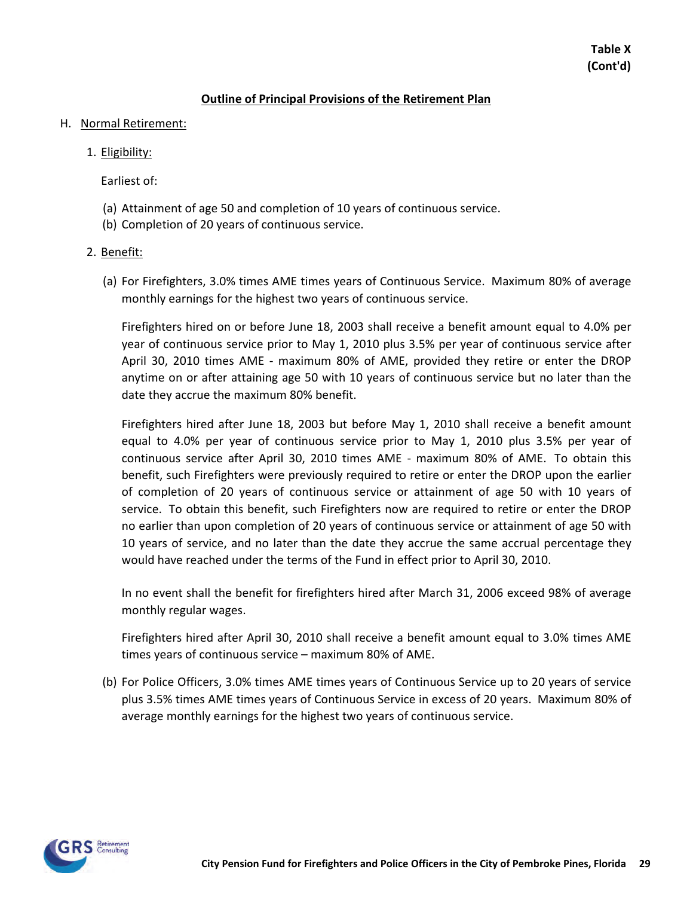#### **Outline of Principal Provisions of the Retirement Plan**

#### H. Normal Retirement:

1. Eligibility:

Earliest of:

- (a) Attainment of age 50 and completion of 10 years of continuous service.
- (b) Completion of 20 years of continuous service.

#### 2. Benefit:

(a) For Firefighters, 3.0% times AME times years of Continuous Service. Maximum 80% of average monthly earnings for the highest two years of continuous service.

Firefighters hired on or before June 18, 2003 shall receive a benefit amount equal to 4.0% per year of continuous service prior to May 1, 2010 plus 3.5% per year of continuous service after April 30, 2010 times AME - maximum 80% of AME, provided they retire or enter the DROP anytime on or after attaining age 50 with 10 years of continuous service but no later than the date they accrue the maximum 80% benefit.

Firefighters hired after June 18, 2003 but before May 1, 2010 shall receive a benefit amount equal to 4.0% per year of continuous service prior to May 1, 2010 plus 3.5% per year of continuous service after April 30, 2010 times AME - maximum 80% of AME. To obtain this benefit, such Firefighters were previously required to retire or enter the DROP upon the earlier of completion of 20 years of continuous service or attainment of age 50 with 10 years of service. To obtain this benefit, such Firefighters now are required to retire or enter the DROP no earlier than upon completion of 20 years of continuous service or attainment of age 50 with 10 years of service, and no later than the date they accrue the same accrual percentage they would have reached under the terms of the Fund in effect prior to April 30, 2010.

In no event shall the benefit for firefighters hired after March 31, 2006 exceed 98% of average monthly regular wages.

Firefighters hired after April 30, 2010 shall receive a benefit amount equal to 3.0% times AME times years of continuous service – maximum 80% of AME.

(b) For Police Officers, 3.0% times AME times years of Continuous Service up to 20 years of service plus 3.5% times AME times years of Continuous Service in excess of 20 years. Maximum 80% of average monthly earnings for the highest two years of continuous service.

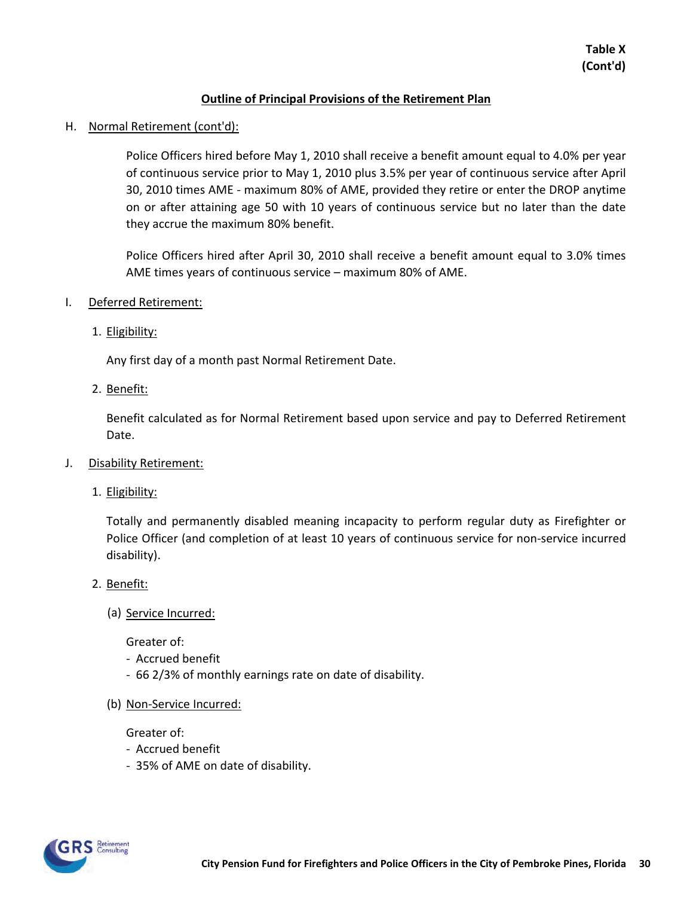## **Outline of Principal Provisions of the Retirement Plan**

H. Normal Retirement (cont'd):

Police Officers hired before May 1, 2010 shall receive a benefit amount equal to 4.0% per year of continuous service prior to May 1, 2010 plus 3.5% per year of continuous service after April 30, 2010 times AME - maximum 80% of AME, provided they retire or enter the DROP anytime on or after attaining age 50 with 10 years of continuous service but no later than the date they accrue the maximum 80% benefit.

Police Officers hired after April 30, 2010 shall receive a benefit amount equal to 3.0% times AME times years of continuous service – maximum 80% of AME.

- I. Deferred Retirement:
	- 1. Eligibility:

Any first day of a month past Normal Retirement Date.

2. Benefit:

Benefit calculated as for Normal Retirement based upon service and pay to Deferred Retirement Date.

- J. Disability Retirement:
	- 1. Eligibility:

Totally and permanently disabled meaning incapacity to perform regular duty as Firefighter or Police Officer (and completion of at least 10 years of continuous service for non-service incurred disability).

- 2. Benefit:
	- (a) Service Incurred:

Greater of:

- Accrued benefit
- 66 2/3% of monthly earnings rate on date of disability.
- (b) Non-Service Incurred:

Greater of:

- Accrued benefit
- 35% of AME on date of disability.

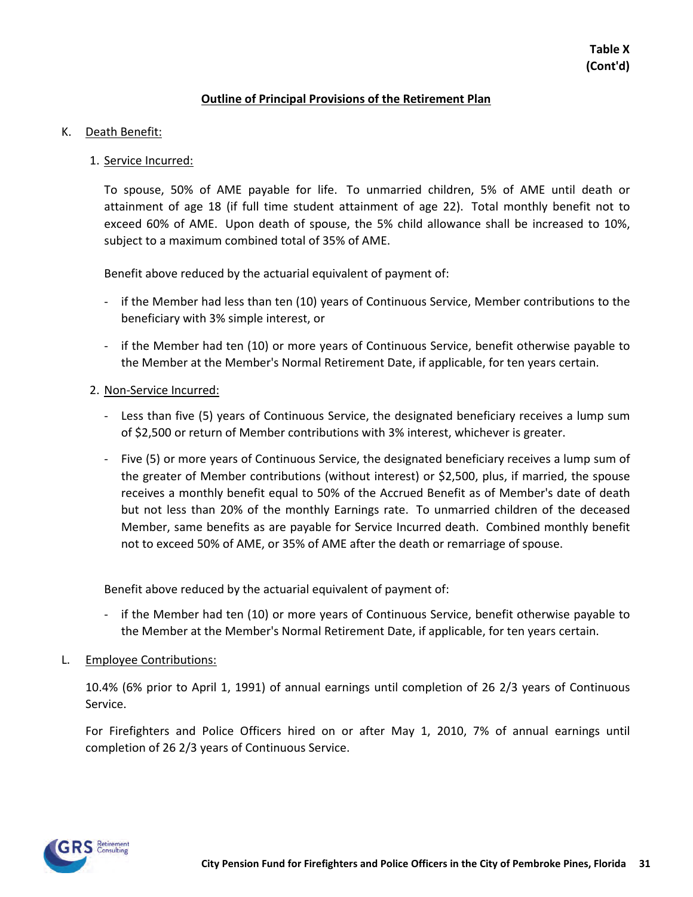#### **Outline of Principal Provisions of the Retirement Plan**

- K. Death Benefit:
	- 1. Service Incurred:

To spouse, 50% of AME payable for life. To unmarried children, 5% of AME until death or attainment of age 18 (if full time student attainment of age 22). Total monthly benefit not to exceed 60% of AME. Upon death of spouse, the 5% child allowance shall be increased to 10%, subject to a maximum combined total of 35% of AME.

Benefit above reduced by the actuarial equivalent of payment of:

- if the Member had less than ten (10) years of Continuous Service, Member contributions to the beneficiary with 3% simple interest, or
- if the Member had ten (10) or more years of Continuous Service, benefit otherwise payable to the Member at the Member's Normal Retirement Date, if applicable, for ten years certain.
- 2. Non-Service Incurred:
	- Less than five (5) years of Continuous Service, the designated beneficiary receives a lump sum of \$2,500 or return of Member contributions with 3% interest, whichever is greater.
	- Five (5) or more years of Continuous Service, the designated beneficiary receives a lump sum of the greater of Member contributions (without interest) or \$2,500, plus, if married, the spouse receives a monthly benefit equal to 50% of the Accrued Benefit as of Member's date of death but not less than 20% of the monthly Earnings rate. To unmarried children of the deceased Member, same benefits as are payable for Service Incurred death. Combined monthly benefit not to exceed 50% of AME, or 35% of AME after the death or remarriage of spouse.

Benefit above reduced by the actuarial equivalent of payment of:

- if the Member had ten (10) or more years of Continuous Service, benefit otherwise payable to the Member at the Member's Normal Retirement Date, if applicable, for ten years certain.
- L. Employee Contributions:

10.4% (6% prior to April 1, 1991) of annual earnings until completion of 26 2/3 years of Continuous Service.

For Firefighters and Police Officers hired on or after May 1, 2010, 7% of annual earnings until completion of 26 2/3 years of Continuous Service.

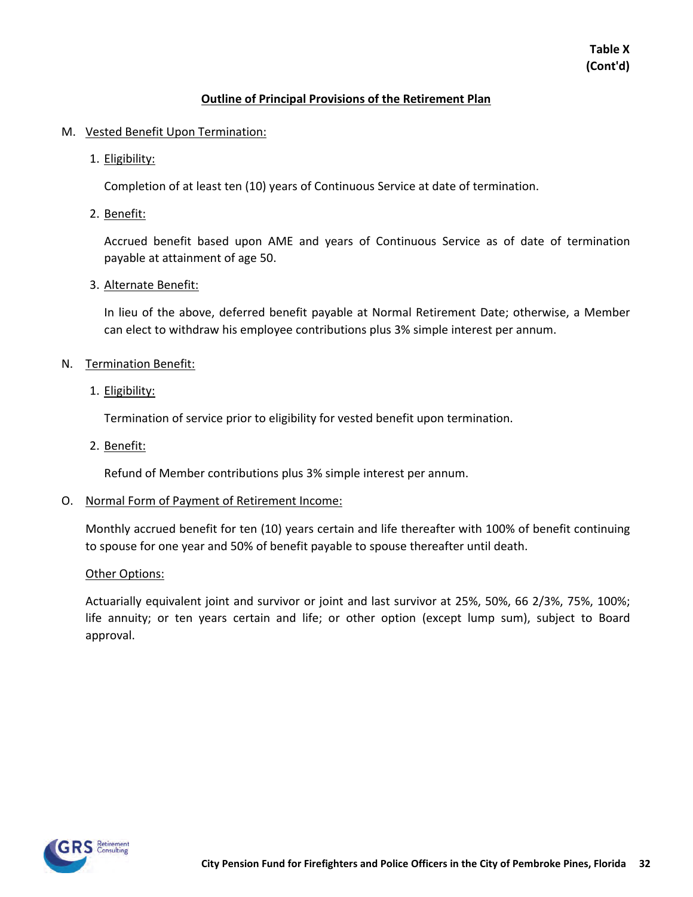#### **Outline of Principal Provisions of the Retirement Plan**

#### M. Vested Benefit Upon Termination:

1. Eligibility:

Completion of at least ten (10) years of Continuous Service at date of termination.

2. Benefit:

Accrued benefit based upon AME and years of Continuous Service as of date of termination payable at attainment of age 50.

#### 3. Alternate Benefit:

In lieu of the above, deferred benefit payable at Normal Retirement Date; otherwise, a Member can elect to withdraw his employee contributions plus 3% simple interest per annum.

#### N. Termination Benefit:

1. Eligibility:

Termination of service prior to eligibility for vested benefit upon termination.

2. Benefit:

Refund of Member contributions plus 3% simple interest per annum.

#### O. Normal Form of Payment of Retirement Income:

Monthly accrued benefit for ten (10) years certain and life thereafter with 100% of benefit continuing to spouse for one year and 50% of benefit payable to spouse thereafter until death.

#### Other Options:

Actuarially equivalent joint and survivor or joint and last survivor at 25%, 50%, 66 2/3%, 75%, 100%; life annuity; or ten years certain and life; or other option (except lump sum), subject to Board approval.

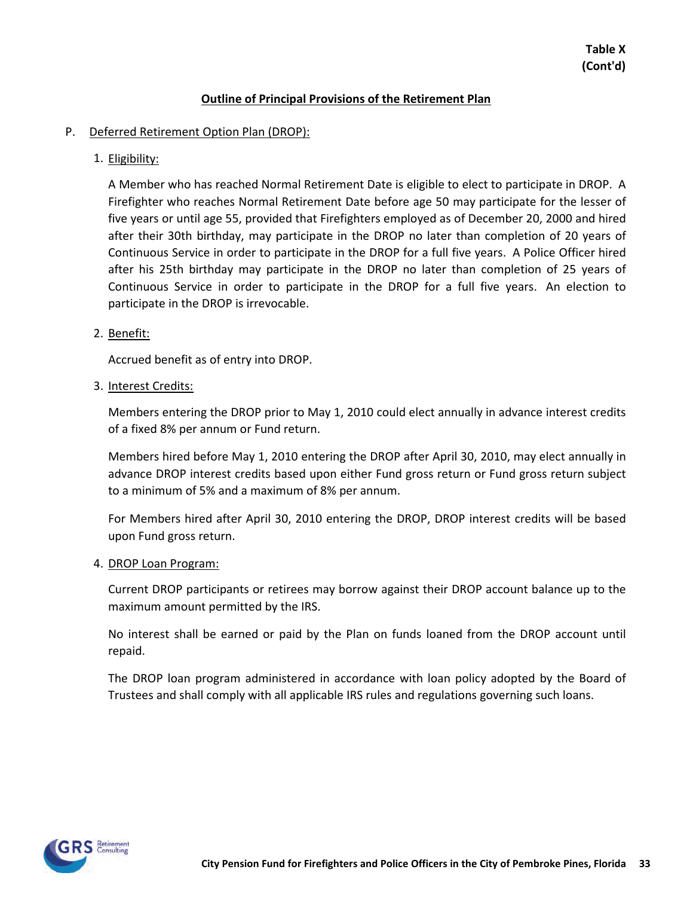#### **Outline of Principal Provisions of the Retirement Plan**

#### P. Deferred Retirement Option Plan (DROP):

1. Eligibility:

A Member who has reached Normal Retirement Date is eligible to elect to participate in DROP. A Firefighter who reaches Normal Retirement Date before age 50 may participate for the lesser of five years or until age 55, provided that Firefighters employed as of December 20, 2000 and hired after their 30th birthday, may participate in the DROP no later than completion of 20 years of Continuous Service in order to participate in the DROP for a full five years. A Police Officer hired after his 25th birthday may participate in the DROP no later than completion of 25 years of Continuous Service in order to participate in the DROP for a full five years. An election to participate in the DROP is irrevocable.

2. <u>Benefit:</u>

Accrued benefit as of entry into DROP.

3. Interest Credits:

Members entering the DROP prior to May 1, 2010 could elect annually in advance interest credits of a fixed 8% per annum or Fund return.

Members hired before May 1, 2010 entering the DROP after April 30, 2010, may elect annually in advance DROP interest credits based upon either Fund gross return or Fund gross return subject to a minimum of 5% and a maximum of 8% per annum.

For Members hired after April 30, 2010 entering the DROP, DROP interest credits will be based upon Fund gross return.

4. DROP Loan Program:

Current DROP participants or retirees may borrow against their DROP account balance up to the maximum amount permitted by the IRS.

No interest shall be earned or paid by the Plan on funds loaned from the DROP account until repaid.

The DROP loan program administered in accordance with loan policy adopted by the Board of Trustees and shall comply with all applicable IRS rules and regulations governing such loans.

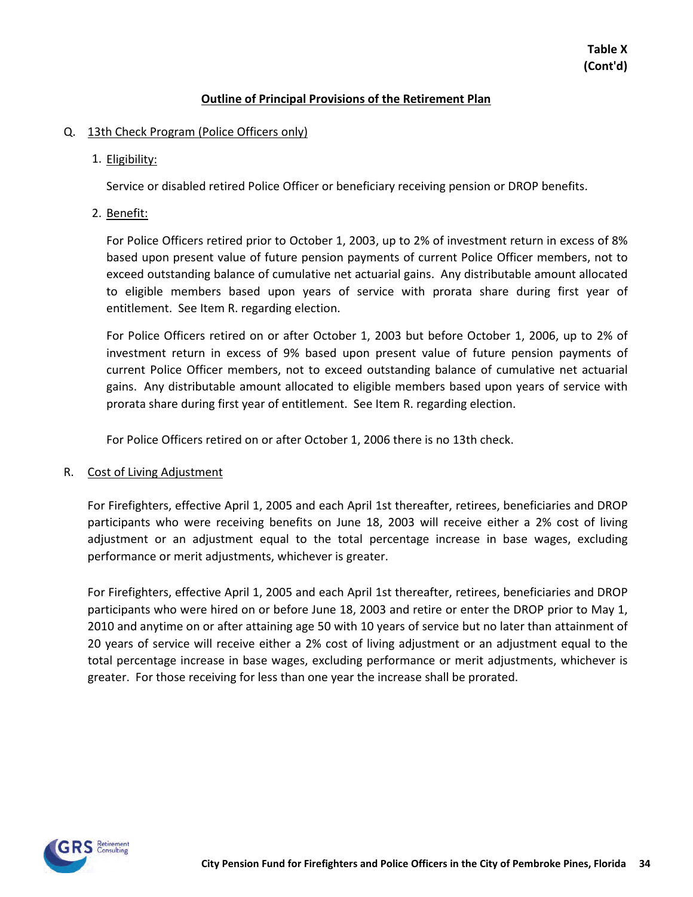#### **Outline of Principal Provisions of the Retirement Plan**

#### Q. 13th Check Program (Police Officers only)

## 1. Eligibility:

Service or disabled retired Police Officer or beneficiary receiving pension or DROP benefits.

2. <u>Benefit:</u>

For Police Officers retired prior to October 1, 2003, up to 2% of investment return in excess of 8% based upon present value of future pension payments of current Police Officer members, not to exceed outstanding balance of cumulative net actuarial gains. Any distributable amount allocated to eligible members based upon years of service with prorata share during first year of entitlement. See Item R. regarding election.

For Police Officers retired on or after October 1, 2003 but before October 1, 2006, up to 2% of investment return in excess of 9% based upon present value of future pension payments of current Police Officer members, not to exceed outstanding balance of cumulative net actuarial gains. Any distributable amount allocated to eligible members based upon years of service with prorata share during first year of entitlement. See Item R. regarding election.

For Police Officers retired on or after October 1, 2006 there is no 13th check.

#### R. Cost of Living Adjustment

For Firefighters, effective April 1, 2005 and each April 1st thereafter, retirees, beneficiaries and DROP participants who were receiving benefits on June 18, 2003 will receive either a 2% cost of living adjustment or an adjustment equal to the total percentage increase in base wages, excluding performance or merit adjustments, whichever is greater.

For Firefighters, effective April 1, 2005 and each April 1st thereafter, retirees, beneficiaries and DROP participants who were hired on or before June 18, 2003 and retire or enter the DROP prior to May 1, 2010 and anytime on or after attaining age 50 with 10 years of service but no later than attainment of 20 years of service will receive either a 2% cost of living adjustment or an adjustment equal to the total percentage increase in base wages, excluding performance or merit adjustments, whichever is greater. For those receiving for less than one year the increase shall be prorated.

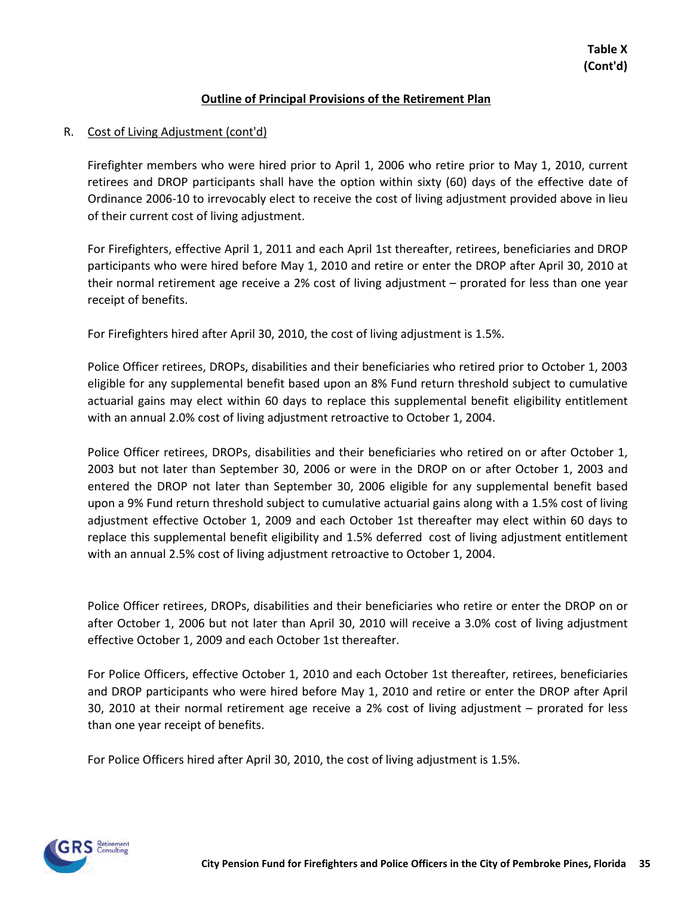#### **Outline of Principal Provisions of the Retirement Plan**

#### R. Cost of Living Adjustment (cont'd)

Firefighter members who were hired prior to April 1, 2006 who retire prior to May 1, 2010, current retirees and DROP participants shall have the option within sixty (60) days of the effective date of Ordinance 2006-10 to irrevocably elect to receive the cost of living adjustment provided above in lieu of their current cost of living adjustment.

For Firefighters, effective April 1, 2011 and each April 1st thereafter, retirees, beneficiaries and DROP participants who were hired before May 1, 2010 and retire or enter the DROP after April 30, 2010 at their normal retirement age receive a 2% cost of living adjustment – prorated for less than one year receipt of benefits.

For Firefighters hired after April 30, 2010, the cost of living adjustment is 1.5%.

Police Officer retirees, DROPs, disabilities and their beneficiaries who retired prior to October 1, 2003 eligible for any supplemental benefit based upon an 8% Fund return threshold subject to cumulative actuarial gains may elect within 60 days to replace this supplemental benefit eligibility entitlement with an annual 2.0% cost of living adjustment retroactive to October 1, 2004.

Police Officer retirees, DROPs, disabilities and their beneficiaries who retired on or after October 1, 2003 but not later than September 30, 2006 or were in the DROP on or after October 1, 2003 and entered the DROP not later than September 30, 2006 eligible for any supplemental benefit based upon a 9% Fund return threshold subject to cumulative actuarial gains along with a 1.5% cost of living adjustment effective October 1, 2009 and each October 1st thereafter may elect within 60 days to replace this supplemental benefit eligibility and 1.5% deferred cost of living adjustment entitlement with an annual 2.5% cost of living adjustment retroactive to October 1, 2004.

Police Officer retirees, DROPs, disabilities and their beneficiaries who retire or enter the DROP on or after October 1, 2006 but not later than April 30, 2010 will receive a 3.0% cost of living adjustment effective October 1, 2009 and each October 1st thereafter.

For Police Officers, effective October 1, 2010 and each October 1st thereafter, retirees, beneficiaries and DROP participants who were hired before May 1, 2010 and retire or enter the DROP after April 30, 2010 at their normal retirement age receive a 2% cost of living adjustment – prorated for less than one year receipt of benefits.

For Police Officers hired after April 30, 2010, the cost of living adjustment is 1.5%.

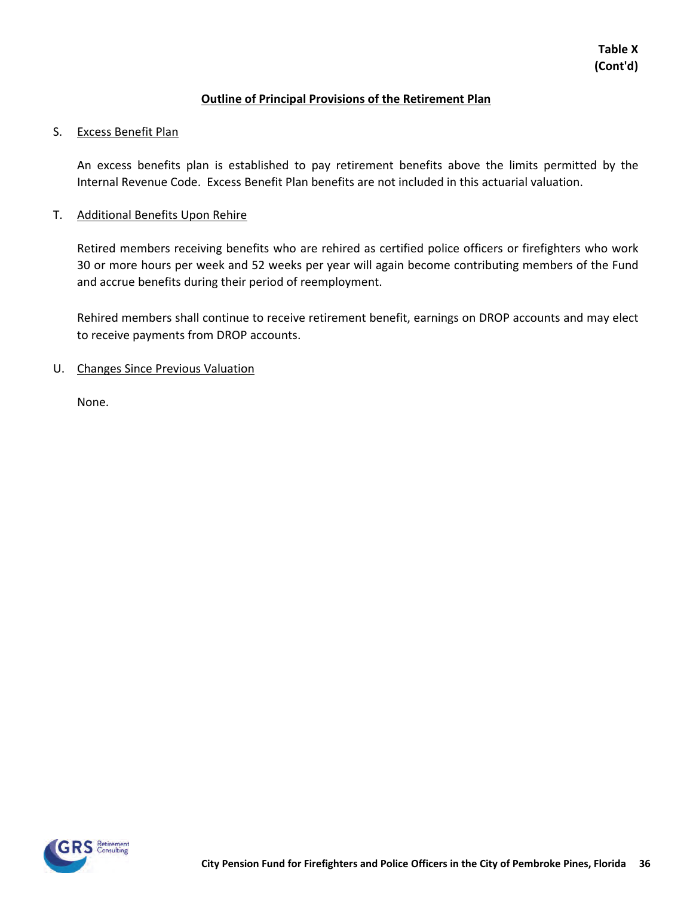#### **Outline of Principal Provisions of the Retirement Plan**

#### S. Excess Benefit Plan

An excess benefits plan is established to pay retirement benefits above the limits permitted by the Internal Revenue Code. Excess Benefit Plan benefits are not included in this actuarial valuation.

#### T. Additional Benefits Upon Rehire

Retired members receiving benefits who are rehired as certified police officers or firefighters who work 30 or more hours per week and 52 weeks per year will again become contributing members of the Fund and accrue benefits during their period of reemployment.

Rehired members shall continue to receive retirement benefit, earnings on DROP accounts and may elect to receive payments from DROP accounts.

#### U. Changes Since Previous Valuation

None.

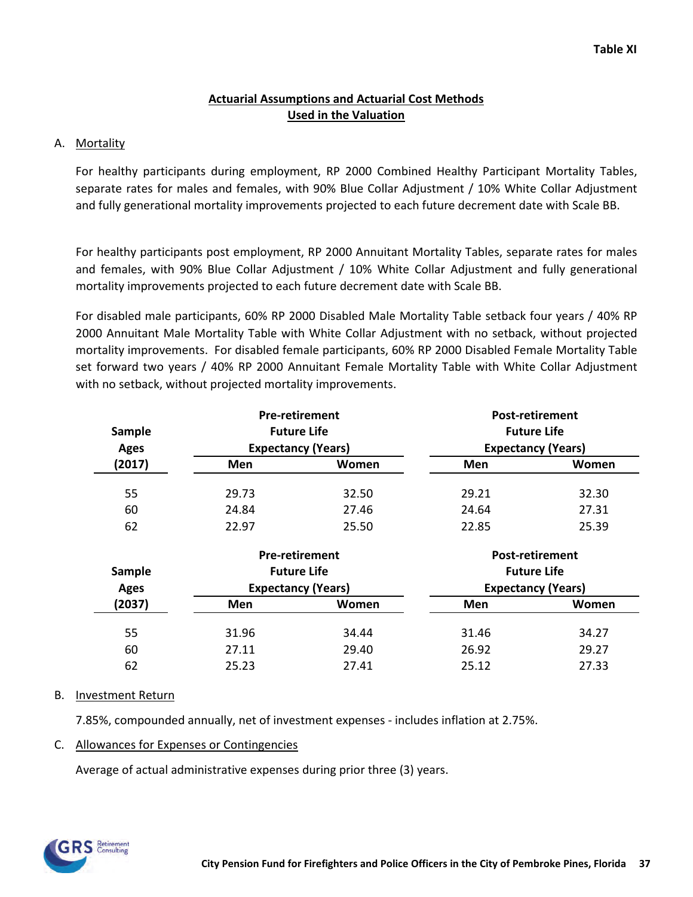## A. Mortality

For healthy participants during employment, RP 2000 Combined Healthy Participant Mortality Tables, separate rates for males and females, with 90% Blue Collar Adjustment / 10% White Collar Adjustment and fully generational mortality improvements projected to each future decrement date with Scale BB.

For healthy participants post employment, RP 2000 Annuitant Mortality Tables, separate rates for males and females, with 90% Blue Collar Adjustment / 10% White Collar Adjustment and fully generational mortality improvements projected to each future decrement date with Scale BB.

For disabled male participants, 60% RP 2000 Disabled Male Mortality Table setback four years / 40% RP 2000 Annuitant Male Mortality Table with White Collar Adjustment with no setback, without projected mortality improvements. For disabled female participants, 60% RP 2000 Disabled Female Mortality Table set forward two years / 40% RP 2000 Annuitant Female Mortality Table with White Collar Adjustment with no setback, without projected mortality improvements.

| Sample<br><b>Ages</b> |       | <b>Pre-retirement</b><br><b>Future Life</b><br><b>Expectancy (Years)</b> | <b>Post-retirement</b><br><b>Future Life</b><br><b>Expectancy (Years)</b> |       |  |  |
|-----------------------|-------|--------------------------------------------------------------------------|---------------------------------------------------------------------------|-------|--|--|
| (2017)                | Men   | Women                                                                    | Men                                                                       | Women |  |  |
| 55                    | 29.73 | 32.50                                                                    | 29.21                                                                     | 32.30 |  |  |
| 60                    | 24.84 | 27.46                                                                    | 24.64                                                                     | 27.31 |  |  |
| 62                    | 22.97 | 25.50                                                                    | 22.85                                                                     | 25.39 |  |  |

| Sample<br><b>Ages</b> |       | <b>Pre-retirement</b><br><b>Future Life</b><br><b>Expectancy (Years)</b> | <b>Post-retirement</b><br><b>Future Life</b><br><b>Expectancy (Years)</b> |       |  |  |
|-----------------------|-------|--------------------------------------------------------------------------|---------------------------------------------------------------------------|-------|--|--|
| (2037)                | Men   | Women                                                                    | Men                                                                       | Women |  |  |
| 55                    | 31.96 | 34.44                                                                    | 31.46                                                                     | 34.27 |  |  |
| 60                    | 27.11 | 29.40                                                                    | 26.92                                                                     | 29.27 |  |  |
| 62                    | 25.23 | 27.41                                                                    | 25.12                                                                     | 27.33 |  |  |

## B. Investment Return

7.85%, compounded annually, net of investment expenses - includes inflation at 2.75%.

C. Allowances for Expenses or Contingencies

Average of actual administrative expenses during prior three (3) years.

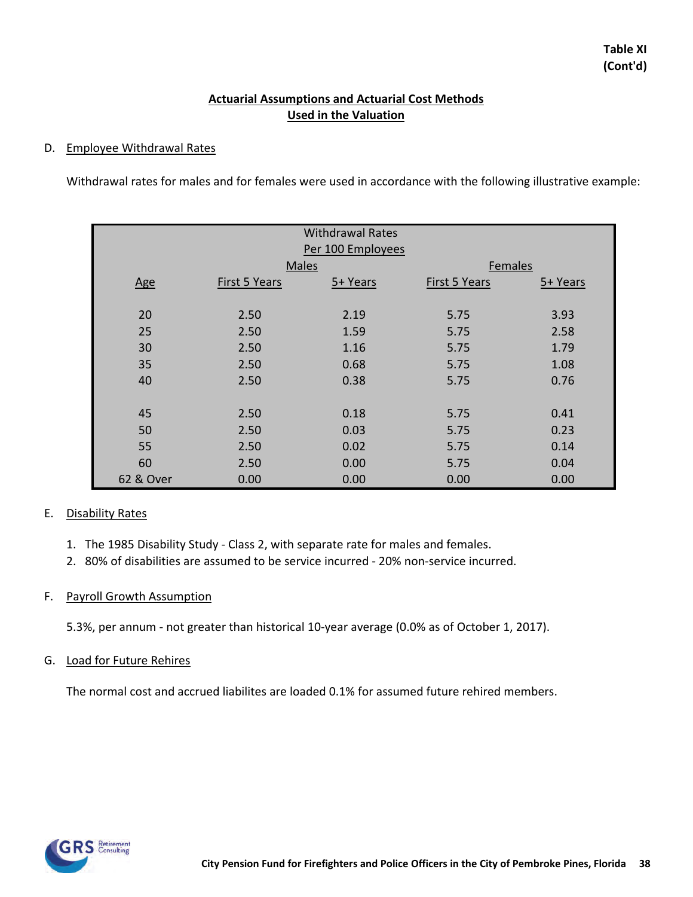## D. Employee Withdrawal Rates

Withdrawal rates for males and for females were used in accordance with the following illustrative example:

|                      |               | <b>Withdrawal Rates</b><br>Per 100 Employees |               |          |
|----------------------|---------------|----------------------------------------------|---------------|----------|
|                      | Males         |                                              | Females       |          |
| <b>Age</b>           | First 5 Years | 5+ Years                                     | First 5 Years | 5+ Years |
|                      |               |                                              |               |          |
| 20                   | 2.50          | 2.19                                         | 5.75          | 3.93     |
| 25                   | 2.50          | 1.59                                         | 5.75          | 2.58     |
| 30                   | 2.50          | 1.16                                         | 5.75          | 1.79     |
| 35                   | 2.50          | 0.68                                         | 5.75          | 1.08     |
| 40                   | 2.50          | 0.38                                         | 5.75          | 0.76     |
|                      |               |                                              |               |          |
| 45                   | 2.50          | 0.18                                         | 5.75          | 0.41     |
| 50                   | 2.50          | 0.03                                         | 5.75          | 0.23     |
| 55                   | 2.50          | 0.02                                         | 5.75          | 0.14     |
| 60                   | 2.50          | 0.00                                         | 5.75          | 0.04     |
| <b>62 &amp; Over</b> | 0.00          | 0.00                                         | 0.00          | 0.00     |

## E. Disability Rates

- 1. The 1985 Disability Study Class 2, with separate rate for males and females.
- 2. 80% of disabilities are assumed to be service incurred 20% non-service incurred.

## F. Payroll Growth Assumption

5.3%, per annum - not greater than historical 10-year average (0.0% as of October 1, 2017).

## G. Load for Future Rehires

The normal cost and accrued liabilites are loaded 0.1% for assumed future rehired members.

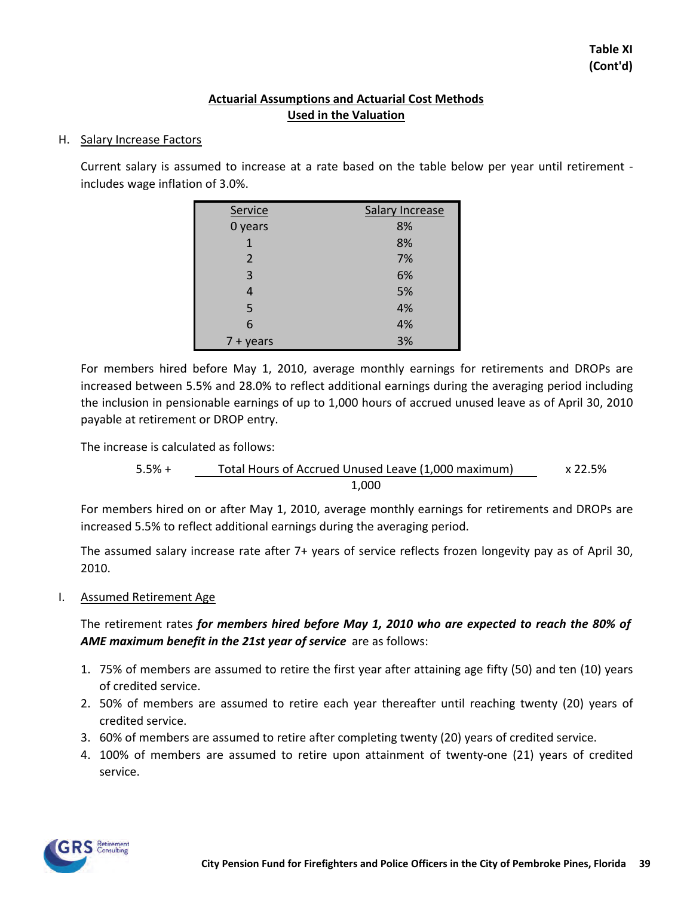#### H. Salary Increase Factors

Current salary is assumed to increase at a rate based on the table below per year until retirement includes wage inflation of 3.0%.

| Service     | <b>Salary Increase</b> |
|-------------|------------------------|
| 0 years     | 8%                     |
| 1           | 8%                     |
| 2           | 7%                     |
| 3           | 6%                     |
| 4           | 5%                     |
| 5           | 4%                     |
| 6           | 4%                     |
| $7 + years$ | 3%                     |

For members hired before May 1, 2010, average monthly earnings for retirements and DROPs are increased between 5.5% and 28.0% to reflect additional earnings during the averaging period including the inclusion in pensionable earnings of up to 1,000 hours of accrued unused leave as of April 30, 2010 payable at retirement or DROP entry.

The increase is calculated as follows:

5.5% + Total Hours of Accrued Unused Leave (1,000 maximum) 1,000 x 22.5%

For members hired on or after May 1, 2010, average monthly earnings for retirements and DROPs are increased 5.5% to reflect additional earnings during the averaging period.

The assumed salary increase rate after 7+ years of service reflects frozen longevity pay as of April 30, 2010.

#### I. Assumed Retirement Age

The retirement rates *for members hired before May 1, 2010 who are expected to reach the 80% of AME maximum benefit in the 21st year of service* are as follows:

- 1. 75% of members are assumed to retire the first year after attaining age fifty (50) and ten (10) years of credited service.
- 2. 50% of members are assumed to retire each year thereafter until reaching twenty (20) years of credited service.
- 3. 60% of members are assumed to retire after completing twenty (20) years of credited service.
- 4. 100% of members are assumed to retire upon attainment of twenty-one (21) years of credited service.

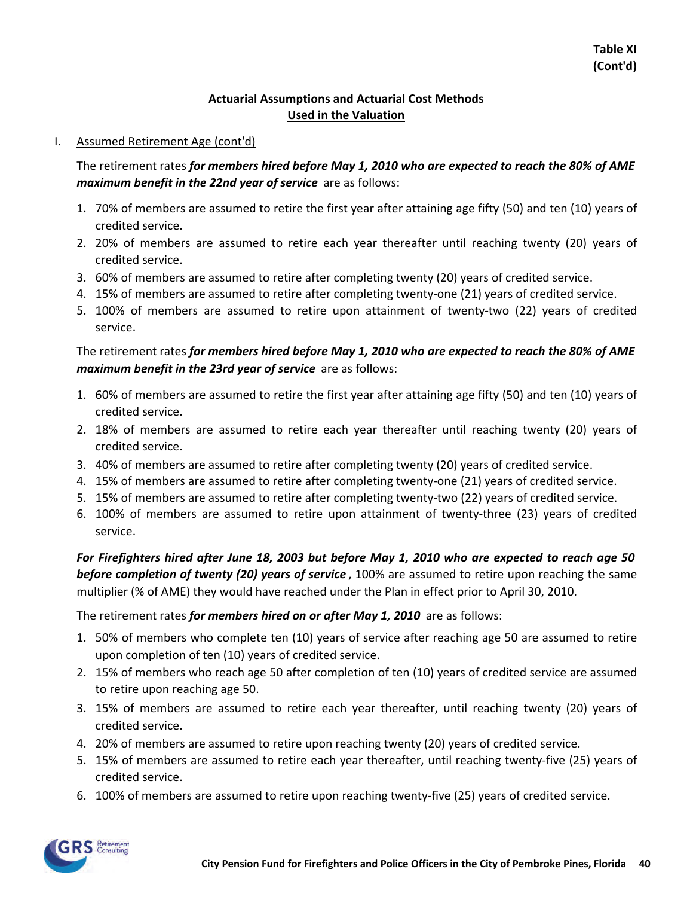## I. Assumed Retirement Age (cont'd)

## The retirement rates *for members hired before May 1, 2010 who are expected to reach the 80% of AME maximum benefit in the 22nd year of service* are as follows:

- 1. 70% of members are assumed to retire the first year after attaining age fifty (50) and ten (10) years of credited service.
- 2. 20% of members are assumed to retire each year thereafter until reaching twenty (20) years of credited service.
- 3. 60% of members are assumed to retire after completing twenty (20) years of credited service.
- 4. 15% of members are assumed to retire after completing twenty-one (21) years of credited service.
- 5. 100% of members are assumed to retire upon attainment of twenty-two (22) years of credited service.

## The retirement rates *for members hired before May 1, 2010 who are expected to reach the 80% of AME maximum benefit in the 23rd year of service* are as follows:

- 1. 60% of members are assumed to retire the first year after attaining age fifty (50) and ten (10) years of credited service.
- 2. 18% of members are assumed to retire each year thereafter until reaching twenty (20) years of credited service.
- 3. 40% of members are assumed to retire after completing twenty (20) years of credited service.
- 4. 15% of members are assumed to retire after completing twenty-one (21) years of credited service.
- 5. 15% of members are assumed to retire after completing twenty-two (22) years of credited service.
- 6. 100% of members are assumed to retire upon attainment of twenty-three (23) years of credited service.

*For Firefighters hired after June 18, 2003 but before May 1, 2010 who are expected to reach age 50 before completion of twenty (20) years of service* , 100% are assumed to retire upon reaching the same multiplier (% of AME) they would have reached under the Plan in effect prior to April 30, 2010.

## The retirement rates *for members hired on or after May 1, 2010* are as follows:

- 1. 50% of members who complete ten (10) years of service after reaching age 50 are assumed to retire upon completion of ten (10) years of credited service.
- 2. 15% of members who reach age 50 after completion of ten (10) years of credited service are assumed to retire upon reaching age 50.
- 3. 15% of members are assumed to retire each year thereafter, until reaching twenty (20) years of credited service.
- 4. 20% of members are assumed to retire upon reaching twenty (20) years of credited service.
- 5. 15% of members are assumed to retire each year thereafter, until reaching twenty-five (25) years of credited service.
- 6. 100% of members are assumed to retire upon reaching twenty-five (25) years of credited service.

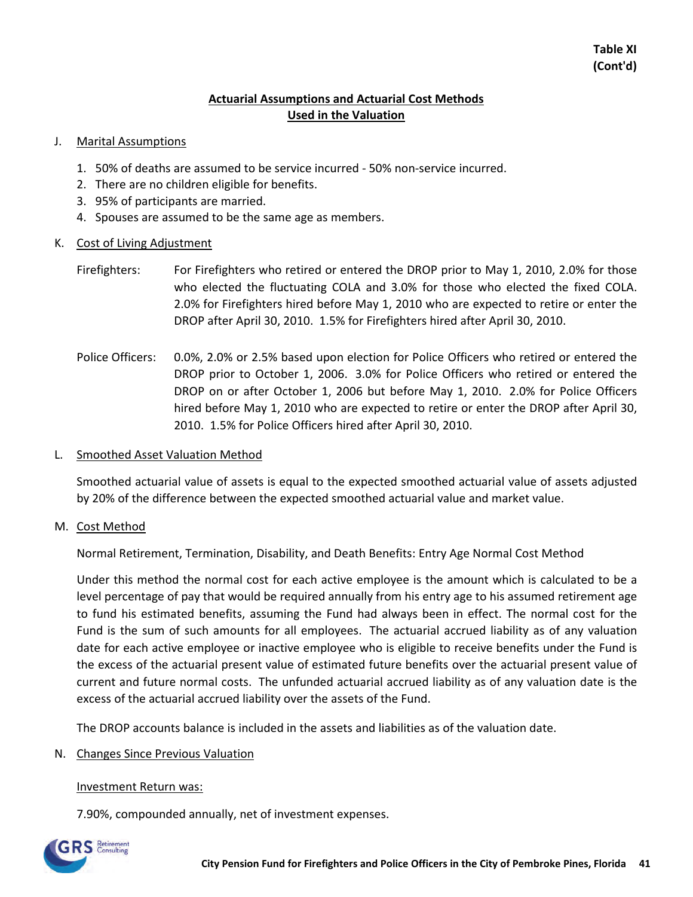## J. Marital Assumptions

- 1. 50% of deaths are assumed to be service incurred 50% non-service incurred.
- 2. There are no children eligible for benefits.
- 3. 95% of participants are married.
- 4. Spouses are assumed to be the same age as members.

## K. Cost of Living Adjustment

- Firefighters: For Firefighters who retired or entered the DROP prior to May 1, 2010, 2.0% for those who elected the fluctuating COLA and 3.0% for those who elected the fixed COLA. 2.0% for Firefighters hired before May 1, 2010 who are expected to retire or enter the DROP after April 30, 2010. 1.5% for Firefighters hired after April 30, 2010.
- Police Officers: 0.0%, 2.0% or 2.5% based upon election for Police Officers who retired or entered the DROP prior to October 1, 2006. 3.0% for Police Officers who retired or entered the DROP on or after October 1, 2006 but before May 1, 2010. 2.0% for Police Officers hired before May 1, 2010 who are expected to retire or enter the DROP after April 30, 2010. 1.5% for Police Officers hired after April 30, 2010.

#### L. Smoothed Asset Valuation Method

Smoothed actuarial value of assets is equal to the expected smoothed actuarial value of assets adjusted by 20% of the difference between the expected smoothed actuarial value and market value.

M. Cost Method

Normal Retirement, Termination, Disability, and Death Benefits: Entry Age Normal Cost Method

Under this method the normal cost for each active employee is the amount which is calculated to be a level percentage of pay that would be required annually from his entry age to his assumed retirement age to fund his estimated benefits, assuming the Fund had always been in effect. The normal cost for the Fund is the sum of such amounts for all employees. The actuarial accrued liability as of any valuation date for each active employee or inactive employee who is eligible to receive benefits under the Fund is the excess of the actuarial present value of estimated future benefits over the actuarial present value of current and future normal costs. The unfunded actuarial accrued liability as of any valuation date is the excess of the actuarial accrued liability over the assets of the Fund.

The DROP accounts balance is included in the assets and liabilities as of the valuation date.

#### N. Changes Since Previous Valuation

#### Investment Return was:

7.90%, compounded annually, net of investment expenses.

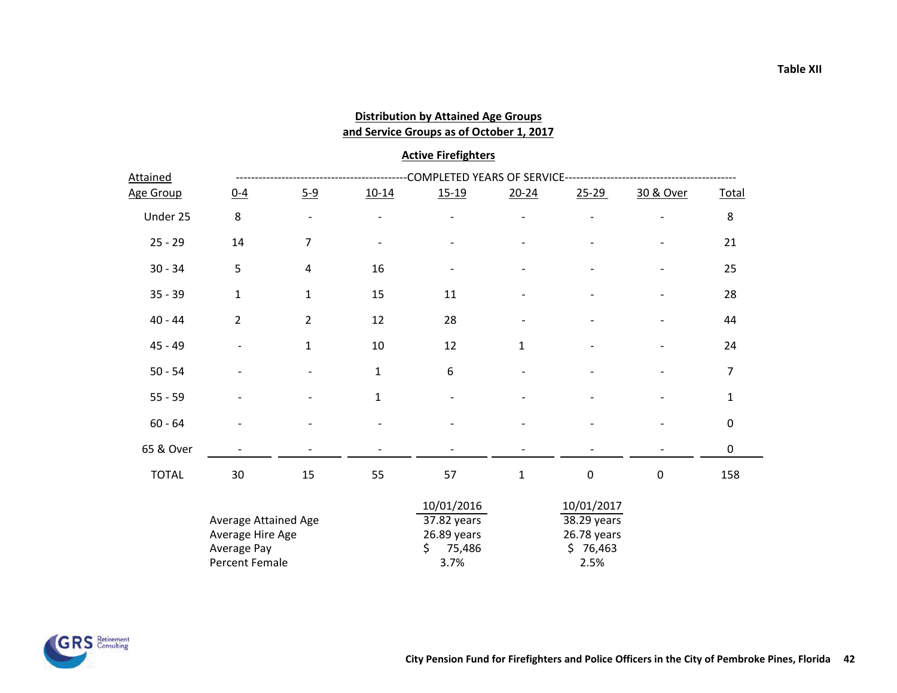## **and Service Groups as of October 1, 2017 Distribution by Attained Age Groups**

#### **Active Firefighters**

| <b>Attained</b>  |                                                                           | -COMPLETED YEARS OF SERVICE- |              |                                                                  |              |                                                              |           |                  |  |  |  |
|------------------|---------------------------------------------------------------------------|------------------------------|--------------|------------------------------------------------------------------|--------------|--------------------------------------------------------------|-----------|------------------|--|--|--|
| <b>Age Group</b> | 0-4                                                                       | $5 - 9$                      | $10 - 14$    | $15 - 19$                                                        | $20 - 24$    | $25 - 29$                                                    | 30 & Over | <b>Total</b>     |  |  |  |
| Under 25         | 8                                                                         | $\overline{\phantom{a}}$     |              |                                                                  |              |                                                              |           | 8                |  |  |  |
| $25 - 29$        | 14                                                                        | 7                            |              |                                                                  |              |                                                              |           | 21               |  |  |  |
| $30 - 34$        | 5                                                                         | $\overline{\mathbf{4}}$      | 16           |                                                                  |              |                                                              |           | 25               |  |  |  |
| $35 - 39$        | $\mathbf{1}$                                                              | $\mathbf{1}$                 | 15           | 11                                                               |              |                                                              |           | 28               |  |  |  |
| $40 - 44$        | $\overline{2}$                                                            | $\overline{2}$               | 12           | 28                                                               |              |                                                              |           | 44               |  |  |  |
| $45 - 49$        | $\overline{a}$                                                            | $\mathbf{1}$                 | 10           | 12                                                               | $\mathbf{1}$ |                                                              |           | 24               |  |  |  |
| $50 - 54$        |                                                                           |                              | $\mathbf{1}$ | $\boldsymbol{6}$                                                 |              |                                                              |           | $\overline{7}$   |  |  |  |
| $55 - 59$        |                                                                           |                              | $\mathbf{1}$ |                                                                  |              |                                                              |           | $\mathbf{1}$     |  |  |  |
| $60 - 64$        |                                                                           |                              |              |                                                                  |              |                                                              |           | $\pmb{0}$        |  |  |  |
| 65 & Over        |                                                                           |                              |              |                                                                  |              |                                                              |           | $\boldsymbol{0}$ |  |  |  |
| <b>TOTAL</b>     | 30                                                                        | 15                           | 55           | 57                                                               | $\mathbf 1$  | $\pmb{0}$                                                    | $\pmb{0}$ | 158              |  |  |  |
|                  | Average Attained Age<br>Average Hire Age<br>Average Pay<br>Percent Female |                              |              | 10/01/2016<br>37.82 years<br>26.89 years<br>75,486<br>Ś.<br>3.7% |              | 10/01/2017<br>38.29 years<br>26.78 years<br>\$76,463<br>2.5% |           |                  |  |  |  |

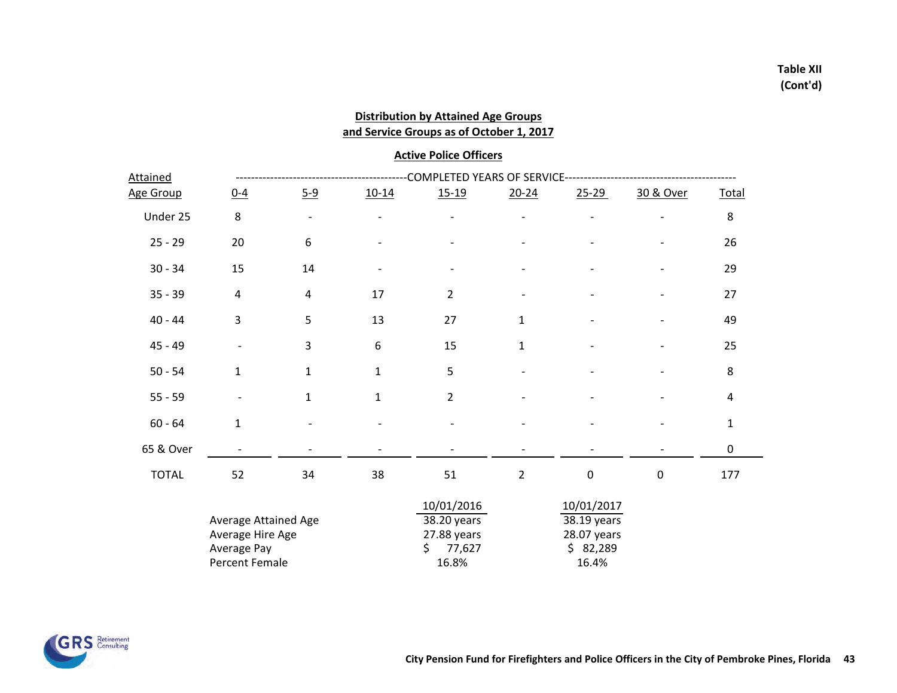## **and Service Groups as of October 1, 2017 Distribution by Attained Age Groups**

#### **Active Police Officers**

| Attained     | -COMPLETED YEARS OF SERVICE-                                              |                          |              |                                                                   |                          |                                                              |           |              |  |
|--------------|---------------------------------------------------------------------------|--------------------------|--------------|-------------------------------------------------------------------|--------------------------|--------------------------------------------------------------|-----------|--------------|--|
| Age Group    | $0 - 4$                                                                   | $5 - 9$                  | $10-14$      | $15 - 19$                                                         | $20 - 24$                | $25 - 29$                                                    | 30 & Over | <b>Total</b> |  |
| Under 25     | 8                                                                         | $\overline{\phantom{a}}$ |              |                                                                   |                          |                                                              |           | 8            |  |
| $25 - 29$    | 20                                                                        | 6                        |              |                                                                   |                          |                                                              |           | 26           |  |
| $30 - 34$    | 15                                                                        | 14                       |              |                                                                   | $\overline{\phantom{0}}$ |                                                              |           | 29           |  |
| $35 - 39$    | $\overline{\mathbf{4}}$                                                   | 4                        | 17           | $\overline{2}$                                                    |                          |                                                              |           | 27           |  |
| $40 - 44$    | 3                                                                         | 5                        | 13           | 27                                                                | $\mathbf{1}$             |                                                              |           | 49           |  |
| 45 - 49      |                                                                           | 3                        | 6            | 15                                                                | $\mathbf 1$              |                                                              |           | 25           |  |
| $50 - 54$    | $\mathbf{1}$                                                              | $\mathbf{1}$             | $\mathbf{1}$ | 5                                                                 |                          |                                                              |           | 8            |  |
| $55 - 59$    |                                                                           | $\mathbf{1}$             | $\mathbf{1}$ | $\overline{2}$                                                    |                          |                                                              |           | 4            |  |
| $60 - 64$    | $\mathbf{1}$                                                              |                          |              |                                                                   |                          |                                                              |           | $\mathbf{1}$ |  |
| 65 & Over    |                                                                           |                          |              |                                                                   |                          |                                                              |           | 0            |  |
| <b>TOTAL</b> | 52                                                                        | 34                       | 38           | 51                                                                | $\overline{2}$           | $\pmb{0}$                                                    | $\pmb{0}$ | 177          |  |
|              | Average Attained Age<br>Average Hire Age<br>Average Pay<br>Percent Female |                          |              | 10/01/2016<br>38.20 years<br>27.88 years<br>77,627<br>Ś.<br>16.8% |                          | 10/01/2017<br>38.19 years<br>28.07 years<br>\$2,289<br>16.4% |           |              |  |

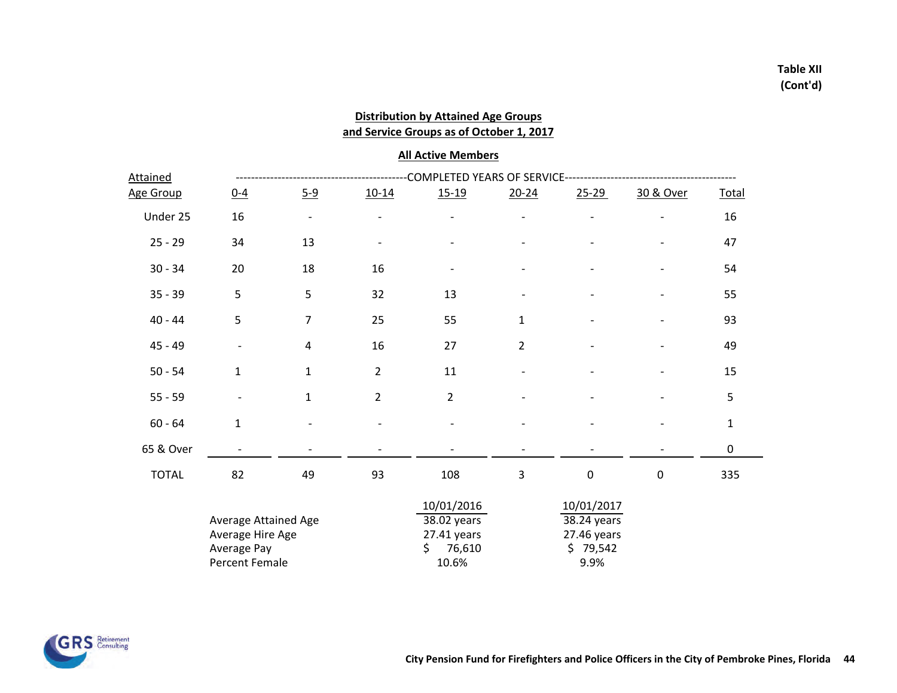## **and Service Groups as of October 1, 2017 Distribution by Attained Age Groups**

#### **All Active Members**

| $0 - 4$                  |                          | -COMPLETED YEARS OF SERVICE-                                              |                                                           |                |                                                      |           |              |  |  |  |  |
|--------------------------|--------------------------|---------------------------------------------------------------------------|-----------------------------------------------------------|----------------|------------------------------------------------------|-----------|--------------|--|--|--|--|
|                          | $5 - 9$                  | $10-14$                                                                   | $15 - 19$                                                 | $20 - 24$      | $25 - 29$                                            | 30 & Over | <b>Total</b> |  |  |  |  |
| 16                       | $\overline{\phantom{a}}$ |                                                                           |                                                           |                |                                                      |           | 16           |  |  |  |  |
| 34                       | 13                       |                                                                           |                                                           |                |                                                      |           | 47           |  |  |  |  |
| 20                       | 18                       | 16                                                                        |                                                           | $\overline{a}$ |                                                      |           | 54           |  |  |  |  |
| 5                        | 5                        | 32                                                                        | 13                                                        |                |                                                      |           | 55           |  |  |  |  |
| 5                        | 7                        | 25                                                                        | 55                                                        | $\mathbf{1}$   |                                                      |           | 93           |  |  |  |  |
| $\overline{\phantom{a}}$ | 4                        | 16                                                                        | 27                                                        | $\overline{2}$ |                                                      |           | 49           |  |  |  |  |
| $\mathbf{1}$             | $\mathbf{1}$             | $\overline{2}$                                                            | 11                                                        |                |                                                      |           | 15           |  |  |  |  |
| $\overline{\phantom{0}}$ | $\mathbf{1}$             | $\overline{2}$                                                            | $\overline{2}$                                            |                |                                                      |           | 5            |  |  |  |  |
| $\mathbf{1}$             |                          |                                                                           |                                                           |                |                                                      |           | $\mathbf 1$  |  |  |  |  |
|                          |                          |                                                                           |                                                           |                |                                                      |           | $\mathbf 0$  |  |  |  |  |
| 82                       | 49                       | 93                                                                        | 108                                                       | 3              | $\pmb{0}$<br>$\pmb{0}$                               |           | 335          |  |  |  |  |
|                          |                          |                                                                           | 10/01/2016<br>38.02 years<br>27.41 years<br>76,610<br>\$. |                | 10/01/2017<br>38.24 years<br>27.46 years<br>\$79,542 |           |              |  |  |  |  |
|                          |                          | Average Attained Age<br>Average Hire Age<br>Average Pay<br>Percent Female |                                                           | 10.6%          |                                                      | 9.9%      |              |  |  |  |  |

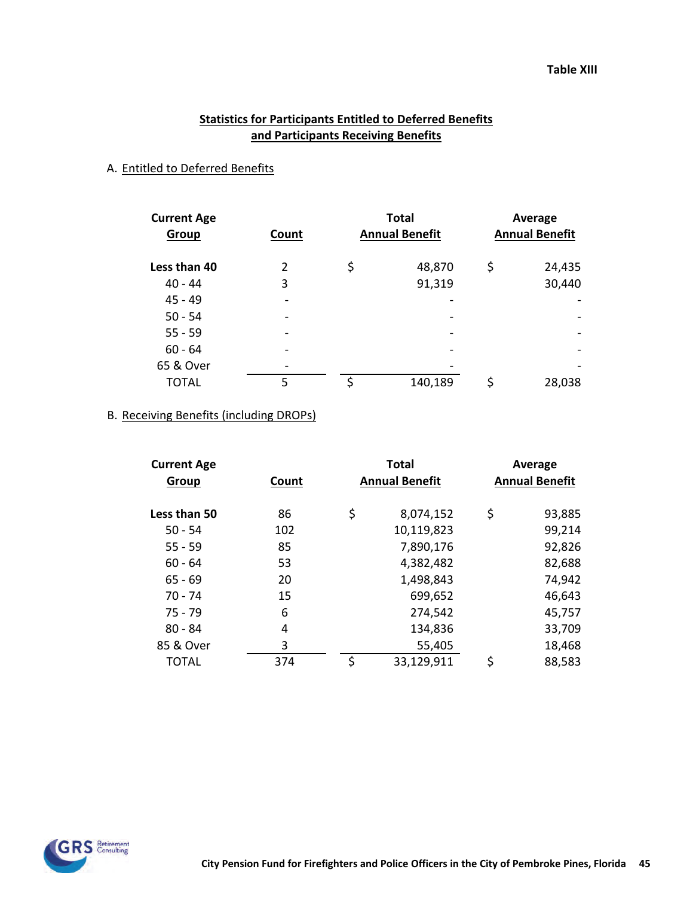## **Statistics for Participants Entitled to Deferred Benefits and Participants Receiving Benefits**

## A. Entitled to Deferred Benefits

| <b>Current Age</b><br><b>Group</b> | Count | Total<br><b>Annual Benefit</b> | Average<br><b>Annual Benefit</b> |  |  |
|------------------------------------|-------|--------------------------------|----------------------------------|--|--|
|                                    |       |                                |                                  |  |  |
| Less than 40                       | 2     | \$<br>48,870                   | \$<br>24,435                     |  |  |
| $40 - 44$                          | 3     | 91,319                         | 30,440                           |  |  |
| $45 - 49$                          |       |                                |                                  |  |  |
| $50 - 54$                          |       |                                |                                  |  |  |
| $55 - 59$                          |       |                                |                                  |  |  |
| $60 - 64$                          |       |                                |                                  |  |  |
| 65 & Over                          |       |                                |                                  |  |  |
| TOTAL                              | 5     | \$<br>140,189                  | \$<br>28,038                     |  |  |

## B. Receiving Benefits (including DROPs)

| <b>Current Age</b><br>Count<br><b>Group</b> |     | <b>Total</b><br><b>Annual Benefit</b> | Average<br><b>Annual Benefit</b> |  |  |
|---------------------------------------------|-----|---------------------------------------|----------------------------------|--|--|
|                                             |     |                                       |                                  |  |  |
| Less than 50                                | 86  | \$<br>8,074,152                       | \$<br>93,885                     |  |  |
| $50 - 54$                                   | 102 | 10,119,823                            | 99,214                           |  |  |
| $55 - 59$                                   | 85  | 7,890,176                             | 92,826                           |  |  |
| $60 - 64$                                   | 53  | 4,382,482                             | 82,688                           |  |  |
| $65 - 69$                                   | 20  | 1,498,843                             | 74,942                           |  |  |
| $70 - 74$                                   | 15  | 699,652                               | 46,643                           |  |  |
| 75 - 79                                     | 6   | 274,542                               | 45,757                           |  |  |
| $80 - 84$                                   | 4   | 134,836                               | 33,709                           |  |  |
| 85 & Over                                   | 3   | 55,405                                | 18,468                           |  |  |
| <b>TOTAL</b>                                | 374 | \$<br>33,129,911                      | \$<br>88,583                     |  |  |

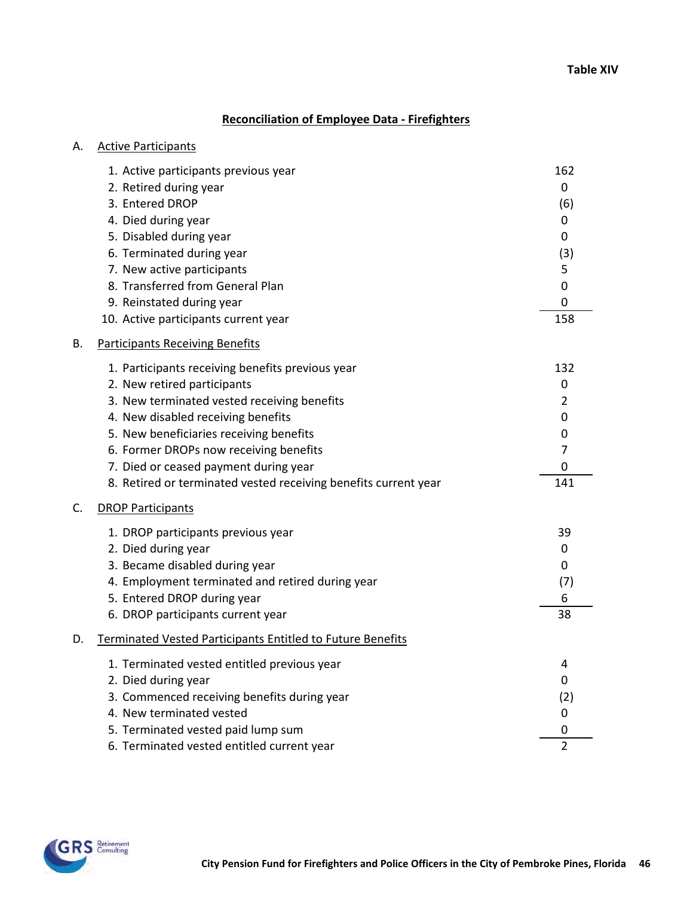## **Reconciliation of Employee Data - Firefighters**

| Α. | <b>Active Participants</b>                                        |                |
|----|-------------------------------------------------------------------|----------------|
|    | 1. Active participants previous year                              | 162            |
|    | 2. Retired during year                                            | 0              |
|    | 3. Entered DROP                                                   | (6)            |
|    | 4. Died during year                                               | 0              |
|    | 5. Disabled during year                                           | 0              |
|    | 6. Terminated during year                                         | (3)            |
|    | 7. New active participants                                        | 5              |
|    | 8. Transferred from General Plan                                  | 0              |
|    | 9. Reinstated during year                                         | 0              |
|    | 10. Active participants current year                              | 158            |
| В. | <b>Participants Receiving Benefits</b>                            |                |
|    | 1. Participants receiving benefits previous year                  | 132            |
|    | 2. New retired participants                                       | 0              |
|    | 3. New terminated vested receiving benefits                       | 2              |
|    | 4. New disabled receiving benefits                                | 0              |
|    | 5. New beneficiaries receiving benefits                           | 0              |
|    | 6. Former DROPs now receiving benefits                            | 7              |
|    | 7. Died or ceased payment during year                             | 0              |
|    | 8. Retired or terminated vested receiving benefits current year   | 141            |
| C. | <b>DROP Participants</b>                                          |                |
|    | 1. DROP participants previous year                                | 39             |
|    | 2. Died during year                                               | 0              |
|    | 3. Became disabled during year                                    | 0              |
|    | 4. Employment terminated and retired during year                  | (7)            |
|    | 5. Entered DROP during year                                       | 6              |
|    | 6. DROP participants current year                                 | 38             |
| D. | <b>Terminated Vested Participants Entitled to Future Benefits</b> |                |
|    | 1. Terminated vested entitled previous year                       | 4              |
|    | 2. Died during year                                               | 0              |
|    | 3. Commenced receiving benefits during year                       | (2)            |
|    | 4. New terminated vested                                          | 0              |
|    | 5. Terminated vested paid lump sum                                | 0              |
|    | 6. Terminated vested entitled current year                        | $\overline{2}$ |

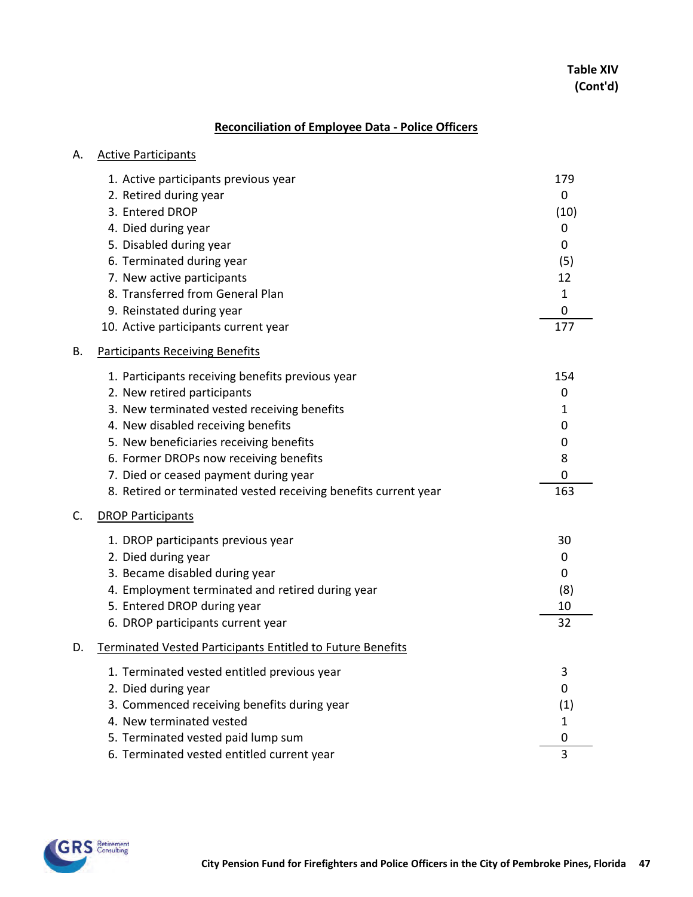## **Reconciliation of Employee Data - Police Officers**

| А. | <b>Active Participants</b>                                        |              |
|----|-------------------------------------------------------------------|--------------|
|    | 1. Active participants previous year                              | 179          |
|    | 2. Retired during year                                            | $\mathbf{0}$ |
|    | 3. Entered DROP                                                   | (10)         |
|    | 4. Died during year                                               | 0            |
|    | 5. Disabled during year                                           | 0            |
|    | 6. Terminated during year                                         | (5)          |
|    | 7. New active participants                                        | 12           |
|    | 8. Transferred from General Plan                                  | $\mathbf{1}$ |
|    | 9. Reinstated during year                                         | 0            |
|    | 10. Active participants current year                              | 177          |
| В. | <b>Participants Receiving Benefits</b>                            |              |
|    | 1. Participants receiving benefits previous year                  | 154          |
|    | 2. New retired participants                                       | 0            |
|    | 3. New terminated vested receiving benefits                       | 1            |
|    | 4. New disabled receiving benefits                                | 0            |
|    | 5. New beneficiaries receiving benefits                           | 0            |
|    | 6. Former DROPs now receiving benefits                            | 8            |
|    | 7. Died or ceased payment during year                             | 0            |
|    | 8. Retired or terminated vested receiving benefits current year   | 163          |
| C. | <b>DROP Participants</b>                                          |              |
|    | 1. DROP participants previous year                                | 30           |
|    | 2. Died during year                                               | 0            |
|    | 3. Became disabled during year                                    | 0            |
|    | 4. Employment terminated and retired during year                  | (8)          |
|    | 5. Entered DROP during year                                       | 10           |
|    | 6. DROP participants current year                                 | 32           |
| D. | <b>Terminated Vested Participants Entitled to Future Benefits</b> |              |
|    | 1. Terminated vested entitled previous year                       | 3            |
|    | 2. Died during year                                               | 0            |
|    | 3. Commenced receiving benefits during year                       | (1)          |
|    | 4. New terminated vested                                          | 1            |
|    | 5. Terminated vested paid lump sum                                | 0            |
|    | 6. Terminated vested entitled current year                        | 3            |
|    |                                                                   |              |

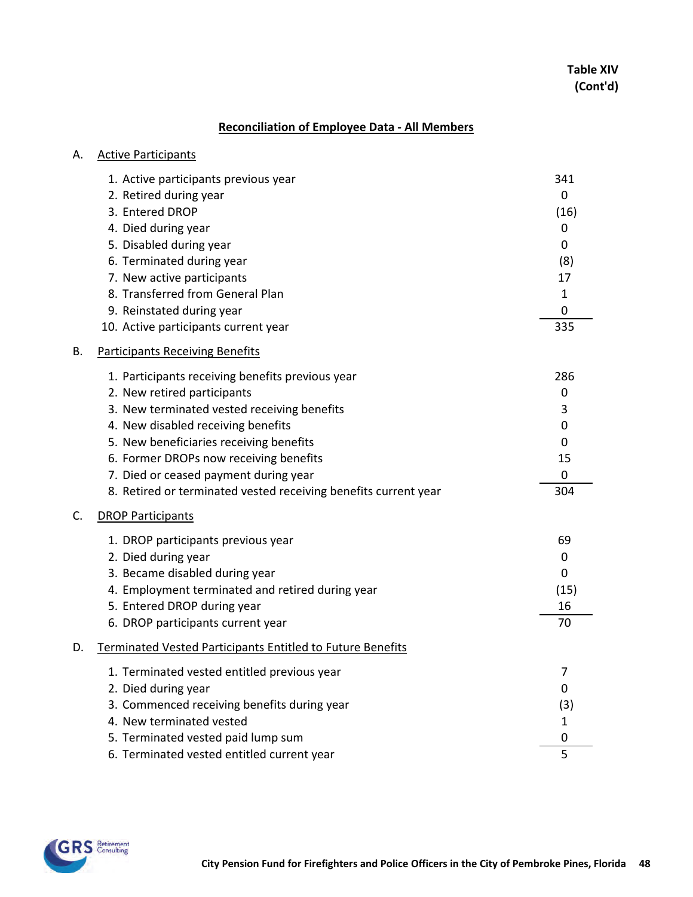## **Reconciliation of Employee Data - All Members**

| Α. | <b>Active Participants</b>                                        |      |
|----|-------------------------------------------------------------------|------|
|    | 1. Active participants previous year                              | 341  |
|    | 2. Retired during year                                            | 0    |
|    | 3. Entered DROP                                                   | (16) |
|    | 4. Died during year                                               | 0    |
|    | 5. Disabled during year                                           | 0    |
|    | 6. Terminated during year                                         | (8)  |
|    | 7. New active participants                                        | 17   |
|    | 8. Transferred from General Plan                                  | 1    |
|    | 9. Reinstated during year                                         | 0    |
|    | 10. Active participants current year                              | 335  |
| В. | <b>Participants Receiving Benefits</b>                            |      |
|    | 1. Participants receiving benefits previous year                  | 286  |
|    | 2. New retired participants                                       | 0    |
|    | 3. New terminated vested receiving benefits                       | 3    |
|    | 4. New disabled receiving benefits                                | 0    |
|    | 5. New beneficiaries receiving benefits                           | 0    |
|    | 6. Former DROPs now receiving benefits                            | 15   |
|    | 7. Died or ceased payment during year                             | 0    |
|    | 8. Retired or terminated vested receiving benefits current year   | 304  |
| C. | <b>DROP Participants</b>                                          |      |
|    | 1. DROP participants previous year                                | 69   |
|    | 2. Died during year                                               | 0    |
|    | 3. Became disabled during year                                    | 0    |
|    | 4. Employment terminated and retired during year                  | (15) |
|    | 5. Entered DROP during year                                       | 16   |
|    | 6. DROP participants current year                                 | 70   |
| D. | <b>Terminated Vested Participants Entitled to Future Benefits</b> |      |
|    | 1. Terminated vested entitled previous year                       | 7    |
|    | 2. Died during year                                               | 0    |
|    | 3. Commenced receiving benefits during year                       | (3)  |
|    | 4. New terminated vested                                          | 1    |
|    | 5. Terminated vested paid lump sum                                | 0    |
|    | 6. Terminated vested entitled current year                        | 5    |

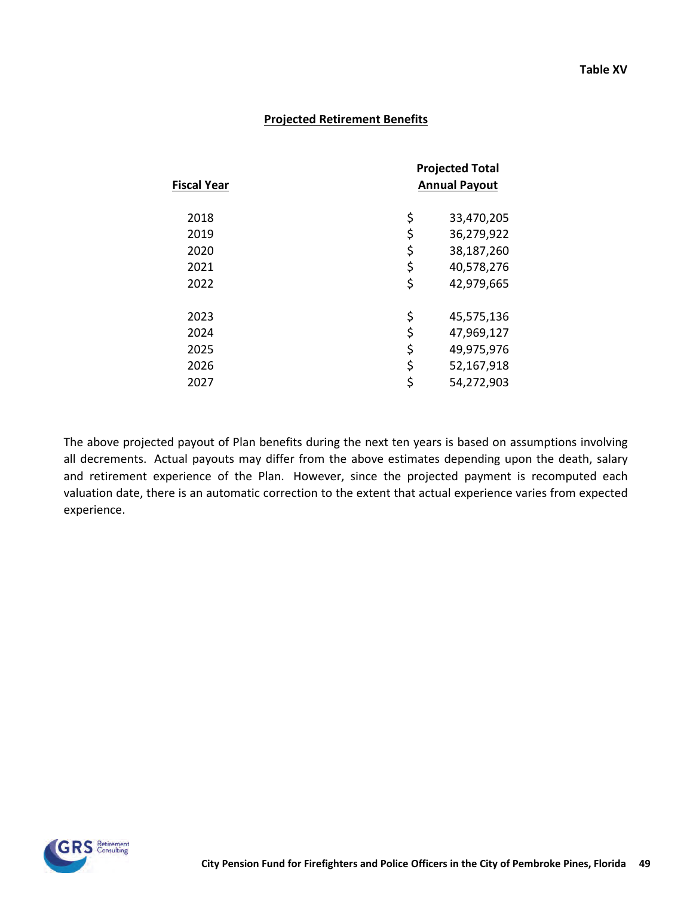## **Projected Retirement Benefits**

| <b>Fiscal Year</b> | <b>Projected Total</b><br><b>Annual Payout</b> |
|--------------------|------------------------------------------------|
| 2018               | \$<br>33,470,205                               |
| 2019               | \$<br>36,279,922                               |
| 2020               | \$<br>38,187,260                               |
| 2021               | \$<br>40,578,276                               |
| 2022               | \$<br>42,979,665                               |
| 2023               | \$<br>45,575,136                               |
| 2024               | \$<br>47,969,127                               |
| 2025               | \$<br>49,975,976                               |
| 2026               | \$<br>52,167,918                               |
| 2027               | \$<br>54,272,903                               |
|                    |                                                |

The above projected payout of Plan benefits during the next ten years is based on assumptions involving all decrements. Actual payouts may differ from the above estimates depending upon the death, salary and retirement experience of the Plan. However, since the projected payment is recomputed each valuation date, there is an automatic correction to the extent that actual experience varies from expected experience.

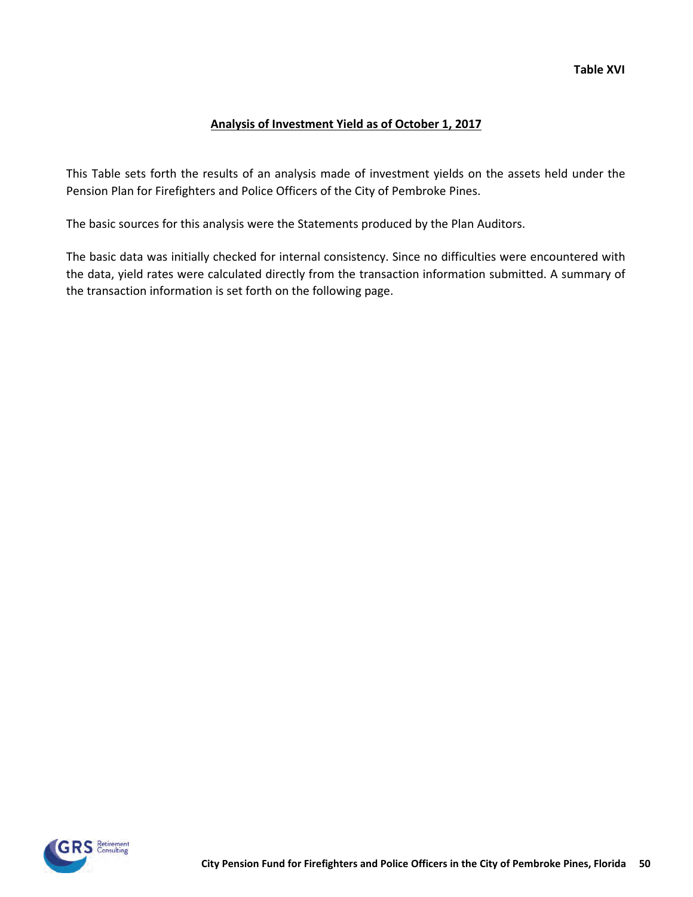## **Analysis of Investment Yield as of October 1, 2017**

This Table sets forth the results of an analysis made of investment yields on the assets held under the Pension Plan for Firefighters and Police Officers of the City of Pembroke Pines.

The basic sources for this analysis were the Statements produced by the Plan Auditors.

The basic data was initially checked for internal consistency. Since no difficulties were encountered with the data, yield rates were calculated directly from the transaction information submitted. A summary of the transaction information is set forth on the following page.

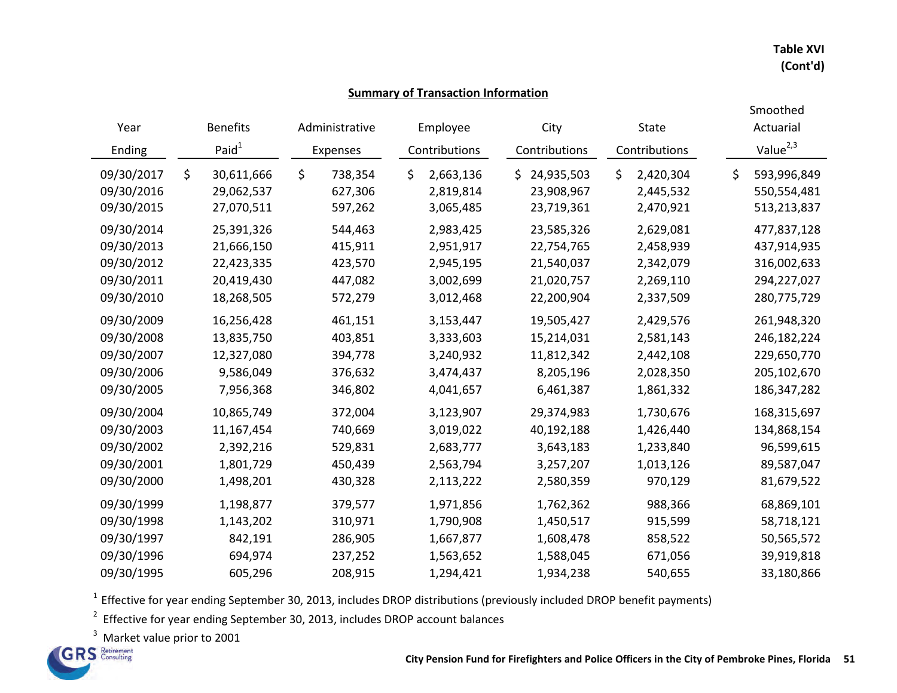## **Summary of Transaction Information**

| Year                                   | <b>Benefits</b>                              | Administrative                      | Employee                                  | City                                          | State                                     | Smoothed<br>Actuarial                           |
|----------------------------------------|----------------------------------------------|-------------------------------------|-------------------------------------------|-----------------------------------------------|-------------------------------------------|-------------------------------------------------|
| Ending                                 | Paid $1$                                     | Expenses                            | Contributions                             | Contributions                                 | Contributions                             | Value $^{2,3}$                                  |
| 09/30/2017<br>09/30/2016<br>09/30/2015 | \$<br>30,611,666<br>29,062,537<br>27,070,511 | \$<br>738,354<br>627,306<br>597,262 | \$<br>2,663,136<br>2,819,814<br>3,065,485 | 24,935,503<br>\$.<br>23,908,967<br>23,719,361 | \$<br>2,420,304<br>2,445,532<br>2,470,921 | \$<br>593,996,849<br>550,554,481<br>513,213,837 |
| 09/30/2014                             | 25,391,326                                   | 544,463                             | 2,983,425                                 | 23,585,326                                    | 2,629,081                                 | 477,837,128                                     |
| 09/30/2013                             | 21,666,150                                   | 415,911                             | 2,951,917                                 | 22,754,765                                    | 2,458,939                                 | 437,914,935                                     |
| 09/30/2012                             | 22,423,335                                   | 423,570                             | 2,945,195                                 | 21,540,037                                    | 2,342,079                                 | 316,002,633                                     |
| 09/30/2011                             | 20,419,430                                   | 447,082                             | 3,002,699                                 | 21,020,757                                    | 2,269,110                                 | 294,227,027                                     |
| 09/30/2010                             | 18,268,505                                   | 572,279                             | 3,012,468                                 | 22,200,904                                    | 2,337,509                                 | 280,775,729                                     |
| 09/30/2009                             | 16,256,428                                   | 461,151                             | 3,153,447                                 | 19,505,427                                    | 2,429,576                                 | 261,948,320                                     |
| 09/30/2008                             | 13,835,750                                   | 403,851                             | 3,333,603                                 | 15,214,031                                    | 2,581,143                                 | 246,182,224                                     |
| 09/30/2007                             | 12,327,080                                   | 394,778                             | 3,240,932                                 | 11,812,342                                    | 2,442,108                                 | 229,650,770                                     |
| 09/30/2006                             | 9,586,049                                    | 376,632                             | 3,474,437                                 | 8,205,196                                     | 2,028,350                                 | 205,102,670                                     |
| 09/30/2005                             | 7,956,368                                    | 346,802                             | 4,041,657                                 | 6,461,387                                     | 1,861,332                                 | 186, 347, 282                                   |
| 09/30/2004                             | 10,865,749                                   | 372,004                             | 3,123,907                                 | 29,374,983                                    | 1,730,676                                 | 168,315,697                                     |
| 09/30/2003                             | 11,167,454                                   | 740,669                             | 3,019,022                                 | 40,192,188                                    | 1,426,440                                 | 134,868,154                                     |
| 09/30/2002                             | 2,392,216                                    | 529,831                             | 2,683,777                                 | 3,643,183                                     | 1,233,840                                 | 96,599,615                                      |
| 09/30/2001                             | 1,801,729                                    | 450,439                             | 2,563,794                                 | 3,257,207                                     | 1,013,126                                 | 89,587,047                                      |
| 09/30/2000                             | 1,498,201                                    | 430,328                             | 2,113,222                                 | 2,580,359                                     | 970,129                                   | 81,679,522                                      |
| 09/30/1999                             | 1,198,877                                    | 379,577                             | 1,971,856                                 | 1,762,362                                     | 988,366                                   | 68,869,101                                      |
| 09/30/1998                             | 1,143,202                                    | 310,971                             | 1,790,908                                 | 1,450,517                                     | 915,599                                   | 58,718,121                                      |
| 09/30/1997                             | 842,191                                      | 286,905                             | 1,667,877                                 | 1,608,478                                     | 858,522                                   | 50,565,572                                      |
| 09/30/1996                             | 694,974                                      | 237,252                             | 1,563,652                                 | 1,588,045                                     | 671,056                                   | 39,919,818                                      |
| 09/30/1995                             | 605,296                                      | 208,915                             | 1,294,421                                 | 1,934,238                                     | 540,655                                   | 33,180,866                                      |

 $1$  Effective for year ending September 30, 2013, includes DROP distributions (previously included DROP benefit payments)

 $2$  Effective for year ending September 30, 2013, includes DROP account balances

 $3$  Market value prior to 2001

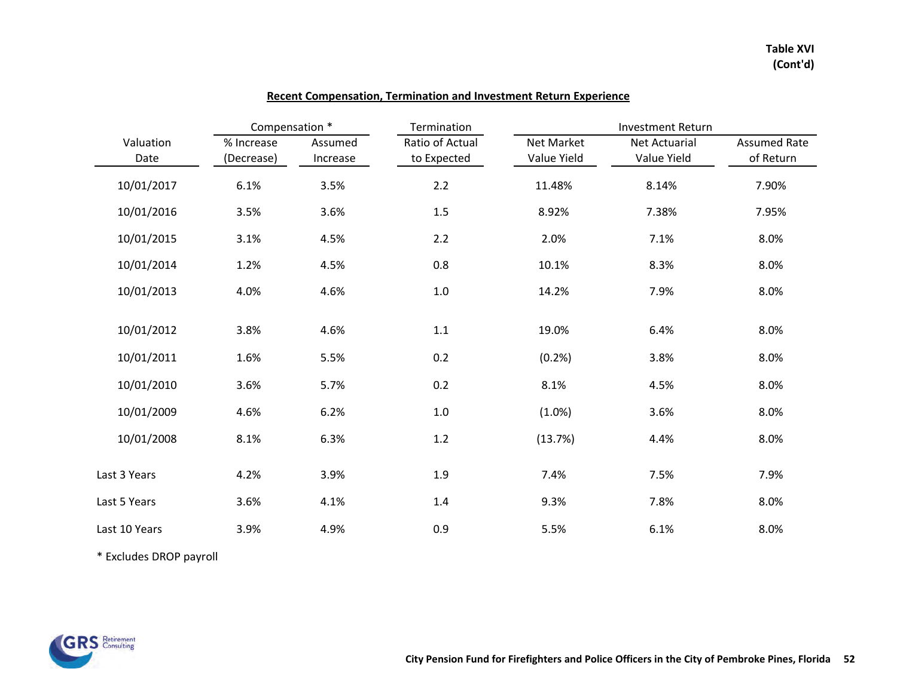|               | Compensation * |          | Termination     |             | <b>Investment Return</b> |                     |
|---------------|----------------|----------|-----------------|-------------|--------------------------|---------------------|
| Valuation     | % Increase     | Assumed  | Ratio of Actual | Net Market  | <b>Net Actuarial</b>     | <b>Assumed Rate</b> |
| Date          | (Decrease)     | Increase | to Expected     | Value Yield | Value Yield              | of Return           |
| 10/01/2017    | 6.1%           | 3.5%     | 2.2             | 11.48%      | 8.14%                    | 7.90%               |
| 10/01/2016    | 3.5%           | 3.6%     | 1.5             | 8.92%       | 7.38%                    | 7.95%               |
| 10/01/2015    | 3.1%           | 4.5%     | 2.2             | 2.0%        | 7.1%                     | 8.0%                |
| 10/01/2014    | 1.2%           | 4.5%     | 0.8             | 10.1%       | 8.3%                     | 8.0%                |
| 10/01/2013    | 4.0%           | 4.6%     | $1.0\,$         | 14.2%       | 7.9%                     | 8.0%                |
| 10/01/2012    | 3.8%           | 4.6%     | 1.1             | 19.0%       | 6.4%                     | 8.0%                |
| 10/01/2011    | 1.6%           | 5.5%     | 0.2             | (0.2%)      | 3.8%                     | 8.0%                |
|               |                |          |                 |             |                          |                     |
| 10/01/2010    | 3.6%           | 5.7%     | 0.2             | 8.1%        | 4.5%                     | 8.0%                |
| 10/01/2009    | 4.6%           | 6.2%     | $1.0\,$         | (1.0%)      | 3.6%                     | 8.0%                |
| 10/01/2008    | 8.1%           | 6.3%     | 1.2             | (13.7%)     | 4.4%                     | 8.0%                |
| Last 3 Years  | 4.2%           | 3.9%     | $1.9\,$         | 7.4%        | 7.5%                     | 7.9%                |
| Last 5 Years  | 3.6%           | 4.1%     | 1.4             | 9.3%        | 7.8%                     | 8.0%                |
| Last 10 Years | 3.9%           | 4.9%     | 0.9             | 5.5%        | 6.1%                     | 8.0%                |

#### **Recent Compensation, Termination and Investment Return Experience**

\* Excludes DROP payroll

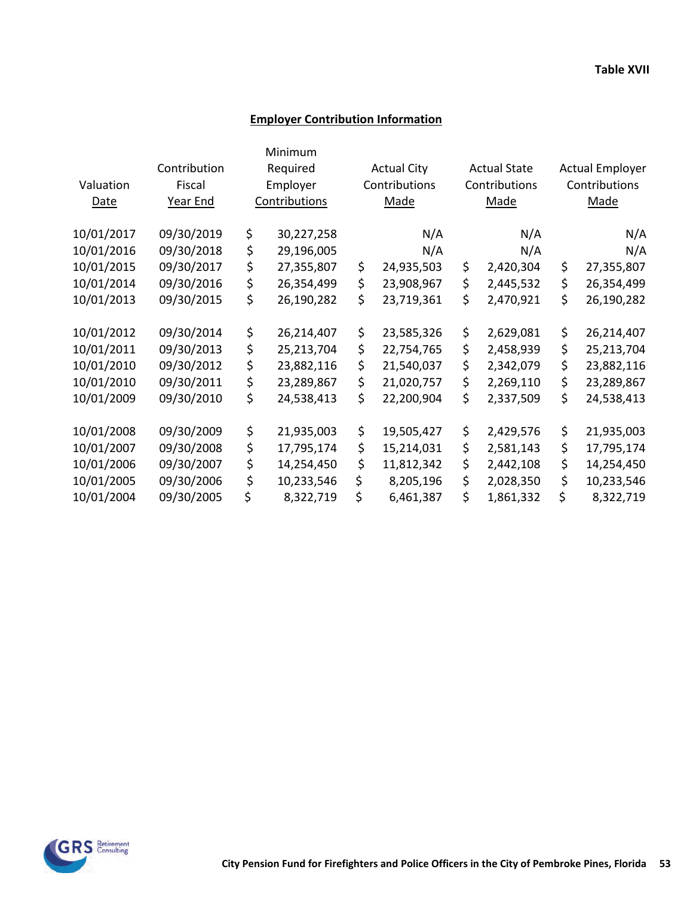## **Employer Contribution Information**

| Contribution | Required         |                          |            |                                     |           |                                      | <b>Actual Employer</b> |
|--------------|------------------|--------------------------|------------|-------------------------------------|-----------|--------------------------------------|------------------------|
| Fiscal       | Employer         |                          |            |                                     |           |                                      | Contributions          |
| Year End     |                  |                          | Made       |                                     | Made      |                                      | Made                   |
| 09/30/2019   | \$<br>30,227,258 |                          | N/A        |                                     | N/A       |                                      | N/A                    |
| 09/30/2018   | \$<br>29,196,005 |                          | N/A        |                                     | N/A       |                                      | N/A                    |
| 09/30/2017   | \$<br>27,355,807 | \$                       | 24,935,503 | \$                                  | 2,420,304 | \$                                   | 27,355,807             |
| 09/30/2016   | \$<br>26,354,499 | \$                       | 23,908,967 | \$                                  | 2,445,532 | \$                                   | 26,354,499             |
| 09/30/2015   | \$<br>26,190,282 | \$                       | 23,719,361 | \$                                  | 2,470,921 | \$                                   | 26,190,282             |
| 09/30/2014   | \$<br>26,214,407 | \$                       | 23,585,326 | \$                                  | 2,629,081 | \$                                   | 26,214,407             |
| 09/30/2013   | \$<br>25,213,704 | \$                       | 22,754,765 | \$                                  | 2,458,939 | \$                                   | 25,213,704             |
| 09/30/2012   | \$<br>23,882,116 | \$                       | 21,540,037 | \$                                  | 2,342,079 | \$                                   | 23,882,116             |
| 09/30/2011   | \$<br>23,289,867 | \$                       | 21,020,757 | \$                                  | 2,269,110 | \$                                   | 23,289,867             |
| 09/30/2010   | \$<br>24,538,413 | \$                       | 22,200,904 | \$                                  | 2,337,509 | \$                                   | 24,538,413             |
| 09/30/2009   | \$<br>21,935,003 | \$                       | 19,505,427 | \$                                  | 2,429,576 | \$                                   | 21,935,003             |
| 09/30/2008   | \$<br>17,795,174 | \$                       | 15,214,031 | \$                                  | 2,581,143 | \$                                   | 17,795,174             |
| 09/30/2007   | \$<br>14,254,450 | \$                       | 11,812,342 | \$                                  | 2,442,108 | \$                                   | 14,254,450             |
| 09/30/2006   | \$<br>10,233,546 | \$                       | 8,205,196  | \$                                  | 2,028,350 | \$                                   | 10,233,546             |
| 09/30/2005   | \$<br>8,322,719  | \$                       | 6,461,387  | \$                                  | 1,861,332 | \$                                   | 8,322,719              |
|              |                  | Minimum<br>Contributions |            | <b>Actual City</b><br>Contributions |           | <b>Actual State</b><br>Contributions |                        |

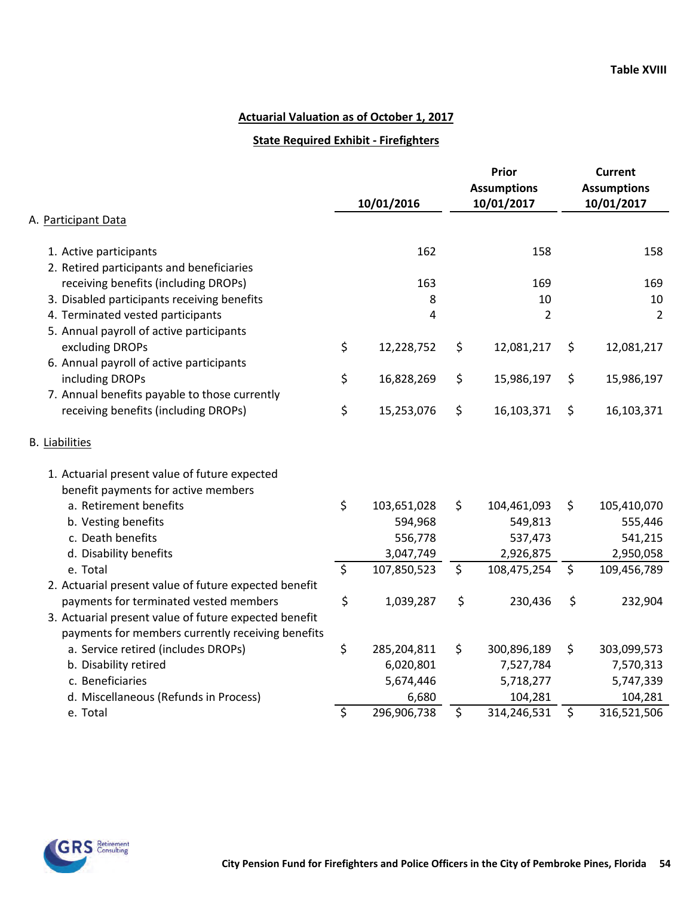## **State Required Exhibit - Firefighters**

|                                                       | 10/01/2016               |             |         | <b>Prior</b><br><b>Assumptions</b><br>10/01/2017 | <b>Current</b><br><b>Assumptions</b><br>10/01/2017 |                |
|-------------------------------------------------------|--------------------------|-------------|---------|--------------------------------------------------|----------------------------------------------------|----------------|
| A. Participant Data                                   |                          |             |         |                                                  |                                                    |                |
| 1. Active participants                                |                          | 162         |         | 158                                              |                                                    | 158            |
| 2. Retired participants and beneficiaries             |                          |             |         |                                                  |                                                    |                |
| receiving benefits (including DROPs)                  |                          | 163         |         | 169                                              |                                                    | 169            |
| 3. Disabled participants receiving benefits           |                          | 8           |         | 10                                               |                                                    | 10             |
| 4. Terminated vested participants                     |                          | 4           |         | $\overline{2}$                                   |                                                    | $\overline{2}$ |
| 5. Annual payroll of active participants              |                          |             |         |                                                  |                                                    |                |
| excluding DROPs                                       | \$                       | 12,228,752  | \$      | 12,081,217                                       | \$                                                 | 12,081,217     |
| 6. Annual payroll of active participants              |                          |             |         |                                                  |                                                    |                |
| including DROPs                                       | \$                       | 16,828,269  | \$      | 15,986,197                                       | \$                                                 | 15,986,197     |
| 7. Annual benefits payable to those currently         |                          |             |         |                                                  |                                                    |                |
| receiving benefits (including DROPs)                  | \$                       | 15,253,076  | \$      | 16,103,371                                       | \$                                                 | 16,103,371     |
| <b>B.</b> Liabilities                                 |                          |             |         |                                                  |                                                    |                |
| 1. Actuarial present value of future expected         |                          |             |         |                                                  |                                                    |                |
| benefit payments for active members                   |                          |             |         |                                                  |                                                    |                |
| a. Retirement benefits                                | \$                       | 103,651,028 | \$      | 104,461,093                                      | \$                                                 | 105,410,070    |
| b. Vesting benefits                                   |                          | 594,968     |         | 549,813                                          |                                                    | 555,446        |
| c. Death benefits                                     |                          | 556,778     |         | 537,473                                          |                                                    | 541,215        |
| d. Disability benefits                                |                          | 3,047,749   |         | 2,926,875                                        |                                                    | 2,950,058      |
| e. Total                                              | $\overline{\mathcal{S}}$ | 107,850,523 | $\zeta$ | 108,475,254                                      | $\zeta$                                            | 109,456,789    |
| 2. Actuarial present value of future expected benefit |                          |             |         |                                                  |                                                    |                |
| payments for terminated vested members                | \$                       | 1,039,287   | \$      | 230,436                                          | \$                                                 | 232,904        |
| 3. Actuarial present value of future expected benefit |                          |             |         |                                                  |                                                    |                |
| payments for members currently receiving benefits     |                          |             |         |                                                  |                                                    |                |
| a. Service retired (includes DROPs)                   | \$                       | 285,204,811 | \$      | 300,896,189                                      | \$                                                 | 303,099,573    |
| b. Disability retired                                 |                          | 6,020,801   |         | 7,527,784                                        |                                                    | 7,570,313      |
| c. Beneficiaries                                      |                          | 5,674,446   |         | 5,718,277                                        |                                                    | 5,747,339      |
| d. Miscellaneous (Refunds in Process)                 |                          | 6,680       |         | 104,281                                          |                                                    | 104,281        |
| e. Total                                              | \$                       | 296,906,738 | \$      | 314,246,531                                      | \$                                                 | 316,521,506    |

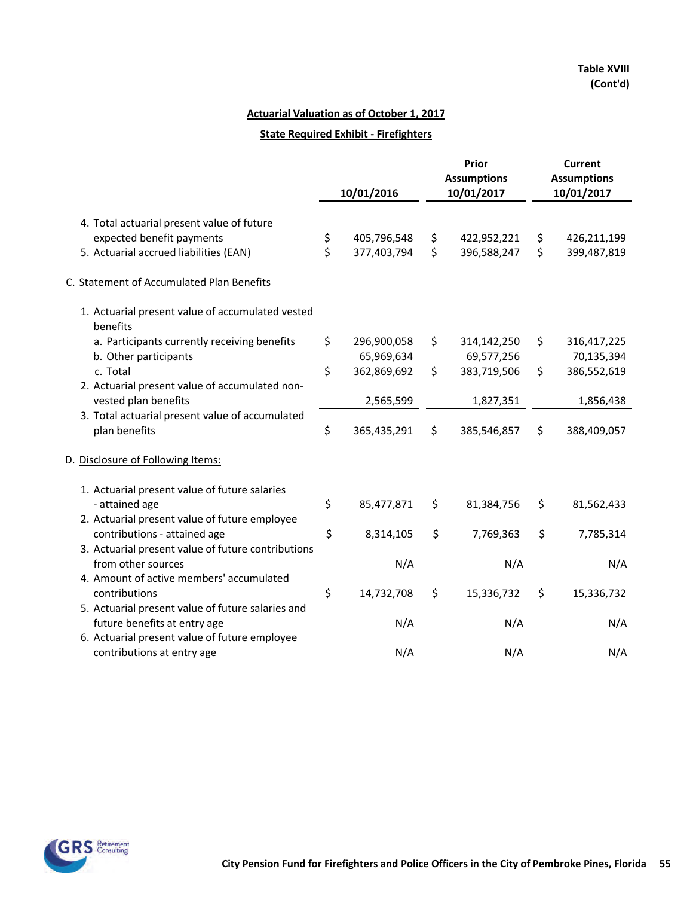#### **State Required Exhibit - Firefighters**

|                                                                                   |                          | 10/01/2016  |    | Prior<br><b>Assumptions</b><br>10/01/2017 |          | <b>Current</b><br><b>Assumptions</b><br>10/01/2017 |  |
|-----------------------------------------------------------------------------------|--------------------------|-------------|----|-------------------------------------------|----------|----------------------------------------------------|--|
| 4. Total actuarial present value of future<br>expected benefit payments           |                          | 405,796,548 | \$ | 422,952,221                               |          | 426,211,199                                        |  |
| 5. Actuarial accrued liabilities (EAN)                                            | \$<br>\$                 | 377,403,794 | \$ | 396,588,247                               | \$<br>\$ | 399,487,819                                        |  |
| C. Statement of Accumulated Plan Benefits                                         |                          |             |    |                                           |          |                                                    |  |
| 1. Actuarial present value of accumulated vested<br>benefits                      |                          |             |    |                                           |          |                                                    |  |
| a. Participants currently receiving benefits                                      | \$                       | 296,900,058 | \$ | 314,142,250                               | \$       | 316,417,225                                        |  |
| b. Other participants                                                             |                          | 65,969,634  |    | 69,577,256                                |          | 70,135,394                                         |  |
| c. Total                                                                          | $\overline{\mathcal{S}}$ | 362,869,692 | \$ | 383,719,506                               | \$       | 386,552,619                                        |  |
| 2. Actuarial present value of accumulated non-<br>vested plan benefits            |                          | 2,565,599   |    | 1,827,351                                 |          | 1,856,438                                          |  |
| 3. Total actuarial present value of accumulated<br>plan benefits                  | \$                       | 365,435,291 | \$ | 385,546,857                               | \$       | 388,409,057                                        |  |
| D. Disclosure of Following Items:                                                 |                          |             |    |                                           |          |                                                    |  |
| 1. Actuarial present value of future salaries<br>- attained age                   | \$                       | 85,477,871  | \$ | 81,384,756                                | \$       | 81,562,433                                         |  |
| 2. Actuarial present value of future employee<br>contributions - attained age     | \$                       | 8,314,105   | \$ | 7,769,363                                 | \$       | 7,785,314                                          |  |
| 3. Actuarial present value of future contributions<br>from other sources          |                          | N/A         |    | N/A                                       |          | N/A                                                |  |
| 4. Amount of active members' accumulated<br>contributions                         | \$                       | 14,732,708  | \$ | 15,336,732                                | \$       | 15,336,732                                         |  |
| 5. Actuarial present value of future salaries and<br>future benefits at entry age |                          | N/A         |    | N/A                                       |          | N/A                                                |  |
| 6. Actuarial present value of future employee<br>contributions at entry age       |                          | N/A         |    | N/A                                       |          | N/A                                                |  |

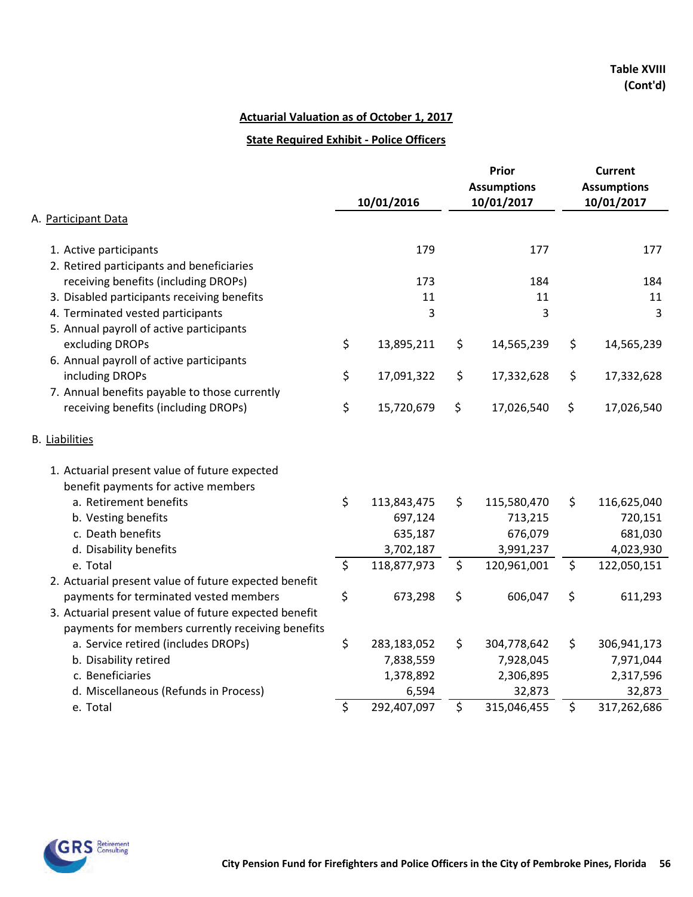## **State Required Exhibit - Police Officers**

|                                                       |         | 10/01/2016  |                        | Prior<br><b>Assumptions</b><br>10/01/2017 | <b>Current</b><br><b>Assumptions</b><br>10/01/2017 |             |
|-------------------------------------------------------|---------|-------------|------------------------|-------------------------------------------|----------------------------------------------------|-------------|
| A. Participant Data                                   |         |             |                        |                                           |                                                    |             |
| 1. Active participants                                |         | 179         |                        | 177                                       |                                                    | 177         |
| 2. Retired participants and beneficiaries             |         |             |                        |                                           |                                                    |             |
| receiving benefits (including DROPs)                  |         | 173         |                        | 184                                       |                                                    | 184         |
| 3. Disabled participants receiving benefits           |         | 11          |                        | 11                                        |                                                    | 11          |
| 4. Terminated vested participants                     |         | 3           |                        | 3                                         |                                                    | 3           |
| 5. Annual payroll of active participants              |         |             |                        |                                           |                                                    |             |
| excluding DROPs                                       | \$      | 13,895,211  | \$                     | 14,565,239                                | \$                                                 | 14,565,239  |
| 6. Annual payroll of active participants              |         |             |                        |                                           |                                                    |             |
| including DROPs                                       | \$      | 17,091,322  | \$                     | 17,332,628                                | \$                                                 | 17,332,628  |
| 7. Annual benefits payable to those currently         |         |             |                        |                                           |                                                    |             |
| receiving benefits (including DROPs)                  | \$      | 15,720,679  | \$                     | 17,026,540                                | \$                                                 | 17,026,540  |
| B. Liabilities                                        |         |             |                        |                                           |                                                    |             |
| 1. Actuarial present value of future expected         |         |             |                        |                                           |                                                    |             |
| benefit payments for active members                   |         |             |                        |                                           |                                                    |             |
| a. Retirement benefits                                | \$      | 113,843,475 | \$                     | 115,580,470                               | \$                                                 | 116,625,040 |
| b. Vesting benefits                                   |         | 697,124     |                        | 713,215                                   |                                                    | 720,151     |
| c. Death benefits                                     |         | 635,187     |                        | 676,079                                   |                                                    | 681,030     |
| d. Disability benefits                                |         | 3,702,187   |                        | 3,991,237                                 |                                                    | 4,023,930   |
| e. Total                                              | $\zeta$ | 118,877,973 | \$                     | 120,961,001                               | \$                                                 | 122,050,151 |
| 2. Actuarial present value of future expected benefit |         |             |                        |                                           |                                                    |             |
| payments for terminated vested members                | \$      | 673,298     | \$                     | 606,047                                   | \$                                                 | 611,293     |
| 3. Actuarial present value of future expected benefit |         |             |                        |                                           |                                                    |             |
| payments for members currently receiving benefits     |         |             |                        |                                           |                                                    |             |
| a. Service retired (includes DROPs)                   | \$      | 283,183,052 | \$                     | 304,778,642                               | \$                                                 | 306,941,173 |
| b. Disability retired                                 |         | 7,838,559   |                        | 7,928,045                                 |                                                    | 7,971,044   |
| c. Beneficiaries                                      |         | 1,378,892   |                        | 2,306,895                                 |                                                    | 2,317,596   |
| d. Miscellaneous (Refunds in Process)                 |         | 6,594       |                        | 32,873                                    |                                                    | 32,873      |
| e. Total                                              | $\zeta$ | 292,407,097 | $\overline{\varsigma}$ | 315,046,455                               | \$                                                 | 317,262,686 |

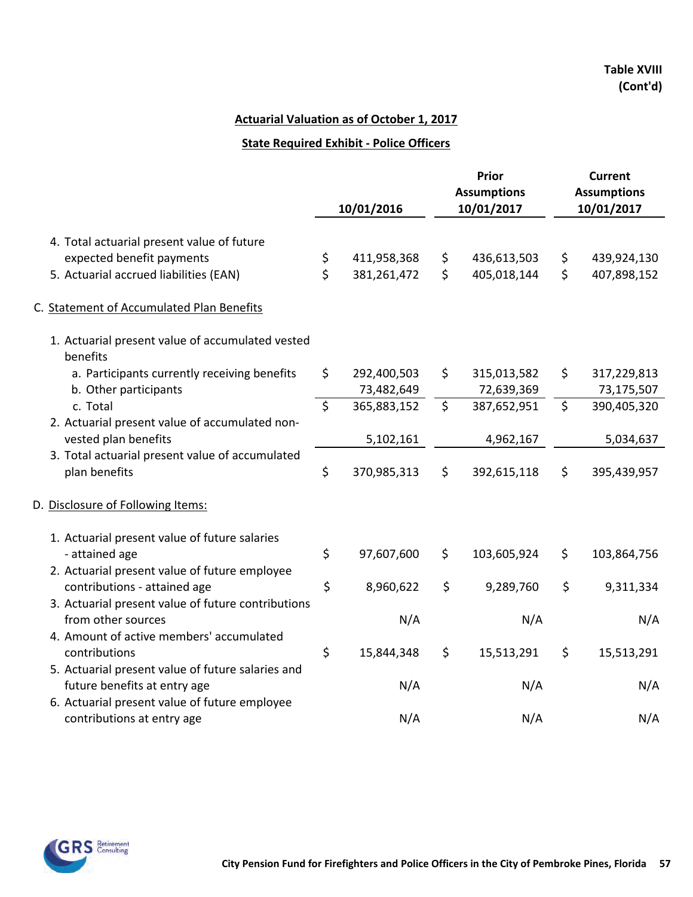## **State Required Exhibit - Police Officers**

|                                                                         |         | 10/01/2016  |         | <b>Assumptions</b><br>10/01/2017 |         | Prior       |  | <b>Current</b><br><b>Assumptions</b><br>10/01/2017 |  |
|-------------------------------------------------------------------------|---------|-------------|---------|----------------------------------|---------|-------------|--|----------------------------------------------------|--|
| 4. Total actuarial present value of future<br>expected benefit payments | \$      | 411,958,368 | \$      | 436,613,503                      | \$      | 439,924,130 |  |                                                    |  |
| 5. Actuarial accrued liabilities (EAN)                                  | \$      | 381,261,472 | \$      | 405,018,144                      | $\zeta$ | 407,898,152 |  |                                                    |  |
| C. Statement of Accumulated Plan Benefits                               |         |             |         |                                  |         |             |  |                                                    |  |
| 1. Actuarial present value of accumulated vested<br>benefits            |         |             |         |                                  |         |             |  |                                                    |  |
| a. Participants currently receiving benefits                            | \$      | 292,400,503 | \$      | 315,013,582                      | \$      | 317,229,813 |  |                                                    |  |
| b. Other participants                                                   |         | 73,482,649  |         | 72,639,369                       |         | 73,175,507  |  |                                                    |  |
| c. Total                                                                | $\zeta$ | 365,883,152 | $\zeta$ | 387,652,951                      | $\zeta$ | 390,405,320 |  |                                                    |  |
| 2. Actuarial present value of accumulated non-                          |         |             |         |                                  |         |             |  |                                                    |  |
| vested plan benefits                                                    |         | 5,102,161   |         | 4,962,167                        |         | 5,034,637   |  |                                                    |  |
| 3. Total actuarial present value of accumulated<br>plan benefits        | \$      | 370,985,313 | \$      | 392,615,118                      | \$      | 395,439,957 |  |                                                    |  |
| D. Disclosure of Following Items:                                       |         |             |         |                                  |         |             |  |                                                    |  |
| 1. Actuarial present value of future salaries                           |         |             |         |                                  |         |             |  |                                                    |  |
| - attained age                                                          | \$      | 97,607,600  | \$      | 103,605,924                      | \$      | 103,864,756 |  |                                                    |  |
| 2. Actuarial present value of future employee                           |         |             |         |                                  |         |             |  |                                                    |  |
| contributions - attained age                                            | \$      | 8,960,622   | \$      | 9,289,760                        | \$      | 9,311,334   |  |                                                    |  |
| 3. Actuarial present value of future contributions                      |         |             |         |                                  |         |             |  |                                                    |  |
| from other sources                                                      |         | N/A         |         | N/A                              |         | N/A         |  |                                                    |  |
| 4. Amount of active members' accumulated                                |         |             |         |                                  |         |             |  |                                                    |  |
| contributions                                                           | \$      | 15,844,348  | \$      | 15,513,291                       | \$      | 15,513,291  |  |                                                    |  |
| 5. Actuarial present value of future salaries and                       |         |             |         |                                  |         |             |  |                                                    |  |
| future benefits at entry age                                            |         | N/A         |         | N/A                              |         | N/A         |  |                                                    |  |
| 6. Actuarial present value of future employee                           |         |             |         |                                  |         |             |  |                                                    |  |
| contributions at entry age                                              |         | N/A         |         | N/A                              |         | N/A         |  |                                                    |  |

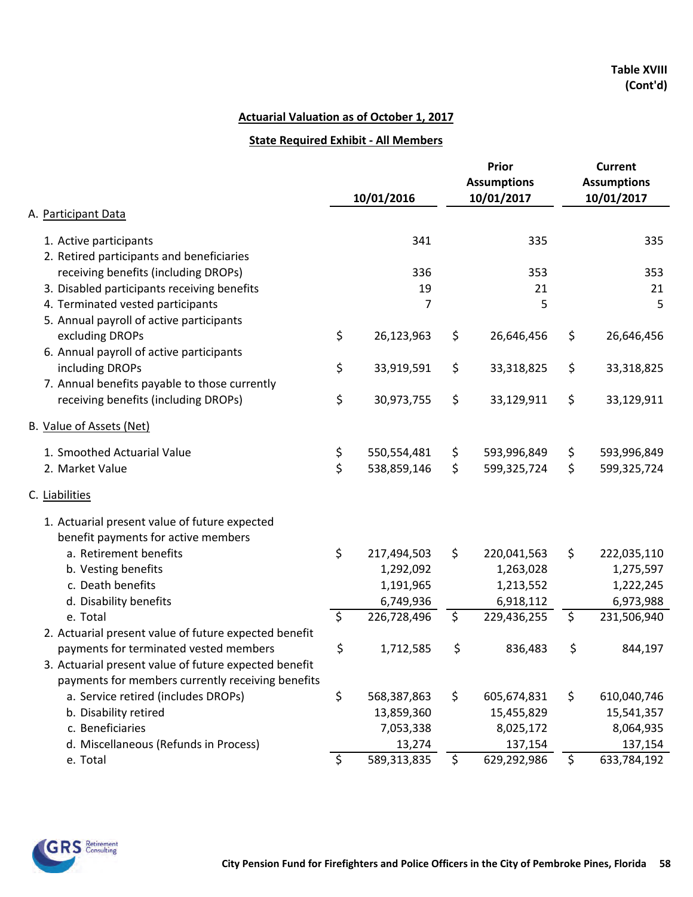## **State Required Exhibit - All Members**

|                                                       | 10/01/2016 |             |    | <b>Prior</b><br><b>Assumptions</b><br>10/01/2017 | <b>Current</b><br><b>Assumptions</b><br>10/01/2017 |             |
|-------------------------------------------------------|------------|-------------|----|--------------------------------------------------|----------------------------------------------------|-------------|
| A. Participant Data                                   |            |             |    |                                                  |                                                    |             |
| 1. Active participants                                |            | 341         |    | 335                                              |                                                    | 335         |
| 2. Retired participants and beneficiaries             |            |             |    |                                                  |                                                    |             |
| receiving benefits (including DROPs)                  |            | 336         |    | 353                                              |                                                    | 353         |
| 3. Disabled participants receiving benefits           |            | 19          |    | 21                                               |                                                    | 21          |
| 4. Terminated vested participants                     |            | 7           |    | 5                                                |                                                    | 5           |
| 5. Annual payroll of active participants              |            |             |    |                                                  |                                                    |             |
| excluding DROPs                                       | \$         | 26,123,963  | \$ | 26,646,456                                       | \$                                                 | 26,646,456  |
| 6. Annual payroll of active participants              |            |             |    |                                                  |                                                    |             |
| including DROPs                                       | \$         | 33,919,591  | \$ | 33,318,825                                       | \$                                                 | 33,318,825  |
| 7. Annual benefits payable to those currently         | \$         |             |    |                                                  |                                                    |             |
| receiving benefits (including DROPs)                  |            | 30,973,755  | \$ | 33,129,911                                       | \$                                                 | 33,129,911  |
| B. Value of Assets (Net)                              |            |             |    |                                                  |                                                    |             |
| 1. Smoothed Actuarial Value                           | \$         | 550,554,481 | \$ | 593,996,849                                      | \$                                                 | 593,996,849 |
| 2. Market Value                                       | \$         | 538,859,146 | \$ | 599,325,724                                      | \$                                                 | 599,325,724 |
| C. Liabilities                                        |            |             |    |                                                  |                                                    |             |
| 1. Actuarial present value of future expected         |            |             |    |                                                  |                                                    |             |
| benefit payments for active members                   |            |             |    |                                                  |                                                    |             |
| a. Retirement benefits                                | \$         | 217,494,503 | \$ | 220,041,563                                      | \$                                                 | 222,035,110 |
| b. Vesting benefits                                   |            | 1,292,092   |    | 1,263,028                                        |                                                    | 1,275,597   |
| c. Death benefits                                     |            | 1,191,965   |    | 1,213,552                                        |                                                    | 1,222,245   |
| d. Disability benefits                                |            | 6,749,936   |    | 6,918,112                                        |                                                    | 6,973,988   |
| e. Total                                              | $\zeta$    | 226,728,496 | \$ | 229,436,255                                      | $\overline{\varsigma}$                             | 231,506,940 |
| 2. Actuarial present value of future expected benefit |            |             |    |                                                  |                                                    |             |
| payments for terminated vested members                | \$         | 1,712,585   | \$ | 836,483                                          | \$                                                 | 844,197     |
| 3. Actuarial present value of future expected benefit |            |             |    |                                                  |                                                    |             |
| payments for members currently receiving benefits     |            |             |    |                                                  |                                                    |             |
| a. Service retired (includes DROPs)                   | \$         | 568,387,863 | \$ | 605,674,831                                      | \$                                                 | 610,040,746 |
| b. Disability retired                                 |            | 13,859,360  |    | 15,455,829                                       |                                                    | 15,541,357  |
| c. Beneficiaries                                      |            | 7,053,338   |    | 8,025,172                                        |                                                    | 8,064,935   |
| d. Miscellaneous (Refunds in Process)                 |            | 13,274      |    | 137,154                                          |                                                    | 137,154     |
| e. Total                                              | \$         | 589,313,835 | \$ | 629,292,986                                      | $\varsigma$                                        | 633,784,192 |

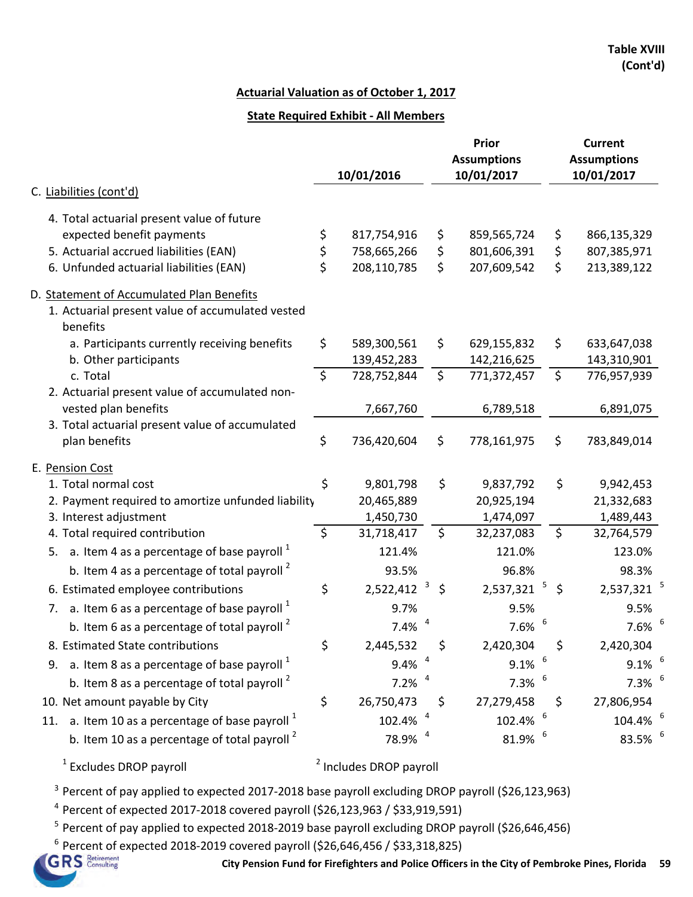#### **State Required Exhibit - All Members**

|                                                                  |         |                                    |         | Prior<br><b>Assumptions</b> | <b>Current</b><br><b>Assumptions</b> |                             |  |
|------------------------------------------------------------------|---------|------------------------------------|---------|-----------------------------|--------------------------------------|-----------------------------|--|
| C. Liabilities (cont'd)                                          |         | 10/01/2016                         |         | 10/01/2017                  |                                      | 10/01/2017                  |  |
| 4. Total actuarial present value of future                       |         |                                    |         |                             |                                      |                             |  |
| expected benefit payments                                        | \$      | 817,754,916                        | \$      | 859,565,724                 | \$                                   | 866,135,329                 |  |
| 5. Actuarial accrued liabilities (EAN)                           | \$      | 758,665,266                        | \$      | 801,606,391                 | \$                                   | 807,385,971                 |  |
| 6. Unfunded actuarial liabilities (EAN)                          | \$      | 208,110,785                        | \$      | 207,609,542                 | \$                                   | 213,389,122                 |  |
| D. Statement of Accumulated Plan Benefits                        |         |                                    |         |                             |                                      |                             |  |
| 1. Actuarial present value of accumulated vested<br>benefits     |         |                                    |         |                             |                                      |                             |  |
| a. Participants currently receiving benefits                     | \$      | 589,300,561                        | \$      | 629,155,832                 | \$                                   | 633,647,038                 |  |
| b. Other participants                                            |         | 139,452,283                        |         | 142,216,625                 |                                      | 143,310,901                 |  |
| c. Total                                                         | \$      | 728,752,844                        | \$      | 771,372,457                 | \$                                   | 776,957,939                 |  |
| 2. Actuarial present value of accumulated non-                   |         |                                    |         |                             |                                      |                             |  |
| vested plan benefits                                             |         | 7,667,760                          |         | 6,789,518                   |                                      | 6,891,075                   |  |
| 3. Total actuarial present value of accumulated<br>plan benefits | \$      | 736,420,604                        | \$      | 778,161,975                 | \$                                   | 783,849,014                 |  |
| E. Pension Cost                                                  |         |                                    |         |                             |                                      |                             |  |
| 1. Total normal cost                                             | \$      | 9,801,798                          | \$      | 9,837,792                   | \$                                   | 9,942,453                   |  |
| 2. Payment required to amortize unfunded liability               |         | 20,465,889                         |         | 20,925,194                  |                                      | 21,332,683                  |  |
| 3. Interest adjustment                                           |         | 1,450,730                          |         | 1,474,097                   |                                      | 1,489,443                   |  |
| 4. Total required contribution                                   | $\zeta$ | 31,718,417                         | \$      | 32,237,083                  | \$                                   | 32,764,579                  |  |
| a. Item 4 as a percentage of base payroll <sup>1</sup><br>5.     |         | 121.4%                             |         | 121.0%                      |                                      | 123.0%                      |  |
| b. Item 4 as a percentage of total payroll <sup>2</sup>          |         | 93.5%                              |         | 96.8%                       |                                      | 98.3%                       |  |
| 6. Estimated employee contributions                              | \$      | $2,522,412$ <sup>3</sup>           | $\zeta$ | $2,537,321$ <sup>5</sup>    | $\zeta$                              | $\overline{z}$<br>2,537,321 |  |
| a. Item 6 as a percentage of base payroll $1$<br>7.              |         | 9.7%                               |         | 9.5%                        |                                      | 9.5%                        |  |
| b. Item 6 as a percentage of total payroll $2$                   |         | $7.4\%$ <sup>4</sup>               |         | $7.6\%$ <sup>6</sup>        |                                      | $7.6\%$ <sup>6</sup>        |  |
| 8. Estimated State contributions                                 | \$      | 2,445,532                          | \$      | 2,420,304                   | \$                                   | 2,420,304                   |  |
| 9. a. Item 8 as a percentage of base payroll $1$                 |         | 9.4% $4$                           |         | $9.1\%$ <sup>6</sup>        |                                      | $9.1\%$ <sup>6</sup>        |  |
| b. Item 8 as a percentage of total payroll <sup>2</sup>          |         | $7.2\%$ <sup>4</sup>               |         | $7.3\%$ <sup>6</sup>        |                                      | $7.3\%$ $^6$                |  |
| 10. Net amount payable by City                                   | \$      | 26,750,473                         | \$      | 27,279,458                  | \$                                   | 27,806,954                  |  |
| a. Item 10 as a percentage of base payroll $1$<br>11.            |         | $102.4\%$ <sup>4</sup>             |         | 102.4% 6                    |                                      | 104.4% 6                    |  |
| b. Item 10 as a percentage of total payroll <sup>2</sup>         |         | 78.9% <sup>4</sup>                 |         | 81.9% 6                     |                                      | 83.5% 6                     |  |
| <sup>1</sup> Excludes DROP payroll                               |         | <sup>2</sup> Includes DROP payroll |         |                             |                                      |                             |  |

<sup>3</sup> Percent of pay applied to expected 2017-2018 base payroll excluding DROP payroll (\$26,123,963)

4 Percent of expected 2017-2018 covered payroll (\$26,123,963 / \$33,919,591)

<sup>5</sup> Percent of pay applied to expected 2018-2019 base payroll excluding DROP payroll (\$26,646,456)

<sup>6</sup> Percent of expected 2018-2019 covered payroll (\$26,646,456 / \$33,318,825)<br>**GRS**  $\frac{R_{\text{classelling}}}{S}$  city Pension Fund for Firefighters and Police Officers



**City Pension Fund for Firefighters and Police Officers in the City of Pembroke Pines, Florida 59**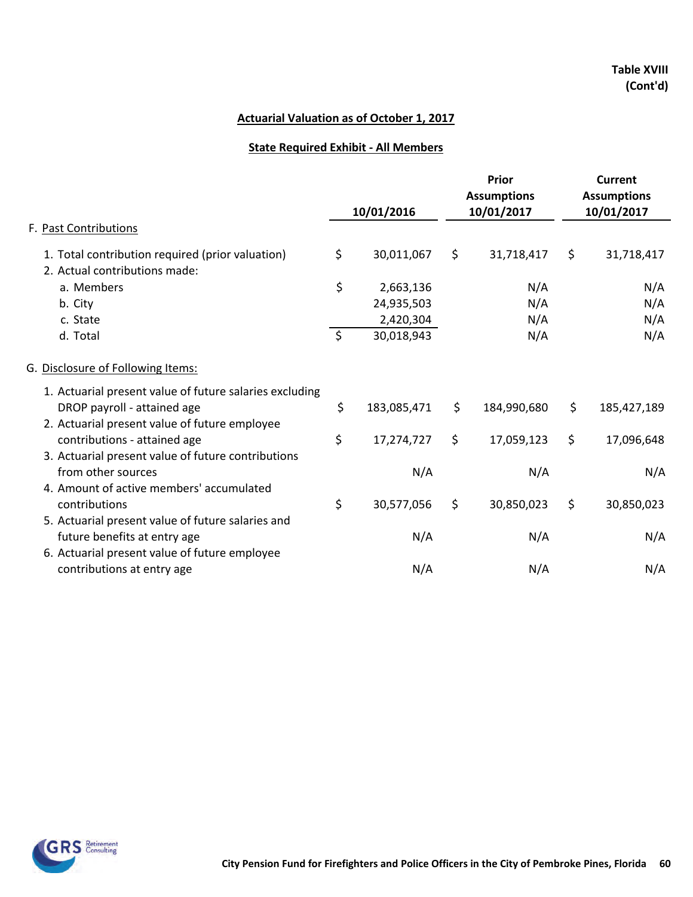#### **State Required Exhibit - All Members**

|                                                                                                                                         | 10/01/2016 |             | Prior<br><b>Assumptions</b><br>10/01/2017 |             | <b>Current</b><br><b>Assumptions</b><br>10/01/2017 |             |
|-----------------------------------------------------------------------------------------------------------------------------------------|------------|-------------|-------------------------------------------|-------------|----------------------------------------------------|-------------|
| F. Past Contributions                                                                                                                   |            |             |                                           |             |                                                    |             |
| 1. Total contribution required (prior valuation)<br>2. Actual contributions made:                                                       | \$         | 30,011,067  | \$                                        | 31,718,417  | \$                                                 | 31,718,417  |
| a. Members                                                                                                                              | \$         | 2,663,136   |                                           | N/A         |                                                    | N/A         |
| b. City                                                                                                                                 |            | 24,935,503  |                                           | N/A         |                                                    | N/A         |
| c. State                                                                                                                                |            | 2,420,304   |                                           | N/A         |                                                    | N/A         |
| d. Total                                                                                                                                | $\zeta$    | 30,018,943  |                                           | N/A         |                                                    | N/A         |
| G. Disclosure of Following Items:                                                                                                       |            |             |                                           |             |                                                    |             |
| 1. Actuarial present value of future salaries excluding<br>DROP payroll - attained age<br>2. Actuarial present value of future employee | \$         | 183,085,471 | \$                                        | 184,990,680 | \$                                                 | 185,427,189 |
| contributions - attained age<br>3. Actuarial present value of future contributions                                                      | \$         | 17,274,727  | \$                                        | 17,059,123  | \$                                                 | 17,096,648  |
| from other sources<br>4. Amount of active members' accumulated                                                                          |            | N/A         |                                           | N/A         |                                                    | N/A         |
| contributions                                                                                                                           | \$         | 30,577,056  | \$                                        | 30,850,023  | \$                                                 | 30,850,023  |
| 5. Actuarial present value of future salaries and<br>future benefits at entry age<br>6. Actuarial present value of future employee      |            | N/A         |                                           | N/A         |                                                    | N/A         |
| contributions at entry age                                                                                                              |            | N/A         |                                           | N/A         |                                                    | N/A         |